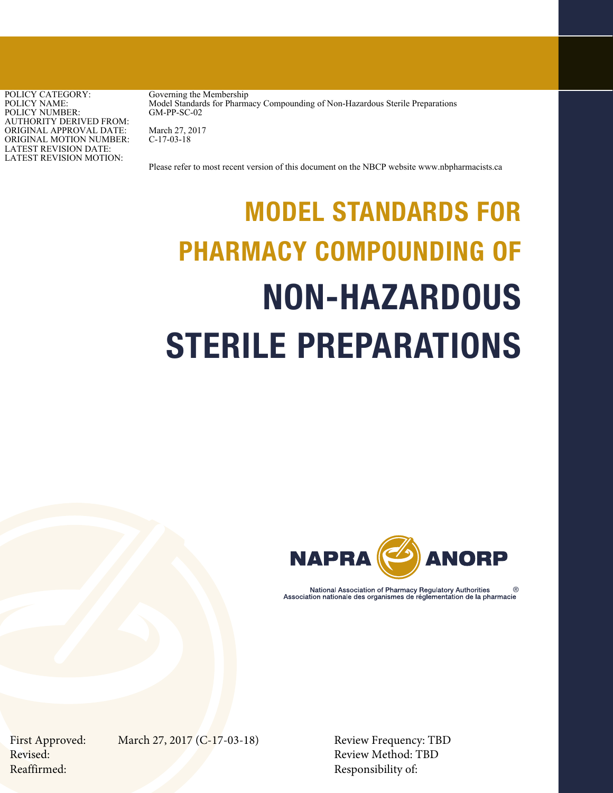POLICY CATEGORY: POLICY NAME: POLICY NUMBER: AUTHORITY DERIVED FROM: ORIGINAL APPROVAL DATE: ORIGINAL MOTION NUMBER: LATEST REVISION DATE: LATEST REVISION MOTION:

Governing the Membership Model Standards for Pharmacy Compounding of Non-Hazardous Sterile Preparations GM-PP-SC-02

March 27, 2017 C-17-03-18

Please refer to most recent version of this document on the NBCP website www.nbpharmacists.ca

# MODEL STANDARDS FOR PHARMACY COMPOUNDING OF NON-HAZARDOUS STERILE PREPARATIONS



National Association of Pharmacy Regulatory Authorities Association nationale des organismes de réglementation de la pharmacie

First Approved: March 27, 2017 (C-17-03-18) Review Frequency: TBD

Revised: Review Method: TBD Reaffirmed: Responsibility of: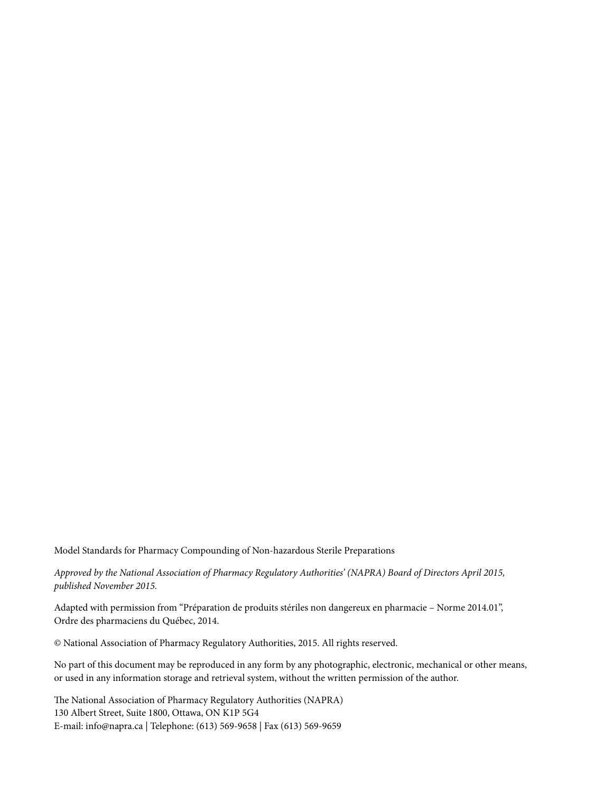Model Standards for Pharmacy Compounding of Non-hazardous Sterile Preparations

*Approved by the National Association of Pharmacy Regulatory Authorities' (NAPRA) Board of Directors April 2015, published November 2015.*

Adapted with permission from "Préparation de produits stériles non dangereux en pharmacie – Norme 2014.01", Ordre des pharmaciens du Québec, 2014.

© National Association of Pharmacy Regulatory Authorities, 2015. All rights reserved.

No part of this document may be reproduced in any form by any photographic, electronic, mechanical or other means, or used in any information storage and retrieval system, without the written permission of the author.

The National Association of Pharmacy Regulatory Authorities (NAPRA) 130 Albert Street, Suite 1800, Ottawa, ON K1P 5G4 E-mail: info@napra.ca | Telephone: (613) 569-9658 | Fax (613) 569-9659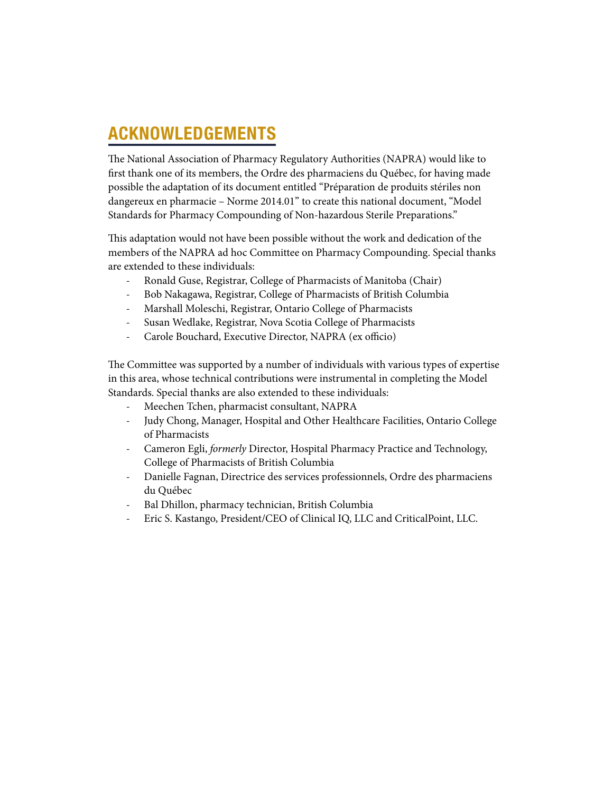# ACKNOWLEDGEMENTS

The National Association of Pharmacy Regulatory Authorities (NAPRA) would like to first thank one of its members, the Ordre des pharmaciens du Québec, for having made possible the adaptation of its document entitled "Préparation de produits stériles non dangereux en pharmacie – Norme 2014.01" to create this national document, "Model Standards for Pharmacy Compounding of Non-hazardous Sterile Preparations."

This adaptation would not have been possible without the work and dedication of the members of the NAPRA ad hoc Committee on Pharmacy Compounding. Special thanks are extended to these individuals:

- Ronald Guse, Registrar, College of Pharmacists of Manitoba (Chair)
- Bob Nakagawa, Registrar, College of Pharmacists of British Columbia
- Marshall Moleschi, Registrar, Ontario College of Pharmacists
- Susan Wedlake, Registrar, Nova Scotia College of Pharmacists
- Carole Bouchard, Executive Director, NAPRA (ex officio)

The Committee was supported by a number of individuals with various types of expertise in this area, whose technical contributions were instrumental in completing the Model Standards. Special thanks are also extended to these individuals:

- Meechen Tchen, pharmacist consultant, NAPRA
- Judy Chong, Manager, Hospital and Other Healthcare Facilities, Ontario College of Pharmacists
- Cameron Egli, *formerly* Director, Hospital Pharmacy Practice and Technology, College of Pharmacists of British Columbia
- Danielle Fagnan, Directrice des services professionnels, Ordre des pharmaciens du Québec
- Bal Dhillon, pharmacy technician, British Columbia
- Eric S. Kastango, President/CEO of Clinical IQ, LLC and CriticalPoint, LLC.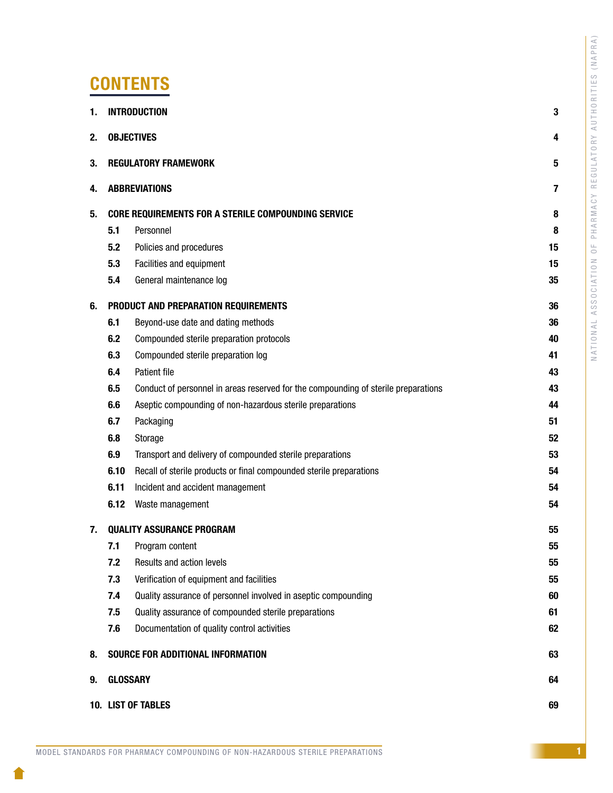| ⋖                             |
|-------------------------------|
|                               |
| $\approx$                     |
| $\Box$                        |
|                               |
| d                             |
|                               |
| $\geq$                        |
|                               |
|                               |
|                               |
| S                             |
|                               |
| Ц<br>J                        |
|                               |
| Ē                             |
|                               |
|                               |
| $\approx$                     |
|                               |
| $\overline{\phantom{a}}$<br>j |
|                               |
| j                             |
|                               |
| ŀ                             |
| 7                             |
|                               |
| $\prec$                       |
|                               |
|                               |
| $\geq$                        |
|                               |
| $\sim$                        |
|                               |
| $\zeta$<br>$\overline{a}$     |
| Н                             |
|                               |
| ๔                             |
|                               |
| ш                             |
| ۳                             |
|                               |
| Ġ                             |
|                               |
| ш                             |
|                               |
| $\alpha$                      |
|                               |
|                               |
| $\mathbf{r}$                  |
| Ć<br>Ć                        |
|                               |
| $\epsilon$<br>j               |
| ÷                             |
|                               |
| é                             |
| $\alpha$                      |
|                               |
| ⊲                             |
|                               |
| I                             |
|                               |
| ௨                             |
|                               |
| ш.                            |
|                               |
| é<br>J.                       |
|                               |
|                               |
| $\geq$                        |
|                               |
| Ċ<br>C                        |
|                               |
|                               |
| ⊢                             |
| $\prec$                       |
|                               |
|                               |
| $\circ$                       |
|                               |
| Ć<br>Í                        |
|                               |
| S                             |
| S                             |
|                               |
| ⊴                             |
|                               |
|                               |
| j                             |
| $\triangleleft$               |
|                               |
| 2                             |
|                               |
| $\bigcirc$                    |
|                               |
|                               |
| ŀ                             |
| ₫                             |
|                               |
|                               |
|                               |

# **CONTENTS**

| 1.                                     | <b>INTRODUCTION</b>         |                                                                                    | 3  |
|----------------------------------------|-----------------------------|------------------------------------------------------------------------------------|----|
| 2.                                     | <b>OBJECTIVES</b>           |                                                                                    |    |
| 3.                                     | <b>REGULATORY FRAMEWORK</b> |                                                                                    |    |
| 4.                                     | <b>ABBREVIATIONS</b>        |                                                                                    |    |
| 5.                                     |                             | <b>CORE REQUIREMENTS FOR A STERILE COMPOUNDING SERVICE</b>                         | 8  |
|                                        | 5.1                         | Personnel                                                                          | 8  |
|                                        | 5.2                         | Policies and procedures                                                            | 15 |
|                                        | 5.3                         | Facilities and equipment                                                           | 15 |
|                                        | 5.4                         | General maintenance log                                                            | 35 |
| 6.                                     |                             | PRODUCT AND PREPARATION REQUIREMENTS                                               | 36 |
|                                        | 6.1                         | Beyond-use date and dating methods                                                 | 36 |
|                                        | 6.2                         | Compounded sterile preparation protocols                                           | 40 |
|                                        | 6.3                         | Compounded sterile preparation log                                                 | 41 |
|                                        | 6.4                         | Patient file                                                                       | 43 |
|                                        | 6.5                         | Conduct of personnel in areas reserved for the compounding of sterile preparations | 43 |
|                                        | 6.6                         | Aseptic compounding of non-hazardous sterile preparations                          | 44 |
|                                        | 6.7                         | Packaging                                                                          | 51 |
|                                        | 6.8                         | Storage                                                                            | 52 |
|                                        | 6.9                         | Transport and delivery of compounded sterile preparations                          | 53 |
|                                        | 6.10                        | Recall of sterile products or final compounded sterile preparations                | 54 |
|                                        | 6.11                        | Incident and accident management                                                   | 54 |
|                                        | 6.12                        | Waste management                                                                   | 54 |
| <b>QUALITY ASSURANCE PROGRAM</b><br>7. |                             |                                                                                    | 55 |
|                                        | 7.1                         | Program content                                                                    | 55 |
|                                        | 7.2                         | Results and action levels                                                          | 55 |
|                                        | 7.3                         | Verification of equipment and facilities                                           | 55 |
|                                        | 7.4                         | Quality assurance of personnel involved in aseptic compounding                     | 60 |
|                                        | 7.5                         | Quality assurance of compounded sterile preparations                               | 61 |
|                                        | 7.6                         | Documentation of quality control activities                                        | 62 |
| 8.                                     |                             | SOURCE FOR ADDITIONAL INFORMATION                                                  | 63 |
| 9.                                     | <b>GLOSSARY</b>             |                                                                                    | 64 |
|                                        | 10. LIST OF TABLES          |                                                                                    |    |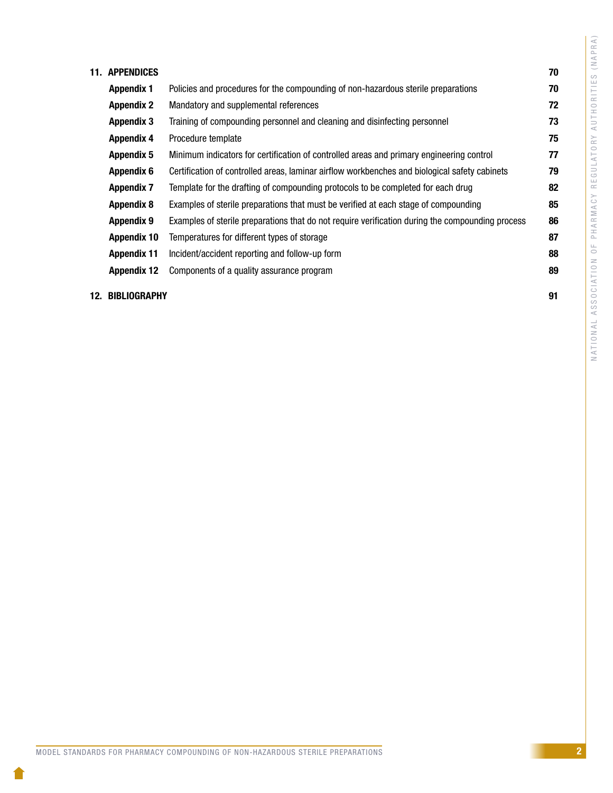| <b>11. APPENDICES</b> |                                                                                                  | 70 |
|-----------------------|--------------------------------------------------------------------------------------------------|----|
| <b>Appendix 1</b>     | Policies and procedures for the compounding of non-hazardous sterile preparations                | 70 |
| <b>Appendix 2</b>     | Mandatory and supplemental references                                                            | 72 |
| <b>Appendix 3</b>     | Training of compounding personnel and cleaning and disinfecting personnel                        | 73 |
| <b>Appendix 4</b>     | Procedure template                                                                               | 75 |
| <b>Appendix 5</b>     | Minimum indicators for certification of controlled areas and primary engineering control         | 77 |
| <b>Appendix 6</b>     | Certification of controlled areas, laminar airflow workbenches and biological safety cabinets    | 79 |
| <b>Appendix 7</b>     | Template for the drafting of compounding protocols to be completed for each drug                 | 82 |
| <b>Appendix 8</b>     | Examples of sterile preparations that must be verified at each stage of compounding              | 85 |
| <b>Appendix 9</b>     | Examples of sterile preparations that do not require verification during the compounding process | 86 |
| <b>Appendix 10</b>    | Temperatures for different types of storage                                                      | 87 |
| <b>Appendix 11</b>    | Incident/accident reporting and follow-up form                                                   | 88 |
| <b>Appendix 12</b>    | Components of a quality assurance program                                                        | 89 |
| 12. BIBLIOGRAPHY      |                                                                                                  | 91 |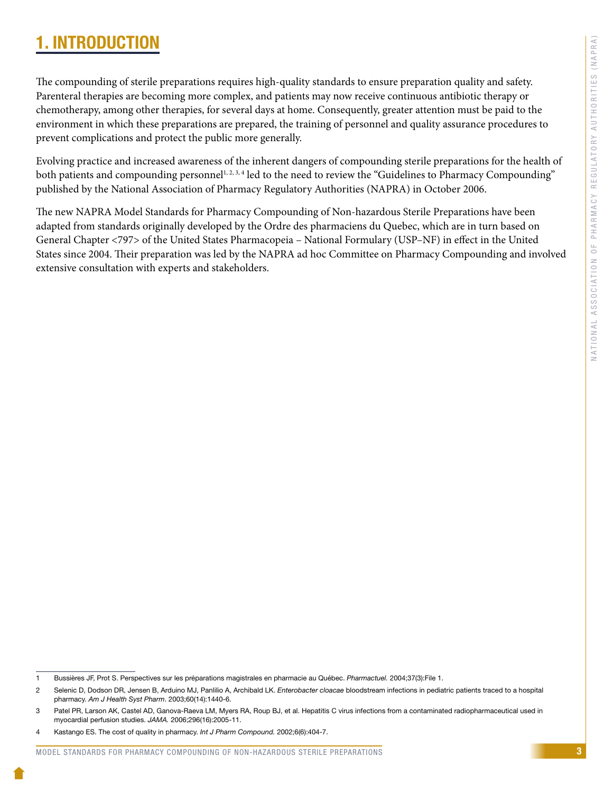# <span id="page-5-0"></span>1. INTRODUCTION

The compounding of sterile preparations requires high-quality standards to ensure preparation quality and safety. Parenteral therapies are becoming more complex, and patients may now receive continuous antibiotic therapy or chemotherapy, among other therapies, for several days at home. Consequently, greater attention must be paid to the environment in which these preparations are prepared, the training of personnel and quality assurance procedures to prevent complications and protect the public more generally.

Evolving practice and increased awareness of the inherent dangers of compounding sterile preparations for the health of both patients and compounding personnel<sup>1, 2, 3, 4</sup> led to the need to review the "Guidelines to Pharmacy Compounding" published by the National Association of Pharmacy Regulatory Authorities (NAPRA) in October 2006.

The new NAPRA Model Standards for Pharmacy Compounding of Non-hazardous Sterile Preparations have been adapted from standards originally developed by the Ordre des pharmaciens du Quebec, which are in turn based on General Chapter <797> of the United States Pharmacopeia – National Formulary (USP–NF) in effect in the United States since 2004. Their preparation was led by the NAPRA ad hoc Committee on Pharmacy Compounding and involved extensive consultation with experts and stakeholders.

<sup>1</sup> Bussières JF, Prot S. Perspectives sur les préparations magistrales en pharmacie au Québec. *Pharmactuel.* 2004;37(3):File 1.

<sup>2</sup> Selenic D, Dodson DR, Jensen B, Arduino MJ, Panlilio A, Archibald LK. *Enterobacter cloacae* bloodstream infections in pediatric patients traced to a hospital pharmacy. *Am J Health Syst Pharm*. 2003;60(14):1440-6.

<sup>3</sup> Patel PR, Larson AK, Castel AD, Ganova-Raeva LM, Myers RA, Roup BJ, et al. Hepatitis C virus infections from a contaminated radiopharmaceutical used in myocardial perfusion studies. *JAMA.* 2006;296(16):2005-11.

<sup>4</sup> Kastango ES. The cost of quality in pharmacy. *Int J Pharm Compound.* 2002;6(6):404-7.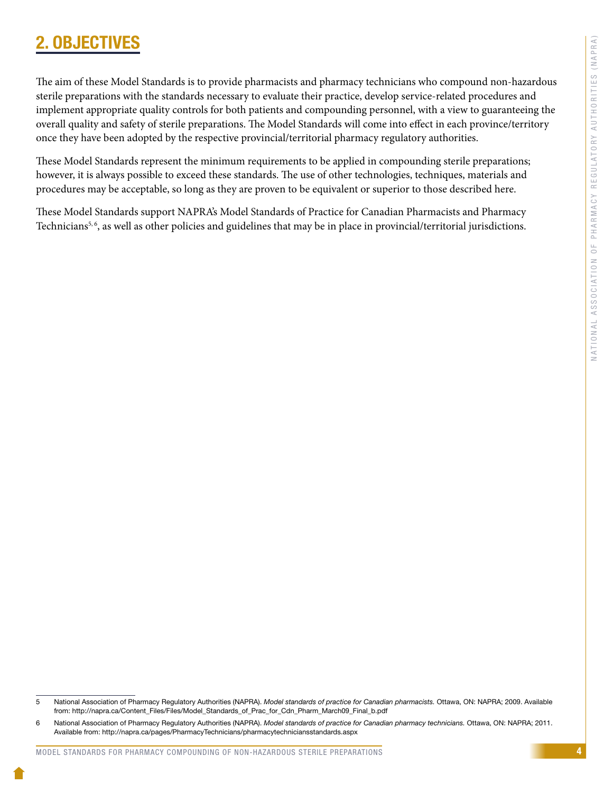4

# <span id="page-6-0"></span>2. OBJECTIV

The aim of these Model Standards is to provide pharmacists and pharmacy technicians who compound non-hazardous sterile preparations with the standards necessary to evaluate their practice, develop service-related procedures and implement appropriate quality controls for both patients and compounding personnel, with a view to guaranteeing the overall quality and safety of sterile preparations. The Model Standards will come into effect in each province/territory once they have been adopted by the respective provincial/territorial pharmacy regulatory authorities.

These Model Standards represent the minimum requirements to be applied in compounding sterile preparations; however, it is always possible to exceed these standards. The use of other technologies, techniques, materials and procedures may be acceptable, so long as they are proven to be equivalent or superior to those described here.

These Model Standards support NAPRA's Model Standards of Practice for Canadian Pharmacists and Pharmacy Technicians<sup>5, 6</sup>, as well as other policies and guidelines that may be in place in provincial/territorial jurisdictions.

<sup>5</sup> National Association of Pharmacy Regulatory Authorities (NAPRA). *Model standards of practice for Canadian pharmacists.* Ottawa, ON: NAPRA; 2009. Available from: http://napra.ca/Content\_Files/Files/Model\_Standards\_of\_Prac\_for\_Cdn\_Pharm\_March09\_Final\_b.pdf

<sup>6</sup> National Association of Pharmacy Regulatory Authorities (NAPRA). *Model standards of practice for Canadian pharmacy technicians.* Ottawa, ON: NAPRA; 2011. Available from: http://napra.ca/pages/PharmacyTechnicians/pharmacytechniciansstandards.aspx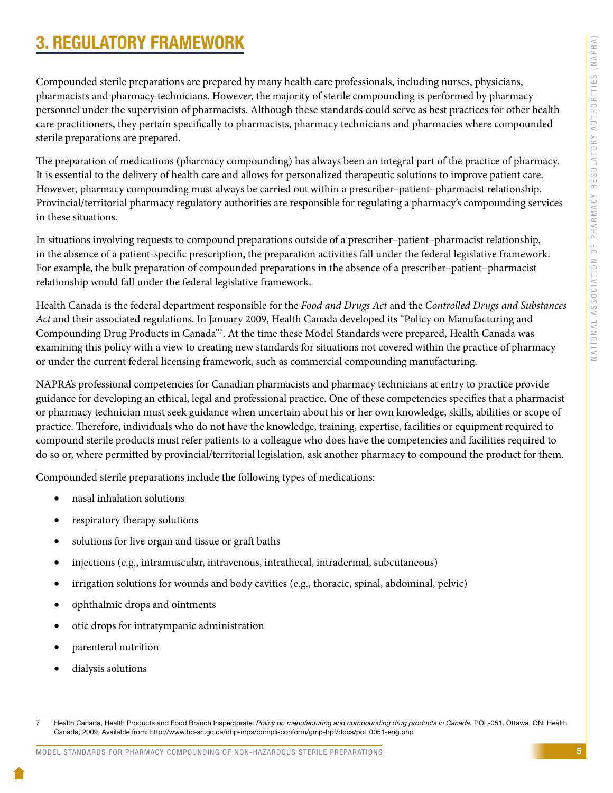# <span id="page-7-0"></span>3. REGULATORY FRAMEWORK

Compounded sterile preparations are prepared by many health care professionals, including nurses, physicians, pharmacists and pharmacy technicians. However, the majority of sterile compounding is performed by pharmacy personnel under the supervision of pharmacists. Although these standards could serve as best practices for other health care practitioners, they pertain specifically to pharmacists, pharmacy technicians and pharmacies where compounded sterile preparations are prepared.

The preparation of medications (pharmacy compounding) has always been an integral part of the practice of pharmacy. It is essential to the delivery of health care and allows for personalized therapeutic solutions to improve patient care. However, pharmacy compounding must always be carried out within a prescriber–patient–pharmacist relationship. Provincial/territorial pharmacy regulatory authorities are responsible for regulating a pharmacy's compounding services in these situations.

In situations involving requests to compound preparations outside of a prescriber–patient–pharmacist relationship, in the absence of a patient-specific prescription, the preparation activities fall under the federal legislative framework. For example, the bulk preparation of compounded preparations in the absence of a prescriber–patient–pharmacist relationship would fall under the federal legislative framework.

Health Canada is the federal department responsible for the *Food and Drugs Act* and the *Controlled Drugs and Substances Act* and their associated regulations. In January 2009, Health Canada developed its "Policy on Manufacturing and Compounding Drug Products in Canada"7 . At the time these Model Standards were prepared, Health Canada was examining this policy with a view to creating new standards for situations not covered within the practice of pharmacy or under the current federal licensing framework, such as commercial compounding manufacturing.

NAPRA's professional competencies for Canadian pharmacists and pharmacy technicians at entry to practice provide guidance for developing an ethical, legal and professional practice. One of these competencies specifies that a pharmacist or pharmacy technician must seek guidance when uncertain about his or her own knowledge, skills, abilities or scope of practice. Therefore, individuals who do not have the knowledge, training, expertise, facilities or equipment required to compound sterile products must refer patients to a colleague who does have the competencies and facilities required to do so or, where permitted by provincial/territorial legislation, ask another pharmacy to compound the product for them.

Compounded sterile preparations include the following types of medications:

- nasal inhalation solutions
- respiratory therapy solutions
- solutions for live organ and tissue or graft baths
- injections (e.g., intramuscular, intravenous, intrathecal, intradermal, subcutaneous)
- irrigation solutions for wounds and body cavities (e.g., thoracic, spinal, abdominal, pelvic)
- ophthalmic drops and ointments
- otic drops for intratympanic administration
- parenteral nutrition
- dialysis solutions

<sup>7</sup> Health Canada, Health Products and Food Branch Inspectorate. *Policy on manufacturing and compounding drug products in Canada.* POL-051. Ottawa, ON: Health Canada; 2009. Available from: http://www.hc-sc.gc.ca/dhp-mps/compli-conform/gmp-bpf/docs/pol\_0051-eng.php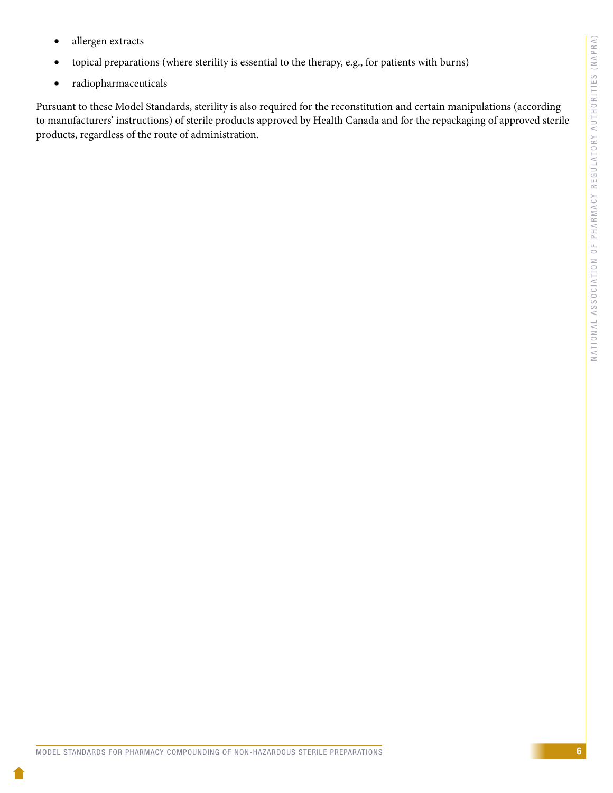- allergen extracts
- • topical preparations (where sterility is essential to the therapy, e.g., for patients with burns)
- • radiopharmaceuticals

Pursuant to these Model Standards, sterility is also required for the reconstitution and certain manipulations (according to manufacturers' instructions) of sterile products approved by Health Canada and for the repackaging of approved sterile products, regardless of the route of administration.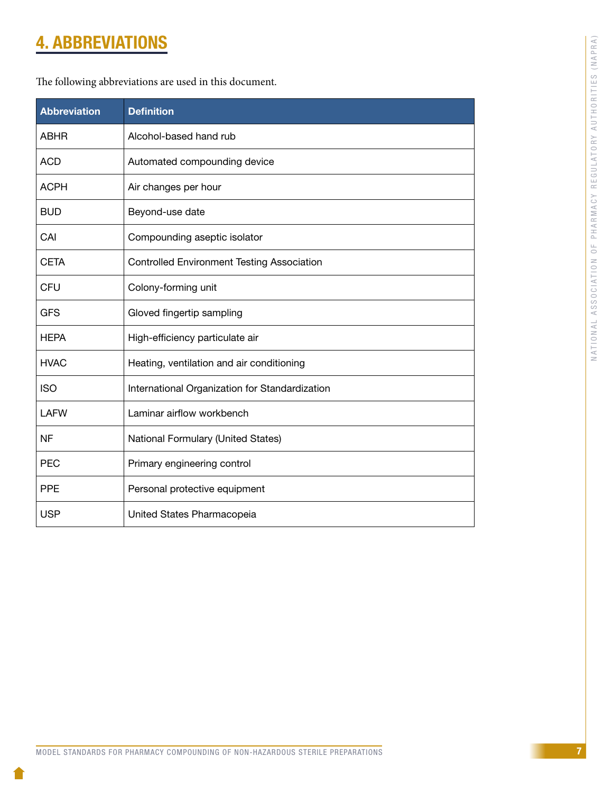# <span id="page-9-0"></span>4. ABBREVIATIONS

| <b>Abbreviation</b> | <b>Definition</b>                                 |
|---------------------|---------------------------------------------------|
| <b>ABHR</b>         | Alcohol-based hand rub                            |
| <b>ACD</b>          | Automated compounding device                      |
| <b>ACPH</b>         | Air changes per hour                              |
| <b>BUD</b>          | Beyond-use date                                   |
| CAI                 | Compounding aseptic isolator                      |
| <b>CETA</b>         | <b>Controlled Environment Testing Association</b> |
| <b>CFU</b>          | Colony-forming unit                               |
| <b>GFS</b>          | Gloved fingertip sampling                         |
| <b>HEPA</b>         | High-efficiency particulate air                   |
| <b>HVAC</b>         | Heating, ventilation and air conditioning         |
| <b>ISO</b>          | International Organization for Standardization    |
| <b>LAFW</b>         | Laminar airflow workbench                         |
| NF.                 | National Formulary (United States)                |
| <b>PEC</b>          | Primary engineering control                       |
| <b>PPE</b>          | Personal protective equipment                     |
| <b>USP</b>          | United States Pharmacopeia                        |

The following abbreviations are used in this document.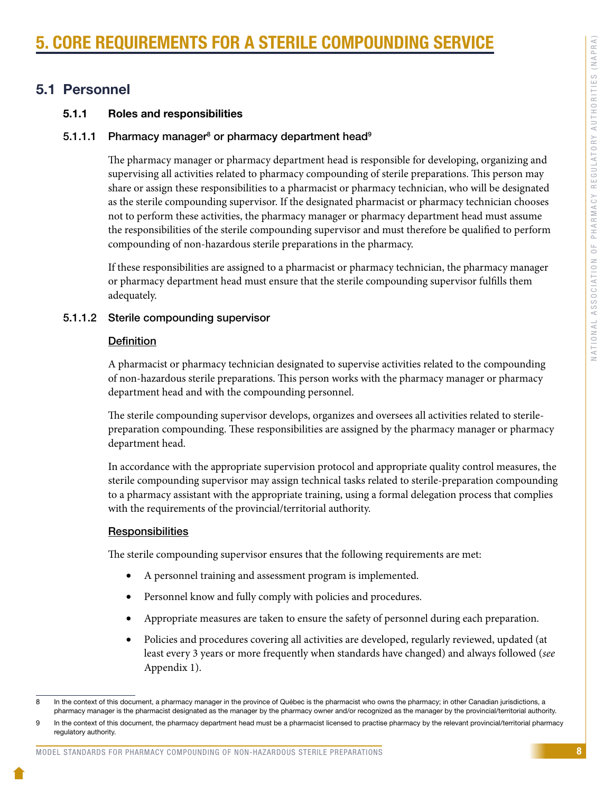# <span id="page-10-0"></span>**CORE REQUIREMENTS FOR A STERILE COMPOUNDING SERV**

# 5.1 Personnel

# 5.1.1 Roles and responsibilities

# 5.1.1.1 Pharmacy manager<sup>8</sup> or pharmacy department head<sup>9</sup>

The pharmacy manager or pharmacy department head is responsible for developing, organizing and supervising all activities related to pharmacy compounding of sterile preparations. This person may share or assign these responsibilities to a pharmacist or pharmacy technician, who will be designated as the sterile compounding supervisor. If the designated pharmacist or pharmacy technician chooses not to perform these activities, the pharmacy manager or pharmacy department head must assume the responsibilities of the sterile compounding supervisor and must therefore be qualified to perform compounding of non-hazardous sterile preparations in the pharmacy.

If these responsibilities are assigned to a pharmacist or pharmacy technician, the pharmacy manager or pharmacy department head must ensure that the sterile compounding supervisor fulfills them adequately.

# 5.1.1.2 Sterile compounding supervisor

# **Definition**

A pharmacist or pharmacy technician designated to supervise activities related to the compounding of non-hazardous sterile preparations. This person works with the pharmacy manager or pharmacy department head and with the compounding personnel.

The sterile compounding supervisor develops, organizes and oversees all activities related to sterilepreparation compounding. These responsibilities are assigned by the pharmacy manager or pharmacy department head.

In accordance with the appropriate supervision protocol and appropriate quality control measures, the sterile compounding supervisor may assign technical tasks related to sterile-preparation compounding to a pharmacy assistant with the appropriate training, using a formal delegation process that complies with the requirements of the provincial/territorial authority.

# **Responsibilities**

The sterile compounding supervisor ensures that the following requirements are met:

- A personnel training and assessment program is implemented.
- Personnel know and fully comply with policies and procedures.
- • Appropriate measures are taken to ensure the safety of personnel during each preparation.
- Policies and procedures covering all activities are developed, regularly reviewed, updated (at least every 3 years or more frequently when standards have changed) and always followed (*see* Appendix 1).

#### MODEL STANDARDS FOR PHARMACY COMPOUNDING OF NON-HAZARDOUS STERILE PREPARATIONS

<sup>8</sup> In the context of this document, a pharmacy manager in the province of Québec is the pharmacist who owns the pharmacy; in other Canadian jurisdictions, a pharmacy manager is the pharmacist designated as the manager by the pharmacy owner and/or recognized as the manager by the provincial/territorial authority.

<sup>9</sup> In the context of this document, the pharmacy department head must be a pharmacist licensed to practise pharmacy by the relevant provincial/territorial pharmacy regulatory authority.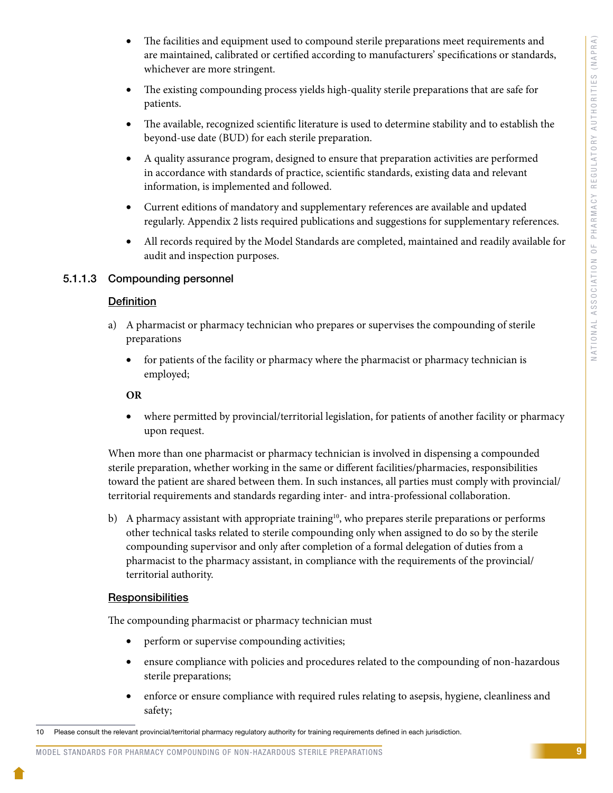- The facilities and equipment used to compound sterile preparations meet requirements and are maintained, calibrated or certified according to manufacturers' specifications or standards, whichever are more stringent.
- The existing compounding process yields high-quality sterile preparations that are safe for patients.
- The available, recognized scientific literature is used to determine stability and to establish the beyond-use date (BUD) for each sterile preparation.
- • A quality assurance program, designed to ensure that preparation activities are performed in accordance with standards of practice, scientific standards, existing data and relevant information, is implemented and followed.
- • Current editions of mandatory and supplementary references are available and updated regularly. Appendix 2 lists required publications and suggestions for supplementary references.
- All records required by the Model Standards are completed, maintained and readily available for audit and inspection purposes.

# 5.1.1.3 Compounding personnel

# **Definition**

- a) A pharmacist or pharmacy technician who prepares or supervises the compounding of sterile preparations
	- for patients of the facility or pharmacy where the pharmacist or pharmacy technician is employed;

## **OR**

• where permitted by provincial/territorial legislation, for patients of another facility or pharmacy upon request.

When more than one pharmacist or pharmacy technician is involved in dispensing a compounded sterile preparation, whether working in the same or different facilities/pharmacies, responsibilities toward the patient are shared between them. In such instances, all parties must comply with provincial/ territorial requirements and standards regarding inter- and intra-professional collaboration.

b) A pharmacy assistant with appropriate training<sup>10</sup>, who prepares sterile preparations or performs other technical tasks related to sterile compounding only when assigned to do so by the sterile compounding supervisor and only after completion of a formal delegation of duties from a pharmacist to the pharmacy assistant, in compliance with the requirements of the provincial/ territorial authority.

# **Responsibilities**

The compounding pharmacist or pharmacy technician must

- perform or supervise compounding activities;
- ensure compliance with policies and procedures related to the compounding of non-hazardous sterile preparations;
- enforce or ensure compliance with required rules relating to asepsis, hygiene, cleanliness and safety;

<sup>10</sup> Please consult the relevant provincial/territorial pharmacy regulatory authority for training requirements defined in each jurisdiction.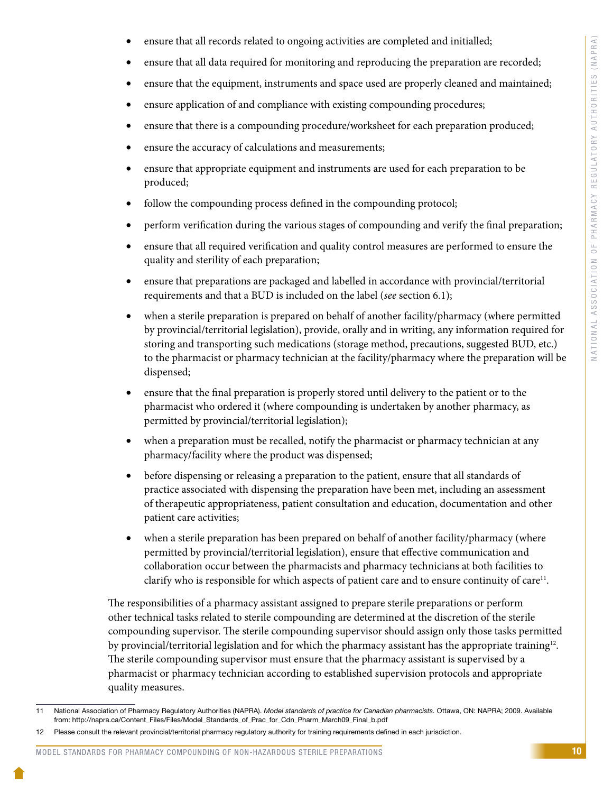- ensure that all records related to ongoing activities are completed and initialled;
- ensure that all data required for monitoring and reproducing the preparation are recorded;
- ensure that the equipment, instruments and space used are properly cleaned and maintained;
- ensure application of and compliance with existing compounding procedures;
- ensure that there is a compounding procedure/worksheet for each preparation produced;
- ensure the accuracy of calculations and measurements;
- ensure that appropriate equipment and instruments are used for each preparation to be produced;
- follow the compounding process defined in the compounding protocol;
- perform verification during the various stages of compounding and verify the final preparation;
- ensure that all required verification and quality control measures are performed to ensure the quality and sterility of each preparation;
- ensure that preparations are packaged and labelled in accordance with provincial/territorial requirements and that a BUD is included on the label (*see* section 6.1);
- when a sterile preparation is prepared on behalf of another facility/pharmacy (where permitted by provincial/territorial legislation), provide, orally and in writing, any information required for storing and transporting such medications (storage method, precautions, suggested BUD, etc.) to the pharmacist or pharmacy technician at the facility/pharmacy where the preparation will be dispensed;
- ensure that the final preparation is properly stored until delivery to the patient or to the pharmacist who ordered it (where compounding is undertaken by another pharmacy, as permitted by provincial/territorial legislation);
- when a preparation must be recalled, notify the pharmacist or pharmacy technician at any pharmacy/facility where the product was dispensed;
- before dispensing or releasing a preparation to the patient, ensure that all standards of practice associated with dispensing the preparation have been met, including an assessment of therapeutic appropriateness, patient consultation and education, documentation and other patient care activities;
- when a sterile preparation has been prepared on behalf of another facility/pharmacy (where permitted by provincial/territorial legislation), ensure that effective communication and collaboration occur between the pharmacists and pharmacy technicians at both facilities to clarify who is responsible for which aspects of patient care and to ensure continuity of care<sup>11</sup>.

The responsibilities of a pharmacy assistant assigned to prepare sterile preparations or perform other technical tasks related to sterile compounding are determined at the discretion of the sterile compounding supervisor. The sterile compounding supervisor should assign only those tasks permitted by provincial/territorial legislation and for which the pharmacy assistant has the appropriate training<sup>12</sup>. The sterile compounding supervisor must ensure that the pharmacy assistant is supervised by a pharmacist or pharmacy technician according to established supervision protocols and appropriate quality measures.

#### MODEL STANDARDS FOR PHARMACY COMPOUNDING OF NON-HAZARDOUS STERILE PREPARATIONS

<sup>11</sup> National Association of Pharmacy Regulatory Authorities (NAPRA). *Model standards of practice for Canadian pharmacists.* Ottawa, ON: NAPRA; 2009. Available from: http://napra.ca/Content\_Files/Files/Model\_Standards\_of\_Prac\_for\_Cdn\_Pharm\_March09\_Final\_b.pdf

<sup>12</sup> Please consult the relevant provincial/territorial pharmacy regulatory authority for training requirements defined in each jurisdiction.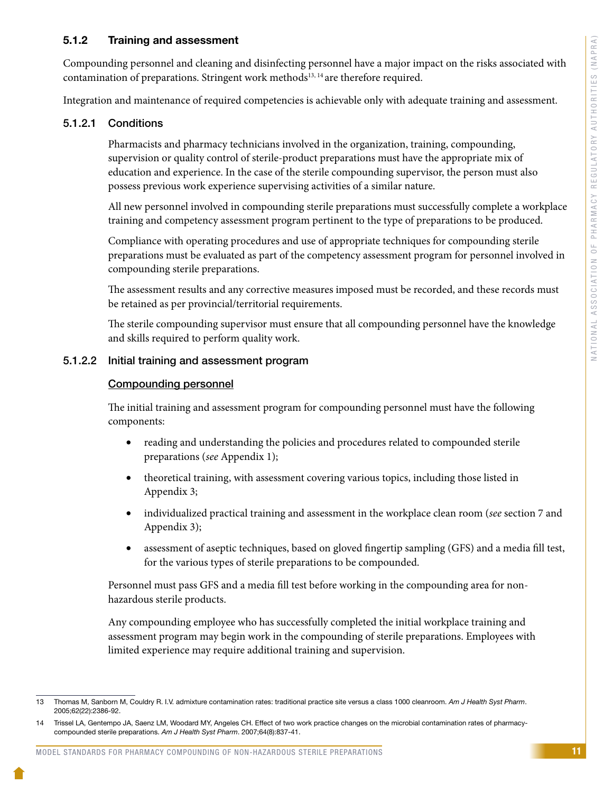# 5.1.2 Training and assessment

Compounding personnel and cleaning and disinfecting personnel have a major impact on the risks associated with contamination of preparations. Stringent work methods $13, 14$  are therefore required.

Integration and maintenance of required competencies is achievable only with adequate training and assessment.

# 5.1.2.1 Conditions

Pharmacists and pharmacy technicians involved in the organization, training, compounding, supervision or quality control of sterile-product preparations must have the appropriate mix of education and experience. In the case of the sterile compounding supervisor, the person must also possess previous work experience supervising activities of a similar nature.

All new personnel involved in compounding sterile preparations must successfully complete a workplace training and competency assessment program pertinent to the type of preparations to be produced.

Compliance with operating procedures and use of appropriate techniques for compounding sterile preparations must be evaluated as part of the competency assessment program for personnel involved in compounding sterile preparations.

The assessment results and any corrective measures imposed must be recorded, and these records must be retained as per provincial/territorial requirements.

The sterile compounding supervisor must ensure that all compounding personnel have the knowledge and skills required to perform quality work.

### 5.1.2.2 Initial training and assessment program

#### Compounding personnel

The initial training and assessment program for compounding personnel must have the following components:

- reading and understanding the policies and procedures related to compounded sterile preparations (*see* Appendix 1);
- theoretical training, with assessment covering various topics, including those listed in Appendix 3;
- individualized practical training and assessment in the workplace clean room (*see* section 7 and Appendix 3);
- assessment of aseptic techniques, based on gloved fingertip sampling (GFS) and a media fill test, for the various types of sterile preparations to be compounded.

Personnel must pass GFS and a media fill test before working in the compounding area for nonhazardous sterile products.

Any compounding employee who has successfully completed the initial workplace training and assessment program may begin work in the compounding of sterile preparations. Employees with limited experience may require additional training and supervision.

<sup>13</sup> Thomas M, Sanborn M, Couldry R. I.V. admixture contamination rates: traditional practice site versus a class 1000 cleanroom. *Am J Health Syst Pharm*. 2005;62(22):2386-92.

<sup>14</sup> Trissel LA, Gentempo JA, Saenz LM, Woodard MY, Angeles CH. Effect of two work practice changes on the microbial contamination rates of pharmacycompounded sterile preparations. *Am J Health Syst Pharm*. 2007;64(8):837-41.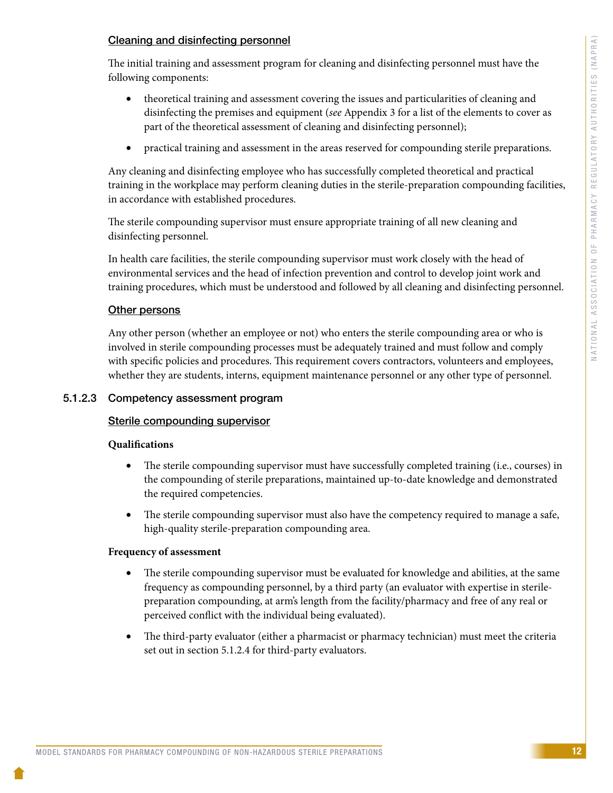# Cleaning and disinfecting personnel

The initial training and assessment program for cleaning and disinfecting personnel must have the following components:

- theoretical training and assessment covering the issues and particularities of cleaning and disinfecting the premises and equipment (*see* Appendix 3 for a list of the elements to cover as part of the theoretical assessment of cleaning and disinfecting personnel);
- practical training and assessment in the areas reserved for compounding sterile preparations.

Any cleaning and disinfecting employee who has successfully completed theoretical and practical training in the workplace may perform cleaning duties in the sterile-preparation compounding facilities, in accordance with established procedures.

The sterile compounding supervisor must ensure appropriate training of all new cleaning and disinfecting personnel.

In health care facilities, the sterile compounding supervisor must work closely with the head of environmental services and the head of infection prevention and control to develop joint work and training procedures, which must be understood and followed by all cleaning and disinfecting personnel.

# **Other persons**

Any other person (whether an employee or not) who enters the sterile compounding area or who is involved in sterile compounding processes must be adequately trained and must follow and comply with specific policies and procedures. This requirement covers contractors, volunteers and employees, whether they are students, interns, equipment maintenance personnel or any other type of personnel.

# 5.1.2.3 Competency assessment program

# Sterile compounding supervisor

### **Qualifications**

- The sterile compounding supervisor must have successfully completed training (i.e., courses) in the compounding of sterile preparations, maintained up-to-date knowledge and demonstrated the required competencies.
- The sterile compounding supervisor must also have the competency required to manage a safe, high-quality sterile-preparation compounding area.

### **Frequency of assessment**

- The sterile compounding supervisor must be evaluated for knowledge and abilities, at the same frequency as compounding personnel, by a third party (an evaluator with expertise in sterilepreparation compounding, at arm's length from the facility/pharmacy and free of any real or perceived conflict with the individual being evaluated).
- The third-party evaluator (either a pharmacist or pharmacy technician) must meet the criteria set out in section 5.1.2.4 for third-party evaluators.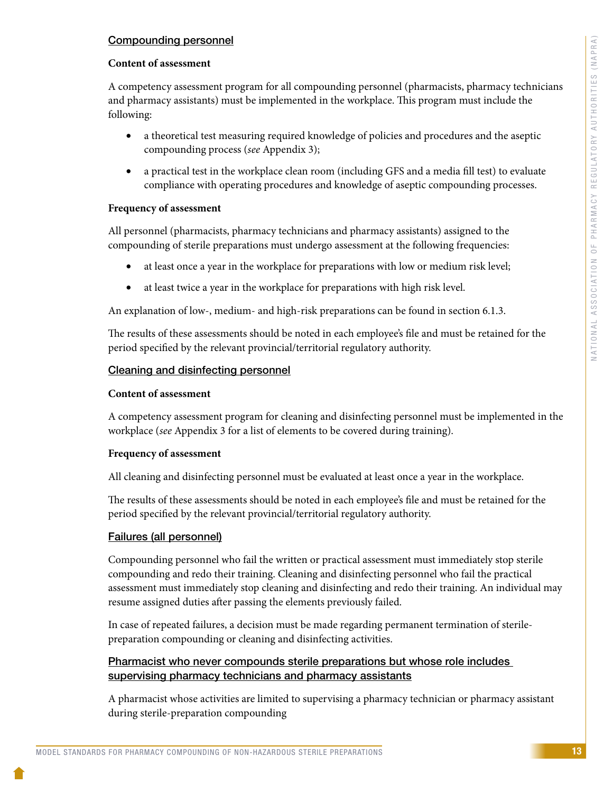# Compounding personnel

### **Content of assessment**

A competency assessment program for all compounding personnel (pharmacists, pharmacy technicians and pharmacy assistants) must be implemented in the workplace. This program must include the following:

- a theoretical test measuring required knowledge of policies and procedures and the aseptic compounding process (*see* Appendix 3);
- a practical test in the workplace clean room (including GFS and a media fill test) to evaluate compliance with operating procedures and knowledge of aseptic compounding processes.

### **Frequency of assessment**

All personnel (pharmacists, pharmacy technicians and pharmacy assistants) assigned to the compounding of sterile preparations must undergo assessment at the following frequencies:

- at least once a year in the workplace for preparations with low or medium risk level;
- at least twice a year in the workplace for preparations with high risk level.

An explanation of low-, medium- and high-risk preparations can be found in section 6.1.3.

The results of these assessments should be noted in each employee's file and must be retained for the period specified by the relevant provincial/territorial regulatory authority.

### Cleaning and disinfecting personnel

#### **Content of assessment**

A competency assessment program for cleaning and disinfecting personnel must be implemented in the workplace (*see* Appendix 3 for a list of elements to be covered during training).

### **Frequency of assessment**

All cleaning and disinfecting personnel must be evaluated at least once a year in the workplace.

The results of these assessments should be noted in each employee's file and must be retained for the period specified by the relevant provincial/territorial regulatory authority.

### Failures (all personnel)

Compounding personnel who fail the written or practical assessment must immediately stop sterile compounding and redo their training. Cleaning and disinfecting personnel who fail the practical assessment must immediately stop cleaning and disinfecting and redo their training. An individual may resume assigned duties after passing the elements previously failed.

In case of repeated failures, a decision must be made regarding permanent termination of sterilepreparation compounding or cleaning and disinfecting activities.

# Pharmacist who never compounds sterile preparations but whose role includes supervising pharmacy technicians and pharmacy assistants

A pharmacist whose activities are limited to supervising a pharmacy technician or pharmacy assistant during sterile-preparation compounding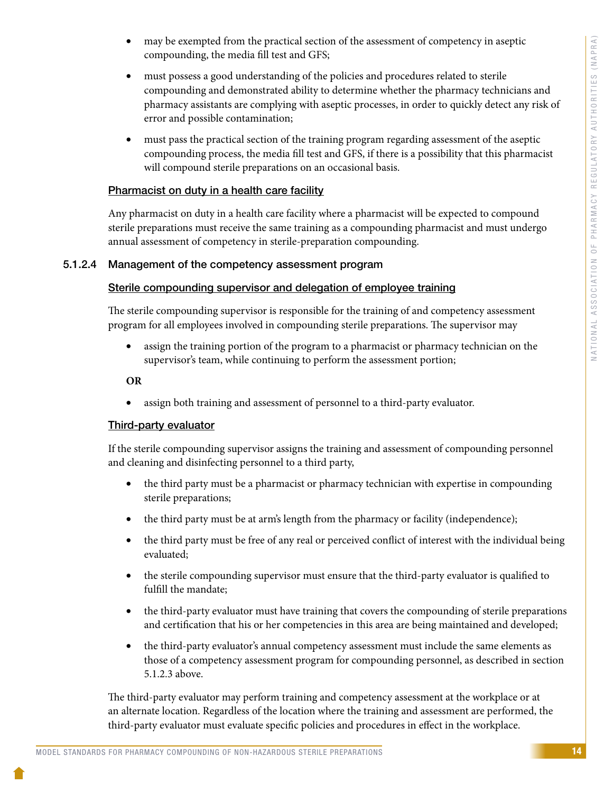- may be exempted from the practical section of the assessment of competency in aseptic compounding, the media fill test and GFS;
- must possess a good understanding of the policies and procedures related to sterile compounding and demonstrated ability to determine whether the pharmacy technicians and pharmacy assistants are complying with aseptic processes, in order to quickly detect any risk of error and possible contamination;
- must pass the practical section of the training program regarding assessment of the aseptic compounding process, the media fill test and GFS, if there is a possibility that this pharmacist will compound sterile preparations on an occasional basis.

# Pharmacist on duty in a health care facility

Any pharmacist on duty in a health care facility where a pharmacist will be expected to compound sterile preparations must receive the same training as a compounding pharmacist and must undergo annual assessment of competency in sterile-preparation compounding.

# 5.1.2.4 Management of the competency assessment program

# Sterile compounding supervisor and delegation of employee training

The sterile compounding supervisor is responsible for the training of and competency assessment program for all employees involved in compounding sterile preparations. The supervisor may

• assign the training portion of the program to a pharmacist or pharmacy technician on the supervisor's team, while continuing to perform the assessment portion;

# **OR**

• assign both training and assessment of personnel to a third-party evaluator.

# Third-party evaluator

If the sterile compounding supervisor assigns the training and assessment of compounding personnel and cleaning and disinfecting personnel to a third party,

- the third party must be a pharmacist or pharmacy technician with expertise in compounding sterile preparations;
- the third party must be at arm's length from the pharmacy or facility (independence);
- the third party must be free of any real or perceived conflict of interest with the individual being evaluated;
- the sterile compounding supervisor must ensure that the third-party evaluator is qualified to fulfill the mandate;
- the third-party evaluator must have training that covers the compounding of sterile preparations and certification that his or her competencies in this area are being maintained and developed;
- the third-party evaluator's annual competency assessment must include the same elements as those of a competency assessment program for compounding personnel, as described in section 5.1.2.3 above.

The third-party evaluator may perform training and competency assessment at the workplace or at an alternate location. Regardless of the location where the training and assessment are performed, the third-party evaluator must evaluate specific policies and procedures in effect in the workplace.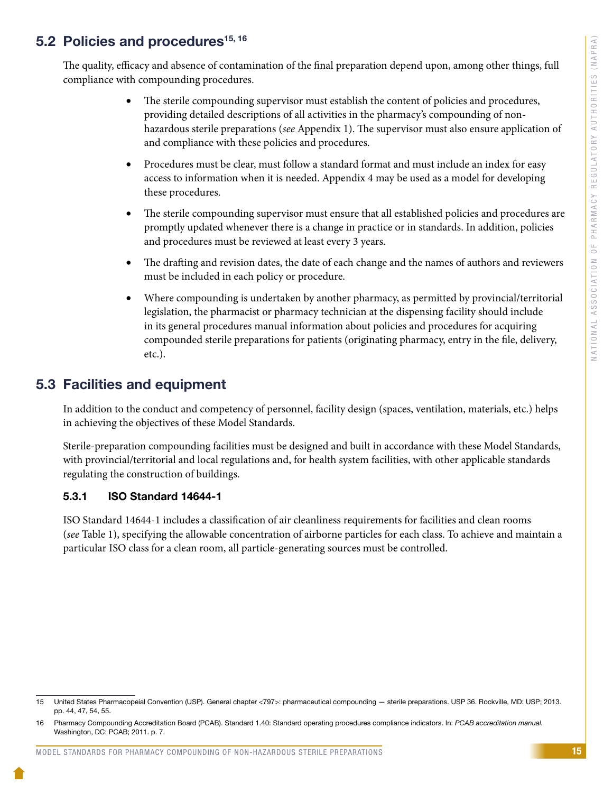# <span id="page-17-0"></span>5.2 Policies and procedures<sup>15, 16</sup>

The quality, efficacy and absence of contamination of the final preparation depend upon, among other things, full compliance with compounding procedures.

- The sterile compounding supervisor must establish the content of policies and procedures, providing detailed descriptions of all activities in the pharmacy's compounding of nonhazardous sterile preparations (*see* Appendix 1). The supervisor must also ensure application of and compliance with these policies and procedures.
- Procedures must be clear, must follow a standard format and must include an index for easy access to information when it is needed. Appendix 4 may be used as a model for developing these procedures.
- The sterile compounding supervisor must ensure that all established policies and procedures are promptly updated whenever there is a change in practice or in standards. In addition, policies and procedures must be reviewed at least every 3 years.
- The drafting and revision dates, the date of each change and the names of authors and reviewers must be included in each policy or procedure.
- Where compounding is undertaken by another pharmacy, as permitted by provincial/territorial legislation, the pharmacist or pharmacy technician at the dispensing facility should include in its general procedures manual information about policies and procedures for acquiring compounded sterile preparations for patients (originating pharmacy, entry in the file, delivery, etc.).

# 5.3 Facilities and equipment

In addition to the conduct and competency of personnel, facility design (spaces, ventilation, materials, etc.) helps in achieving the objectives of these Model Standards.

Sterile-preparation compounding facilities must be designed and built in accordance with these Model Standards, with provincial/territorial and local regulations and, for health system facilities, with other applicable standards regulating the construction of buildings.

# 5.3.1 ISO Standard 14644-1

ISO Standard 14644-1 includes a classification of air cleanliness requirements for facilities and clean rooms (*see* Table 1), specifying the allowable concentration of airborne particles for each class. To achieve and maintain a particular ISO class for a clean room, all particle-generating sources must be controlled.

<sup>15</sup> United States Pharmacopeial Convention (USP). General chapter <797>: pharmaceutical compounding — sterile preparations. USP 36. Rockville, MD: USP; 2013. pp. 44, 47, 54, 55.

<sup>16</sup> Pharmacy Compounding Accreditation Board (PCAB). Standard 1.40: Standard operating procedures compliance indicators. In: *PCAB accreditation manual.* Washington, DC: PCAB; 2011. p. 7.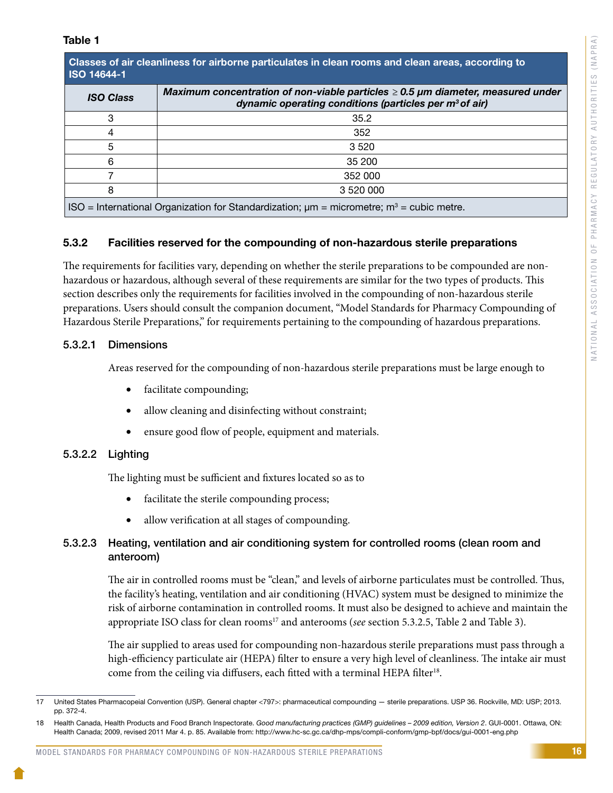| Classes of air cleanliness for airborne particulates in clean rooms and clean areas, according to |  |
|---------------------------------------------------------------------------------------------------|--|
| <b>ISO 14644-1</b>                                                                                |  |

| <b>ISO Class</b>                                                                                          | Maximum concentration of non-viable particles $\geq 0.5$ µm diameter, measured under<br>dynamic operating conditions (particles per $m^3$ of air) |
|-----------------------------------------------------------------------------------------------------------|---------------------------------------------------------------------------------------------------------------------------------------------------|
| 3                                                                                                         | 35.2                                                                                                                                              |
|                                                                                                           | 352                                                                                                                                               |
| 5                                                                                                         | 3520                                                                                                                                              |
| 6                                                                                                         | 35 200                                                                                                                                            |
|                                                                                                           | 352 000                                                                                                                                           |
| 8                                                                                                         | 3 520 000                                                                                                                                         |
| ISO = International Organization for Standardization; $\mu$ m = micrometre; m <sup>3</sup> = cubic metre. |                                                                                                                                                   |

# 5.3.2 Facilities reserved for the compounding of non-hazardous sterile preparations

The requirements for facilities vary, depending on whether the sterile preparations to be compounded are nonhazardous or hazardous, although several of these requirements are similar for the two types of products. This section describes only the requirements for facilities involved in the compounding of non-hazardous sterile preparations. Users should consult the companion document, "Model Standards for Pharmacy Compounding of Hazardous Sterile Preparations," for requirements pertaining to the compounding of hazardous preparations.

# 5.3.2.1 Dimensions

Areas reserved for the compounding of non-hazardous sterile preparations must be large enough to

- facilitate compounding;
- allow cleaning and disinfecting without constraint;
- ensure good flow of people, equipment and materials.

# 5.3.2.2 Lighting

The lighting must be sufficient and fixtures located so as to

- facilitate the sterile compounding process;
- allow verification at all stages of compounding.

# 5.3.2.3 Heating, ventilation and air conditioning system for controlled rooms (clean room and anteroom)

The air in controlled rooms must be "clean," and levels of airborne particulates must be controlled. Thus, the facility's heating, ventilation and air conditioning (HVAC) system must be designed to minimize the risk of airborne contamination in controlled rooms. It must also be designed to achieve and maintain the appropriate ISO class for clean rooms<sup>17</sup> and anterooms (*see* section 5.3.2.5, Table 2 and Table 3).

The air supplied to areas used for compounding non-hazardous sterile preparations must pass through a high-efficiency particulate air (HEPA) filter to ensure a very high level of cleanliness. The intake air must come from the ceiling via diffusers, each fitted with a terminal HEPA filter<sup>18</sup>.

<sup>17</sup> United States Pharmacopeial Convention (USP). General chapter <797>: pharmaceutical compounding — sterile preparations. USP 36. Rockville, MD: USP; 2013. pp. 372-4.

<sup>18</sup> Health Canada, Health Products and Food Branch Inspectorate. *Good manufacturing practices (GMP) guidelines – 2009 edition, Version 2*. GUI-0001. Ottawa, ON: Health Canada; 2009, revised 2011 Mar 4. p. 85. Available from: http://www.hc-sc.gc.ca/dhp-mps/compli-conform/gmp-bpf/docs/gui-0001-eng.php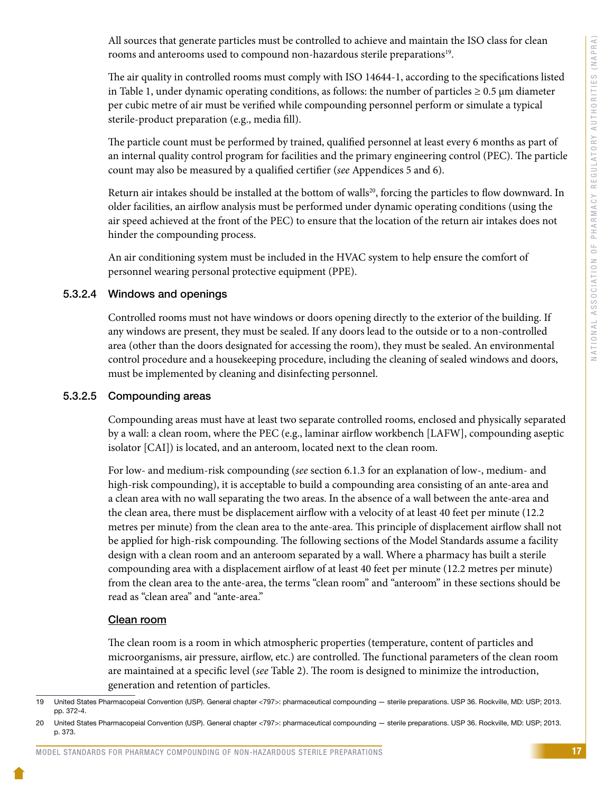All sources that generate particles must be controlled to achieve and maintain the ISO class for clean rooms and anterooms used to compound non-hazardous sterile preparations<sup>19</sup>.

The air quality in controlled rooms must comply with ISO 14644-1, according to the specifications listed in Table 1, under dynamic operating conditions, as follows: the number of particles  $\geq 0.5$  µm diameter per cubic metre of air must be verified while compounding personnel perform or simulate a typical sterile-product preparation (e.g., media fill).

The particle count must be performed by trained, qualified personnel at least every 6 months as part of an internal quality control program for facilities and the primary engineering control (PEC). The particle count may also be measured by a qualified certifier (*see* Appendices 5 and 6).

Return air intakes should be installed at the bottom of walls<sup>20</sup>, forcing the particles to flow downward. In older facilities, an airflow analysis must be performed under dynamic operating conditions (using the air speed achieved at the front of the PEC) to ensure that the location of the return air intakes does not hinder the compounding process.

An air conditioning system must be included in the HVAC system to help ensure the comfort of personnel wearing personal protective equipment (PPE).

# 5.3.2.4 Windows and openings

Controlled rooms must not have windows or doors opening directly to the exterior of the building. If any windows are present, they must be sealed. If any doors lead to the outside or to a non-controlled area (other than the doors designated for accessing the room), they must be sealed. An environmental control procedure and a housekeeping procedure, including the cleaning of sealed windows and doors, must be implemented by cleaning and disinfecting personnel.

# 5.3.2.5 Compounding areas

Compounding areas must have at least two separate controlled rooms, enclosed and physically separated by a wall: a clean room, where the PEC (e.g., laminar airflow workbench [LAFW], compounding aseptic isolator [CAI]) is located, and an anteroom, located next to the clean room.

For low- and medium-risk compounding (*see* section 6.1.3 for an explanation of low-, medium- and high-risk compounding), it is acceptable to build a compounding area consisting of an ante-area and a clean area with no wall separating the two areas. In the absence of a wall between the ante-area and the clean area, there must be displacement airflow with a velocity of at least 40 feet per minute (12.2 metres per minute) from the clean area to the ante-area. This principle of displacement airflow shall not be applied for high-risk compounding. The following sections of the Model Standards assume a facility design with a clean room and an anteroom separated by a wall. Where a pharmacy has built a sterile compounding area with a displacement airflow of at least 40 feet per minute (12.2 metres per minute) from the clean area to the ante-area, the terms "clean room" and "anteroom" in these sections should be read as "clean area" and "ante-area."

# Clean room

The clean room is a room in which atmospheric properties (temperature, content of particles and microorganisms, air pressure, airflow, etc.) are controlled. The functional parameters of the clean room are maintained at a specific level (*see* Table 2). The room is designed to minimize the introduction, generation and retention of particles.

<sup>19</sup> United States Pharmacopeial Convention (USP). General chapter <797>: pharmaceutical compounding — sterile preparations. USP 36. Rockville, MD: USP; 2013. pp. 372-4.

<sup>20</sup> United States Pharmacopeial Convention (USP). General chapter <797>: pharmaceutical compounding — sterile preparations. USP 36. Rockville, MD: USP; 2013. p. 373.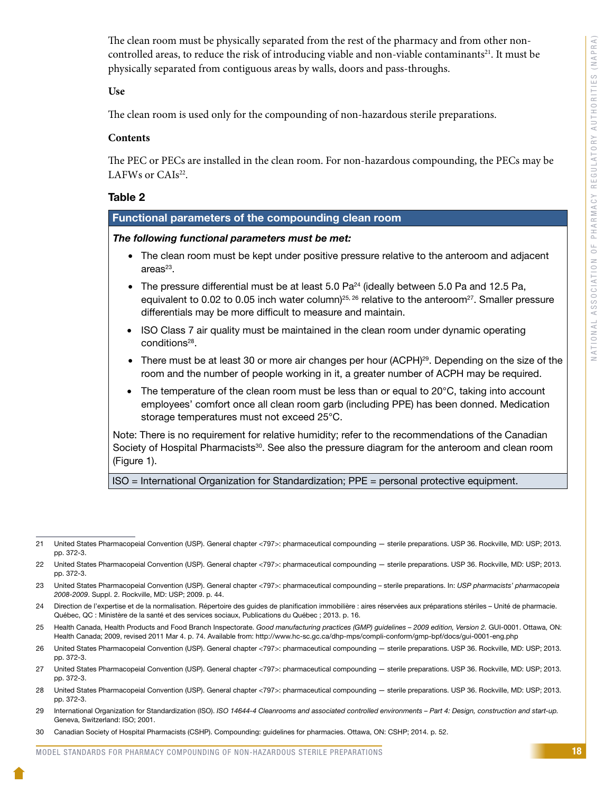The clean room must be physically separated from the rest of the pharmacy and from other noncontrolled areas, to reduce the risk of introducing viable and non-viable contaminants<sup>21</sup>. It must be physically separated from contiguous areas by walls, doors and pass-throughs.

**Use**

The clean room is used only for the compounding of non-hazardous sterile preparations.

#### **Contents**

The PEC or PECs are installed in the clean room. For non-hazardous compounding, the PECs may be LAFWs or  $CAIs<sup>22</sup>$ .

### Table 2

### Functional parameters of the compounding clean room

#### *The following functional parameters must be met:*

- The clean room must be kept under positive pressure relative to the anteroom and adjacent  $area<sup>23</sup>$ .
- The pressure differential must be at least 5.0 Pa $^{24}$  (ideally between 5.0 Pa and 12.5 Pa, equivalent to 0.02 to 0.05 inch water column)<sup>25, 26</sup> relative to the anteroom<sup>27</sup>. Smaller pressure differentials may be more difficult to measure and maintain.
- ISO Class 7 air quality must be maintained in the clean room under dynamic operating conditions<sup>28</sup>.
- There must be at least 30 or more air changes per hour (ACPH)<sup>29</sup>. Depending on the size of the room and the number of people working in it, a greater number of ACPH may be required.
- The temperature of the clean room must be less than or equal to 20°C, taking into account employees' comfort once all clean room garb (including PPE) has been donned. Medication storage temperatures must not exceed 25°C.

Note: There is no requirement for relative humidity; refer to the recommendations of the Canadian Society of Hospital Pharmacists<sup>30</sup>. See also the pressure diagram for the anteroom and clean room (Figure 1).

ISO = International Organization for Standardization; PPE = personal protective equipment.

- 24 Direction de l'expertise et de la normalisation. Répertoire des guides de planification immobilière : aires réservées aux préparations stériles Unité de pharmacie. Québec, QC : Ministère de la santé et des services sociaux, Publications du Québec ; 2013. p. 16.
- 25 Health Canada, Health Products and Food Branch Inspectorate. *Good manufacturing practices (GMP) guidelines 2009 edition, Version 2.* GUI-0001. Ottawa, ON: Health Canada; 2009, revised 2011 Mar 4. p. 74. Available from: http://www.hc-sc.gc.ca/dhp-mps/compli-conform/gmp-bpf/docs/gui-0001-eng.php
- 26 United States Pharmacopeial Convention (USP). General chapter <797>: pharmaceutical compounding sterile preparations. USP 36. Rockville, MD: USP; 2013. pp. 372-3.
- 27 United States Pharmacopeial Convention (USP). General chapter <797>: pharmaceutical compounding sterile preparations. USP 36. Rockville, MD: USP; 2013. pp. 372-3.
- 28 United States Pharmacopeial Convention (USP). General chapter <797>: pharmaceutical compounding sterile preparations. USP 36. Rockville, MD: USP; 2013. pp. 372-3.
- 29 International Organization for Standardization (ISO). *ISO 14644-4 Cleanrooms and associated controlled environments Part 4: Design, construction and start-up.*  Geneva, Switzerland: ISO; 2001.

<sup>21</sup> United States Pharmacopeial Convention (USP). General chapter <797>: pharmaceutical compounding — sterile preparations. USP 36. Rockville, MD: USP; 2013. pp. 372-3.

<sup>22</sup> United States Pharmacopeial Convention (USP). General chapter <797>: pharmaceutical compounding — sterile preparations. USP 36. Rockville, MD: USP; 2013. pp. 372-3.

<sup>23</sup> United States Pharmacopeial Convention (USP). General chapter <797>: pharmaceutical compounding – sterile preparations. In: *USP pharmacists' pharmacopeia 2008-2009*. Suppl. 2. Rockville, MD: USP; 2009. p. 44.

<sup>30</sup> Canadian Society of Hospital Pharmacists (CSHP). Compounding: guidelines for pharmacies. Ottawa, ON: CSHP; 2014. p. 52.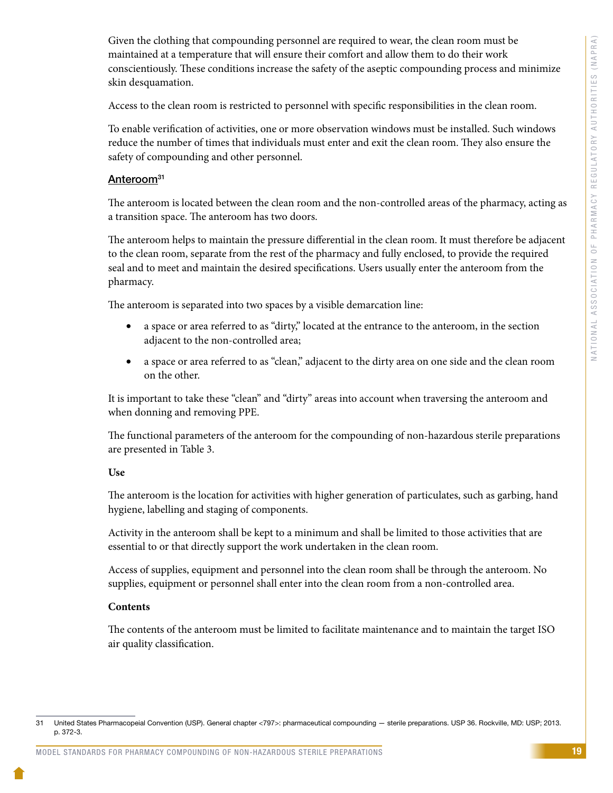Given the clothing that compounding personnel are required to wear, the clean room must be maintained at a temperature that will ensure their comfort and allow them to do their work conscientiously. These conditions increase the safety of the aseptic compounding process and minimize skin desquamation.

Access to the clean room is restricted to personnel with specific responsibilities in the clean room.

To enable verification of activities, one or more observation windows must be installed. Such windows reduce the number of times that individuals must enter and exit the clean room. They also ensure the safety of compounding and other personnel.

# Anteroom<sup>31</sup>

The anteroom is located between the clean room and the non-controlled areas of the pharmacy, acting as a transition space. The anteroom has two doors.

The anteroom helps to maintain the pressure differential in the clean room. It must therefore be adjacent to the clean room, separate from the rest of the pharmacy and fully enclosed, to provide the required seal and to meet and maintain the desired specifications. Users usually enter the anteroom from the pharmacy.

The anteroom is separated into two spaces by a visible demarcation line:

- a space or area referred to as "dirty," located at the entrance to the anteroom, in the section adjacent to the non-controlled area;
- a space or area referred to as "clean," adjacent to the dirty area on one side and the clean room on the other.

It is important to take these "clean" and "dirty" areas into account when traversing the anteroom and when donning and removing PPE.

The functional parameters of the anteroom for the compounding of non-hazardous sterile preparations are presented in Table 3.

### **Use**

The anteroom is the location for activities with higher generation of particulates, such as garbing, hand hygiene, labelling and staging of components.

Activity in the anteroom shall be kept to a minimum and shall be limited to those activities that are essential to or that directly support the work undertaken in the clean room.

Access of supplies, equipment and personnel into the clean room shall be through the anteroom. No supplies, equipment or personnel shall enter into the clean room from a non-controlled area.

### **Contents**

The contents of the anteroom must be limited to facilitate maintenance and to maintain the target ISO air quality classification.

<sup>31</sup> United States Pharmacopeial Convention (USP). General chapter <797>: pharmaceutical compounding — sterile preparations. USP 36. Rockville, MD: USP; 2013. p. 372-3.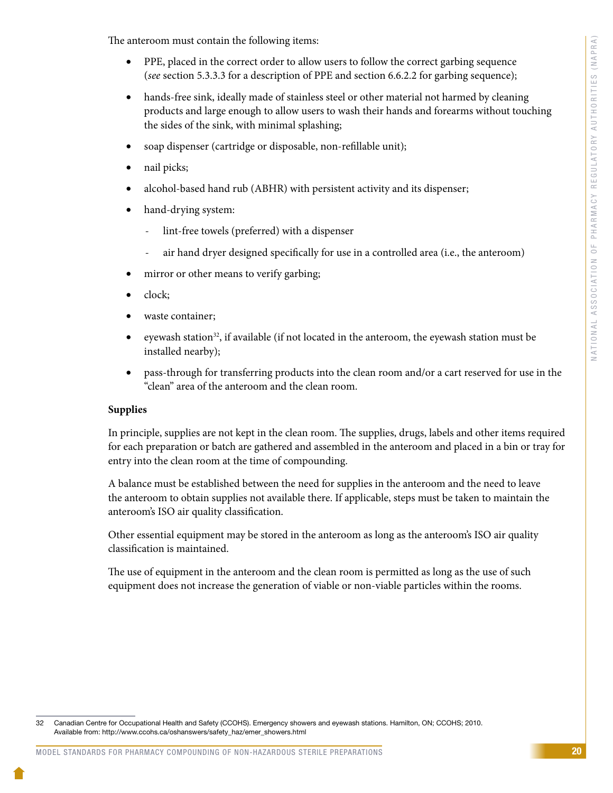The anteroom must contain the following items:

- PPE, placed in the correct order to allow users to follow the correct garbing sequence (*see* section 5.3.3.3 for a description of PPE and section 6.6.2.2 for garbing sequence);
- hands-free sink, ideally made of stainless steel or other material not harmed by cleaning products and large enough to allow users to wash their hands and forearms without touching the sides of the sink, with minimal splashing;
- soap dispenser (cartridge or disposable, non-refillable unit);
- nail picks;
- alcohol-based hand rub (ABHR) with persistent activity and its dispenser;
- hand-drying system:
	- lint-free towels (preferred) with a dispenser
	- air hand dryer designed specifically for use in a controlled area (i.e., the anteroom)
- mirror or other means to verify garbing;
- clock;
- waste container;
- eyewash station<sup>32</sup>, if available (if not located in the anteroom, the eyewash station must be installed nearby);
- pass-through for transferring products into the clean room and/or a cart reserved for use in the "clean" area of the anteroom and the clean room.

# **Supplies**

In principle, supplies are not kept in the clean room. The supplies, drugs, labels and other items required for each preparation or batch are gathered and assembled in the anteroom and placed in a bin or tray for entry into the clean room at the time of compounding.

A balance must be established between the need for supplies in the anteroom and the need to leave the anteroom to obtain supplies not available there. If applicable, steps must be taken to maintain the anteroom's ISO air quality classification.

Other essential equipment may be stored in the anteroom as long as the anteroom's ISO air quality classification is maintained.

The use of equipment in the anteroom and the clean room is permitted as long as the use of such equipment does not increase the generation of viable or non-viable particles within the rooms.

<sup>32</sup> Canadian Centre for Occupational Health and Safety (CCOHS). Emergency showers and eyewash stations. Hamilton, ON; CCOHS; 2010. Available from: http://www.ccohs.ca/oshanswers/safety\_haz/emer\_showers.html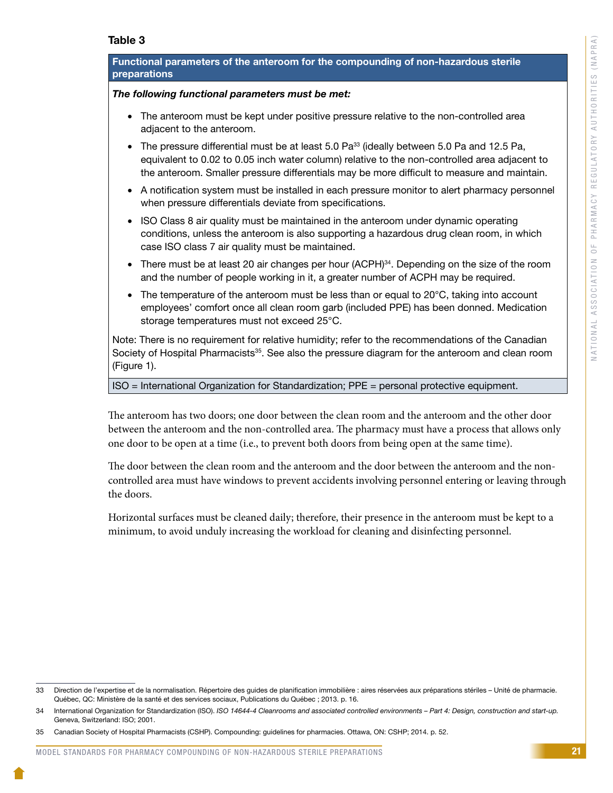## Table 3

### Functional parameters of the anteroom for the compounding of non-hazardous sterile **preparations**

#### *The following functional parameters must be met:*

- The anteroom must be kept under positive pressure relative to the non-controlled area adjacent to the anteroom.
- The pressure differential must be at least  $5.0$  Pa<sup>33</sup> (ideally between  $5.0$  Pa and  $12.5$  Pa, equivalent to 0.02 to 0.05 inch water column) relative to the non-controlled area adjacent to the anteroom. Smaller pressure differentials may be more difficult to measure and maintain.
- A notification system must be installed in each pressure monitor to alert pharmacy personnel when pressure differentials deviate from specifications.
- ISO Class 8 air quality must be maintained in the anteroom under dynamic operating conditions, unless the anteroom is also supporting a hazardous drug clean room, in which case ISO class 7 air quality must be maintained.
- There must be at least 20 air changes per hour (ACPH)<sup>34</sup>. Depending on the size of the room and the number of people working in it, a greater number of ACPH may be required.
- The temperature of the anteroom must be less than or equal to 20°C, taking into account employees' comfort once all clean room garb (included PPE) has been donned. Medication storage temperatures must not exceed 25°C.

Note: There is no requirement for relative humidity; refer to the recommendations of the Canadian Society of Hospital Pharmacists<sup>35</sup>. See also the pressure diagram for the anteroom and clean room (Figure 1).

ISO = International Organization for Standardization; PPE = personal protective equipment.

The anteroom has two doors; one door between the clean room and the anteroom and the other door between the anteroom and the non-controlled area. The pharmacy must have a process that allows only one door to be open at a time (i.e., to prevent both doors from being open at the same time).

The door between the clean room and the anteroom and the door between the anteroom and the noncontrolled area must have windows to prevent accidents involving personnel entering or leaving through the doors.

Horizontal surfaces must be cleaned daily; therefore, their presence in the anteroom must be kept to a minimum, to avoid unduly increasing the workload for cleaning and disinfecting personnel.

<sup>33</sup> Direction de l'expertise et de la normalisation. Répertoire des guides de planification immobilière : aires réservées aux préparations stériles – Unité de pharmacie. Québec, QC: Ministère de la santé et des services sociaux, Publications du Québec ; 2013. p. 16.

International Organization for Standardization (ISO). *ISO 14644-4 Cleanrooms and associated controlled environments – Part 4: Design, construction and start-up.* Geneva, Switzerland: ISO; 2001.

<sup>35</sup> Canadian Society of Hospital Pharmacists (CSHP). Compounding: guidelines for pharmacies. Ottawa, ON: CSHP; 2014. p. 52.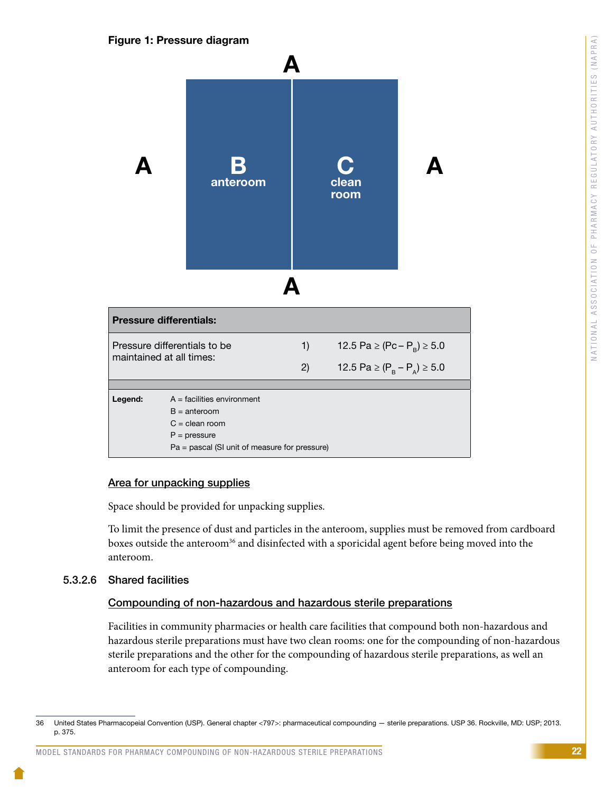### Figure 1: Pressure diagram



### Area for unpacking supplies

Space should be provided for unpacking supplies.

To limit the presence of dust and particles in the anteroom, supplies must be removed from cardboard boxes outside the anteroom<sup>36</sup> and disinfected with a sporicidal agent before being moved into the anteroom.

### 5.3.2.6 Shared facilities

### Compounding of non-hazardous and hazardous sterile preparations

Facilities in community pharmacies or health care facilities that compound both non-hazardous and hazardous sterile preparations must have two clean rooms: one for the compounding of non-hazardous sterile preparations and the other for the compounding of hazardous sterile preparations, as well an anteroom for each type of compounding.

<sup>36</sup> United States Pharmacopeial Convention (USP). General chapter <797>: pharmaceutical compounding — sterile preparations. USP 36. Rockville, MD: USP; 2013. p. 375.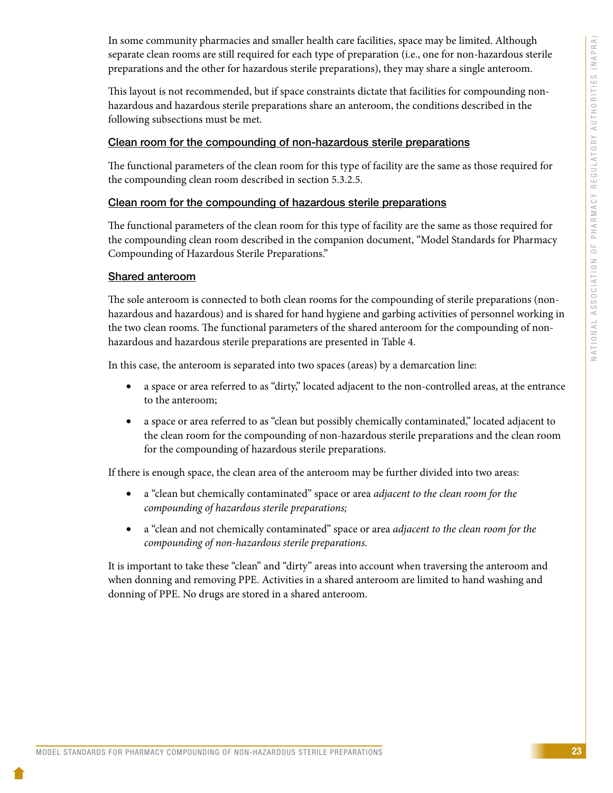In some community pharmacies and smaller health care facilities, space may be limited. Although separate clean rooms are still required for each type of preparation (i.e., one for non-hazardous sterile preparations and the other for hazardous sterile preparations), they may share a single anteroom.

This layout is not recommended, but if space constraints dictate that facilities for compounding nonhazardous and hazardous sterile preparations share an anteroom, the conditions described in the following subsections must be met.

### Clean room for the compounding of non-hazardous sterile preparations

The functional parameters of the clean room for this type of facility are the same as those required for the compounding clean room described in section 5.3.2.5.

### Clean room for the compounding of hazardous sterile preparations

The functional parameters of the clean room for this type of facility are the same as those required for the compounding clean room described in the companion document, "Model Standards for Pharmacy Compounding of Hazardous Sterile Preparations."

# Shared anteroom

The sole anteroom is connected to both clean rooms for the compounding of sterile preparations (nonhazardous and hazardous) and is shared for hand hygiene and garbing activities of personnel working in the two clean rooms. The functional parameters of the shared anteroom for the compounding of nonhazardous and hazardous sterile preparations are presented in Table 4.

In this case, the anteroom is separated into two spaces (areas) by a demarcation line:

- a space or area referred to as "dirty," located adjacent to the non-controlled areas, at the entrance to the anteroom;
- a space or area referred to as "clean but possibly chemically contaminated," located adjacent to the clean room for the compounding of non-hazardous sterile preparations and the clean room for the compounding of hazardous sterile preparations.

If there is enough space, the clean area of the anteroom may be further divided into two areas:

- a "clean but chemically contaminated" space or area *adjacent to the clean room for the compounding of hazardous sterile preparations;*
- a "clean and not chemically contaminated" space or area *adjacent to the clean room for the compounding of non-hazardous sterile preparations.*

It is important to take these "clean" and "dirty" areas into account when traversing the anteroom and when donning and removing PPE. Activities in a shared anteroom are limited to hand washing and donning of PPE. No drugs are stored in a shared anteroom.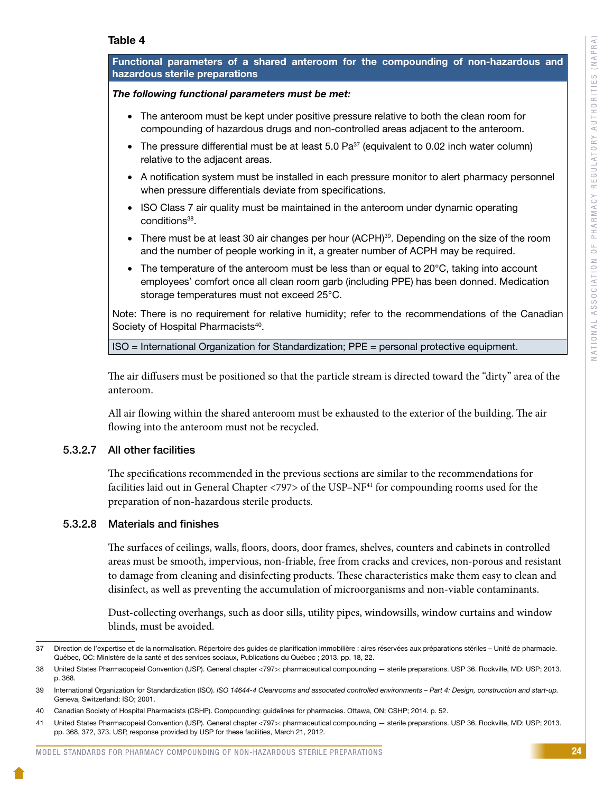#### Table 4

| Functional parameters of a shared anteroom for the compounding of non-hazardous and<br>hazardous sterile preparations                                                                                                                         |  |
|-----------------------------------------------------------------------------------------------------------------------------------------------------------------------------------------------------------------------------------------------|--|
| The following functional parameters must be met:                                                                                                                                                                                              |  |
| The anteroom must be kept under positive pressure relative to both the clean room for<br>$\bullet$<br>compounding of hazardous drugs and non-controlled areas adjacent to the anteroom.                                                       |  |
| The pressure differential must be at least 5.0 Pa <sup>37</sup> (equivalent to 0.02 inch water column)<br>$\bullet$<br>relative to the adjacent areas.                                                                                        |  |
| • A notification system must be installed in each pressure monitor to alert pharmacy personnel<br>when pressure differentials deviate from specifications.                                                                                    |  |
| ISO Class 7 air quality must be maintained in the anteroom under dynamic operating<br>$\bullet$<br>conditions <sup>38</sup> .                                                                                                                 |  |
| There must be at least 30 air changes per hour (ACPH) <sup>39</sup> . Depending on the size of the room<br>$\bullet$<br>and the number of people working in it, a greater number of ACPH may be required.                                     |  |
| The temperature of the anteroom must be less than or equal to 20°C, taking into account<br>$\bullet$<br>employees' comfort once all clean room garb (including PPE) has been donned. Medication<br>storage temperatures must not exceed 25°C. |  |
| Note: There is no requirement for relative humidity; refer to the recommendations of the Canadian<br>Society of Hospital Pharmacists <sup>40</sup> .                                                                                          |  |
| $ISO = International Organization for Standardization; PPE = personal protective equipment.$                                                                                                                                                  |  |
| The air diffusers must be positioned so that the particle stream is directed toward the "dirty" area of the<br>anteroom.                                                                                                                      |  |

All air flowing within the shared anteroom must be exhausted to the exterior of the building. The air flowing into the anteroom must not be recycled.

### 5.3.2.7 All other facilities

The specifications recommended in the previous sections are similar to the recommendations for facilities laid out in General Chapter <797> of the USP-NF<sup>41</sup> for compounding rooms used for the preparation of non-hazardous sterile products.

### 5.3.2.8 Materials and finishes

The surfaces of ceilings, walls, floors, doors, door frames, shelves, counters and cabinets in controlled areas must be smooth, impervious, non-friable, free from cracks and crevices, non-porous and resistant to damage from cleaning and disinfecting products. These characteristics make them easy to clean and disinfect, as well as preventing the accumulation of microorganisms and non-viable contaminants.

Dust-collecting overhangs, such as door sills, utility pipes, windowsills, window curtains and window blinds, must be avoided.

<sup>37</sup> Direction de l'expertise et de la normalisation. Répertoire des guides de planification immobilière : aires réservées aux préparations stériles – Unité de pharmacie. Québec, QC: Ministère de la santé et des services sociaux, Publications du Québec ; 2013. pp. 18, 22.

<sup>38</sup> United States Pharmacopeial Convention (USP). General chapter <797>: pharmaceutical compounding — sterile preparations. USP 36. Rockville, MD: USP; 2013. p. 368.

<sup>39</sup> International Organization for Standardization (ISO). *ISO 14644-4 Cleanrooms and associated controlled environments – Part 4: Design, construction and start-up.*  Geneva, Switzerland: ISO; 2001.

<sup>40</sup> Canadian Society of Hospital Pharmacists (CSHP). Compounding: guidelines for pharmacies. Ottawa, ON: CSHP; 2014. p. 52.

<sup>41</sup> United States Pharmacopeial Convention (USP). General chapter <797>: pharmaceutical compounding — sterile preparations. USP 36. Rockville, MD: USP; 2013. pp. 368, 372, 373. USP, response provided by USP for these facilities, March 21, 2012.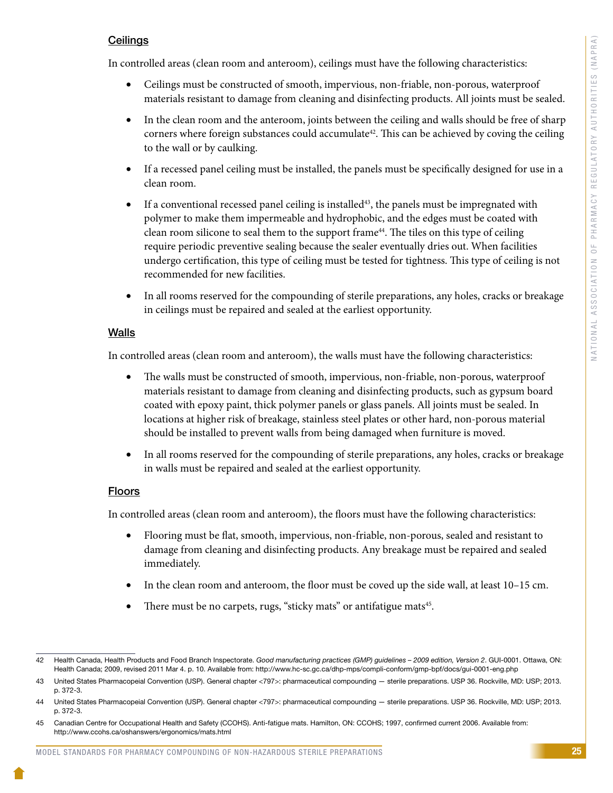# **Ceilings**

In controlled areas (clean room and anteroom), ceilings must have the following characteristics:

- Ceilings must be constructed of smooth, impervious, non-friable, non-porous, waterproof materials resistant to damage from cleaning and disinfecting products. All joints must be sealed.
- In the clean room and the anteroom, joints between the ceiling and walls should be free of sharp corners where foreign substances could accumulate<sup>42</sup>. This can be achieved by coving the ceiling to the wall or by caulking.
- If a recessed panel ceiling must be installed, the panels must be specifically designed for use in a clean room.
- If a conventional recessed panel ceiling is installed<sup>43</sup>, the panels must be impregnated with polymer to make them impermeable and hydrophobic, and the edges must be coated with clean room silicone to seal them to the support frame44. The tiles on this type of ceiling require periodic preventive sealing because the sealer eventually dries out. When facilities undergo certification, this type of ceiling must be tested for tightness. This type of ceiling is not recommended for new facilities.
- In all rooms reserved for the compounding of sterile preparations, any holes, cracks or breakage in ceilings must be repaired and sealed at the earliest opportunity.

# Walls

In controlled areas (clean room and anteroom), the walls must have the following characteristics:

- The walls must be constructed of smooth, impervious, non-friable, non-porous, waterproof materials resistant to damage from cleaning and disinfecting products, such as gypsum board coated with epoxy paint, thick polymer panels or glass panels. All joints must be sealed. In locations at higher risk of breakage, stainless steel plates or other hard, non-porous material should be installed to prevent walls from being damaged when furniture is moved.
- In all rooms reserved for the compounding of sterile preparations, any holes, cracks or breakage in walls must be repaired and sealed at the earliest opportunity.

# Floors

In controlled areas (clean room and anteroom), the floors must have the following characteristics:

- Flooring must be flat, smooth, impervious, non-friable, non-porous, sealed and resistant to damage from cleaning and disinfecting products. Any breakage must be repaired and sealed immediately.
- In the clean room and anteroom, the floor must be coved up the side wall, at least 10–15 cm.
- There must be no carpets, rugs, "sticky mats" or antifatigue mats<sup>45</sup>.

<sup>42</sup> Health Canada, Health Products and Food Branch Inspectorate. *Good manufacturing practices (GMP) guidelines – 2009 edition, Version 2*. GUI-0001. Ottawa, ON: Health Canada; 2009, revised 2011 Mar 4. p. 10. Available from: http://www.hc-sc.gc.ca/dhp-mps/compli-conform/gmp-bpf/docs/gui-0001-eng.php

<sup>43</sup> United States Pharmacopeial Convention (USP). General chapter <797>: pharmaceutical compounding — sterile preparations. USP 36. Rockville, MD: USP; 2013. p. 372-3.

<sup>44</sup> United States Pharmacopeial Convention (USP). General chapter <797>: pharmaceutical compounding — sterile preparations. USP 36. Rockville, MD: USP; 2013. p. 372-3.

<sup>45</sup> Canadian Centre for Occupational Health and Safety (CCOHS). Anti-fatigue mats. Hamilton, ON: CCOHS; 1997, confirmed current 2006. Available from: http://www.ccohs.ca/oshanswers/ergonomics/mats.html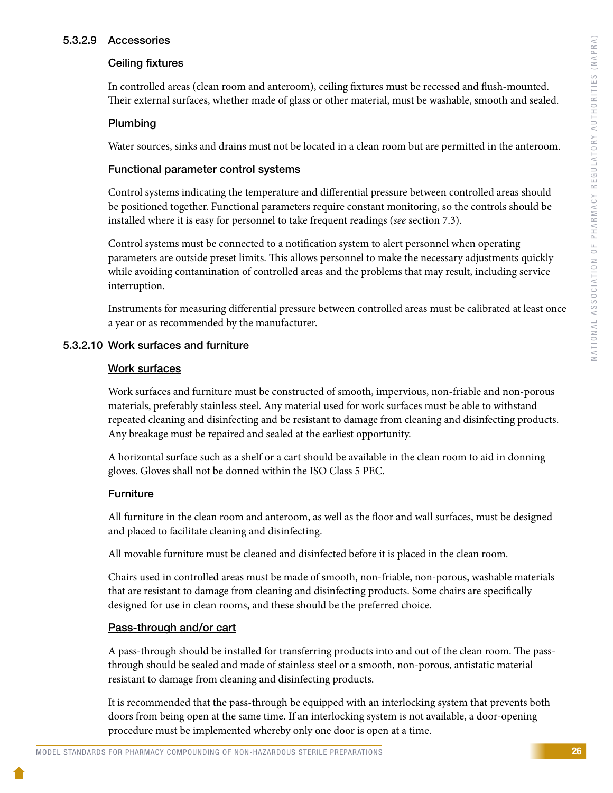## 5.3.2.9 Accessories

# Ceiling fixtures

In controlled areas (clean room and anteroom), ceiling fixtures must be recessed and flush-mounted. Their external surfaces, whether made of glass or other material, must be washable, smooth and sealed.

# Plumbing

Water sources, sinks and drains must not be located in a clean room but are permitted in the anteroom.

# Functional parameter control systems

Control systems indicating the temperature and differential pressure between controlled areas should be positioned together. Functional parameters require constant monitoring, so the controls should be installed where it is easy for personnel to take frequent readings (*see* section 7.3).

Control systems must be connected to a notification system to alert personnel when operating parameters are outside preset limits. This allows personnel to make the necessary adjustments quickly while avoiding contamination of controlled areas and the problems that may result, including service interruption.

Instruments for measuring differential pressure between controlled areas must be calibrated at least once a year or as recommended by the manufacturer.

# 5.3.2.10 Work surfaces and furniture

# Work surfaces

Work surfaces and furniture must be constructed of smooth, impervious, non-friable and non-porous materials, preferably stainless steel. Any material used for work surfaces must be able to withstand repeated cleaning and disinfecting and be resistant to damage from cleaning and disinfecting products. Any breakage must be repaired and sealed at the earliest opportunity.

A horizontal surface such as a shelf or a cart should be available in the clean room to aid in donning gloves. Gloves shall not be donned within the ISO Class 5 PEC.

# **Furniture**

All furniture in the clean room and anteroom, as well as the floor and wall surfaces, must be designed and placed to facilitate cleaning and disinfecting.

All movable furniture must be cleaned and disinfected before it is placed in the clean room.

Chairs used in controlled areas must be made of smooth, non-friable, non-porous, washable materials that are resistant to damage from cleaning and disinfecting products. Some chairs are specifically designed for use in clean rooms, and these should be the preferred choice.

### Pass-through and/or cart

A pass-through should be installed for transferring products into and out of the clean room. The passthrough should be sealed and made of stainless steel or a smooth, non-porous, antistatic material resistant to damage from cleaning and disinfecting products.

It is recommended that the pass-through be equipped with an interlocking system that prevents both doors from being open at the same time. If an interlocking system is not available, a door-opening procedure must be implemented whereby only one door is open at a time.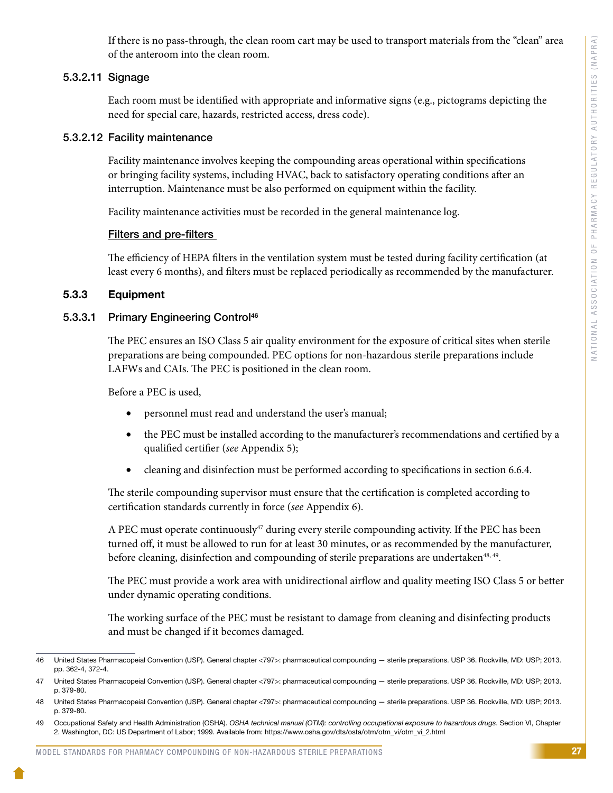If there is no pass-through, the clean room cart may be used to transport materials from the "clean" area of the anteroom into the clean room.

# 5.3.2.11 Signage

Each room must be identified with appropriate and informative signs (e.g., pictograms depicting the need for special care, hazards, restricted access, dress code).

# 5.3.2.12 Facility maintenance

Facility maintenance involves keeping the compounding areas operational within specifications or bringing facility systems, including HVAC, back to satisfactory operating conditions after an interruption. Maintenance must be also performed on equipment within the facility.

Facility maintenance activities must be recorded in the general maintenance log.

# Filters and pre-filters

The efficiency of HEPA filters in the ventilation system must be tested during facility certification (at least every 6 months), and filters must be replaced periodically as recommended by the manufacturer.

# 5.3.3 Equipment

# 5.3.3.1 Primary Engineering Control<sup>46</sup>

The PEC ensures an ISO Class 5 air quality environment for the exposure of critical sites when sterile preparations are being compounded. PEC options for non-hazardous sterile preparations include LAFWs and CAIs. The PEC is positioned in the clean room.

Before a PEC is used,

- personnel must read and understand the user's manual;
- the PEC must be installed according to the manufacturer's recommendations and certified by a qualified certifier (*see* Appendix 5);
- cleaning and disinfection must be performed according to specifications in section 6.6.4.

The sterile compounding supervisor must ensure that the certification is completed according to certification standards currently in force (*see* Appendix 6).

A PEC must operate continuously<sup>47</sup> during every sterile compounding activity. If the PEC has been turned off, it must be allowed to run for at least 30 minutes, or as recommended by the manufacturer, before cleaning, disinfection and compounding of sterile preparations are undertaken<sup>48, 49</sup>.

The PEC must provide a work area with unidirectional airflow and quality meeting ISO Class 5 or better under dynamic operating conditions.

The working surface of the PEC must be resistant to damage from cleaning and disinfecting products and must be changed if it becomes damaged.

<sup>46</sup> United States Pharmacopeial Convention (USP). General chapter <797>: pharmaceutical compounding — sterile preparations. USP 36. Rockville, MD: USP; 2013. pp. 362-4, 372-4.

<sup>47</sup> United States Pharmacopeial Convention (USP). General chapter <797>: pharmaceutical compounding — sterile preparations. USP 36. Rockville, MD: USP; 2013. p. 379-80.

<sup>48</sup> United States Pharmacopeial Convention (USP). General chapter <797>: pharmaceutical compounding — sterile preparations. USP 36. Rockville, MD: USP; 2013. p. 379-80.

<sup>49</sup> Occupational Safety and Health Administration (OSHA). *OSHA technical manual (OTM): controlling occupational exposure to hazardous drugs*. Section VI, Chapter 2. Washington, DC: US Department of Labor; 1999. Available from: https://www.osha.gov/dts/osta/otm/otm\_vi/otm\_vi\_2.html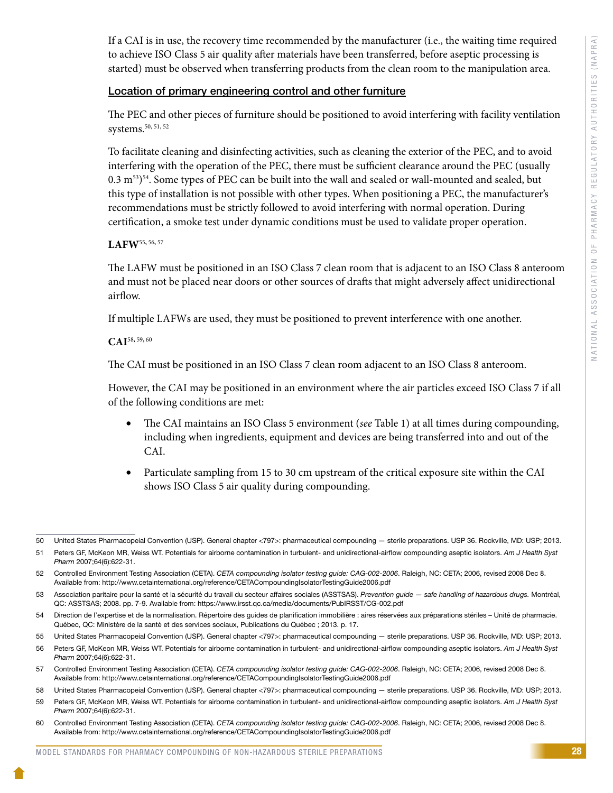If a CAI is in use, the recovery time recommended by the manufacturer (i.e., the waiting time required to achieve ISO Class 5 air quality after materials have been transferred, before aseptic processing is started) must be observed when transferring products from the clean room to the manipulation area.

# Location of primary engineering control and other furniture

The PEC and other pieces of furniture should be positioned to avoid interfering with facility ventilation systems.<sup>50, 51, 52</sup>

To facilitate cleaning and disinfecting activities, such as cleaning the exterior of the PEC, and to avoid interfering with the operation of the PEC, there must be sufficient clearance around the PEC (usually  $0.3 \text{ m}^{53}$ <sup>54</sup>. Some types of PEC can be built into the wall and sealed or wall-mounted and sealed, but this type of installation is not possible with other types. When positioning a PEC, the manufacturer's recommendations must be strictly followed to avoid interfering with normal operation. During certification, a smoke test under dynamic conditions must be used to validate proper operation.

# **LAFW**<sup>55</sup>**,** 56**,** <sup>57</sup>

The LAFW must be positioned in an ISO Class 7 clean room that is adjacent to an ISO Class 8 anteroom and must not be placed near doors or other sources of drafts that might adversely affect unidirectional airflow.

If multiple LAFWs are used, they must be positioned to prevent interference with one another.

# **CAI**<sup>58</sup>**,** 59**,** <sup>60</sup>

The CAI must be positioned in an ISO Class 7 clean room adjacent to an ISO Class 8 anteroom.

However, the CAI may be positioned in an environment where the air particles exceed ISO Class 7 if all of the following conditions are met:

- The CAI maintains an ISO Class 5 environment (*see* Table 1) at all times during compounding, including when ingredients, equipment and devices are being transferred into and out of the CAI.
- Particulate sampling from 15 to 30 cm upstream of the critical exposure site within the CAI shows ISO Class 5 air quality during compounding.

<sup>50</sup> United States Pharmacopeial Convention (USP). General chapter <797>: pharmaceutical compounding — sterile preparations. USP 36. Rockville, MD: USP; 2013.

<sup>51</sup> Peters GF, McKeon MR, Weiss WT. Potentials for airborne contamination in turbulent- and unidirectional-airflow compounding aseptic isolators. *Am J Health Syst Pharm* 2007;64(6):622-31.

<sup>52</sup> Controlled Environment Testing Association (CETA). *CETA compounding isolator testing guide: CAG-002-2006*. Raleigh, NC: CETA; 2006, revised 2008 Dec 8. Available from: http://www.cetainternational.org/reference/CETACompoundingIsolatorTestingGuide2006.pdf

<sup>53</sup> Association paritaire pour la santé et la sécurité du travail du secteur affaires sociales (ASSTSAS). *Prevention guide — safe handling of hazardous drugs.* Montréal, QC: ASSTSAS; 2008. pp. 7-9. Available from: https://www.irsst.qc.ca/media/documents/PubIRSST/CG-002.pdf

<sup>54</sup> Direction de l'expertise et de la normalisation. Répertoire des guides de planification immobilière : aires réservées aux préparations stériles – Unité de pharmacie. Québec, QC: Ministère de la santé et des services sociaux, Publications du Québec ; 2013. p. 17.

<sup>55</sup> United States Pharmacopeial Convention (USP). General chapter <797>: pharmaceutical compounding — sterile preparations. USP 36. Rockville, MD: USP; 2013.

<sup>56</sup> Peters GF, McKeon MR, Weiss WT. Potentials for airborne contamination in turbulent- and unidirectional-airflow compounding aseptic isolators. *Am J Health Syst Pharm* 2007;64(6):622-31.

<sup>57</sup> Controlled Environment Testing Association (CETA). *CETA compounding isolator testing guide: CAG-002-2006*. Raleigh, NC: CETA; 2006, revised 2008 Dec 8. Available from: http://www.cetainternational.org/reference/CETACompoundingIsolatorTestingGuide2006.pdf

<sup>58</sup> United States Pharmacopeial Convention (USP). General chapter <797>: pharmaceutical compounding — sterile preparations. USP 36. Rockville, MD: USP; 2013. 59 Peters GF, McKeon MR, Weiss WT. Potentials for airborne contamination in turbulent- and unidirectional-airflow compounding aseptic isolators. *Am J Health Syst Pharm* 2007;64(6):622-31.

<sup>60</sup> Controlled Environment Testing Association (CETA). *CETA compounding isolator testing guide: CAG-002-2006*. Raleigh, NC: CETA; 2006, revised 2008 Dec 8. Available from: http://www.cetainternational.org/reference/CETACompoundingIsolatorTestingGuide2006.pdf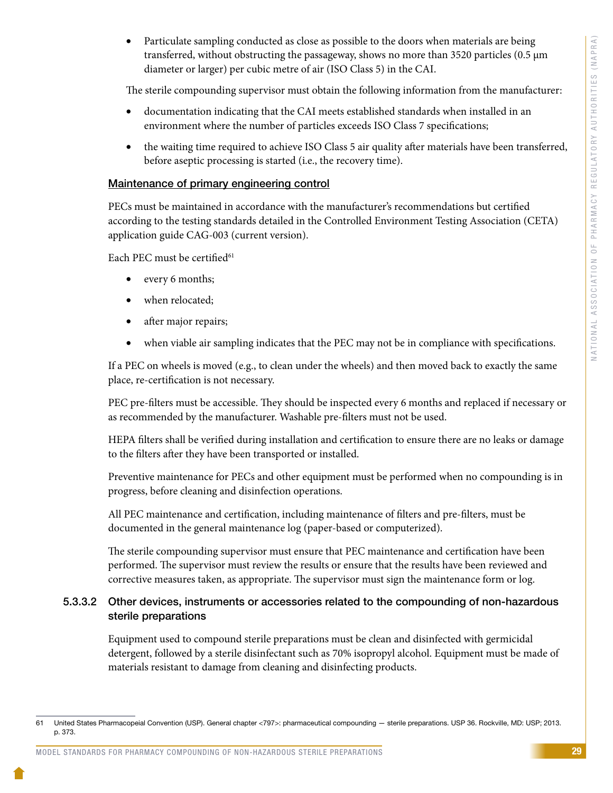Particulate sampling conducted as close as possible to the doors when materials are being transferred, without obstructing the passageway, shows no more than 3520 particles (0.5 µm diameter or larger) per cubic metre of air (ISO Class 5) in the CAI.

The sterile compounding supervisor must obtain the following information from the manufacturer:

- documentation indicating that the CAI meets established standards when installed in an environment where the number of particles exceeds ISO Class 7 specifications;
- the waiting time required to achieve ISO Class 5 air quality after materials have been transferred, before aseptic processing is started (i.e., the recovery time).

# Maintenance of primary engineering control

PECs must be maintained in accordance with the manufacturer's recommendations but certified according to the testing standards detailed in the Controlled Environment Testing Association (CETA) application guide CAG-003 (current version).

Each PEC must be certified<sup>61</sup>

- every 6 months;
- when relocated;
- after major repairs;
- when viable air sampling indicates that the PEC may not be in compliance with specifications.

If a PEC on wheels is moved (e.g., to clean under the wheels) and then moved back to exactly the same place, re-certification is not necessary.

PEC pre-filters must be accessible. They should be inspected every 6 months and replaced if necessary or as recommended by the manufacturer. Washable pre-filters must not be used.

HEPA filters shall be verified during installation and certification to ensure there are no leaks or damage to the filters after they have been transported or installed.

Preventive maintenance for PECs and other equipment must be performed when no compounding is in progress, before cleaning and disinfection operations.

All PEC maintenance and certification, including maintenance of filters and pre-filters, must be documented in the general maintenance log (paper-based or computerized).

The sterile compounding supervisor must ensure that PEC maintenance and certification have been performed. The supervisor must review the results or ensure that the results have been reviewed and corrective measures taken, as appropriate. The supervisor must sign the maintenance form or log.

# 5.3.3.2 Other devices, instruments or accessories related to the compounding of non-hazardous sterile preparations

Equipment used to compound sterile preparations must be clean and disinfected with germicidal detergent, followed by a sterile disinfectant such as 70% isopropyl alcohol. Equipment must be made of materials resistant to damage from cleaning and disinfecting products.

<sup>61</sup> United States Pharmacopeial Convention (USP). General chapter <797>: pharmaceutical compounding — sterile preparations. USP 36. Rockville, MD: USP; 2013. p. 373.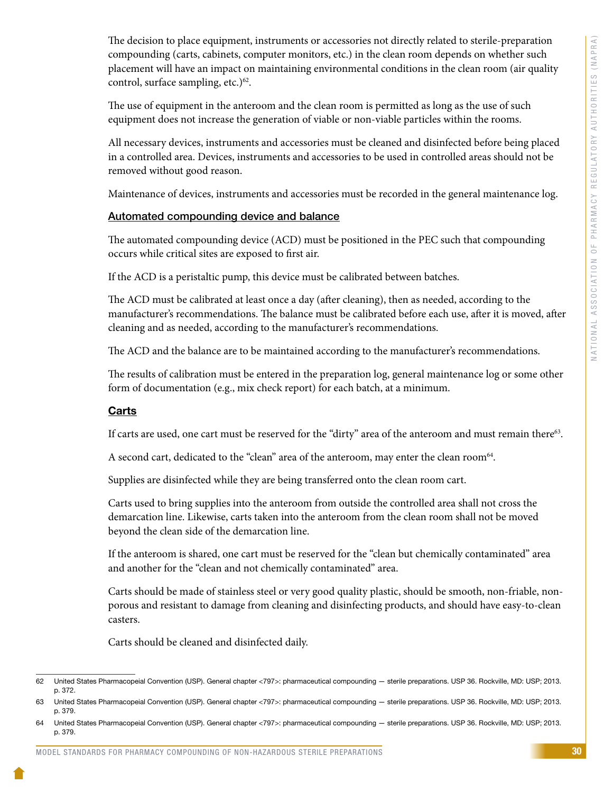The decision to place equipment, instruments or accessories not directly related to sterile-preparation compounding (carts, cabinets, computer monitors, etc.) in the clean room depends on whether such placement will have an impact on maintaining environmental conditions in the clean room (air quality control, surface sampling, etc.)<sup>62</sup>.

The use of equipment in the anteroom and the clean room is permitted as long as the use of such equipment does not increase the generation of viable or non-viable particles within the rooms.

All necessary devices, instruments and accessories must be cleaned and disinfected before being placed in a controlled area. Devices, instruments and accessories to be used in controlled areas should not be removed without good reason.

Maintenance of devices, instruments and accessories must be recorded in the general maintenance log.

#### Automated compounding device and balance

The automated compounding device (ACD) must be positioned in the PEC such that compounding occurs while critical sites are exposed to first air.

If the ACD is a peristaltic pump, this device must be calibrated between batches.

The ACD must be calibrated at least once a day (after cleaning), then as needed, according to the manufacturer's recommendations. The balance must be calibrated before each use, after it is moved, after cleaning and as needed, according to the manufacturer's recommendations.

The ACD and the balance are to be maintained according to the manufacturer's recommendations.

The results of calibration must be entered in the preparation log, general maintenance log or some other form of documentation (e.g., mix check report) for each batch, at a minimum.

### **Carts**

If carts are used, one cart must be reserved for the "dirty" area of the anteroom and must remain there<sup>63</sup>.

A second cart, dedicated to the "clean" area of the anteroom, may enter the clean room<sup>64</sup>.

Supplies are disinfected while they are being transferred onto the clean room cart.

Carts used to bring supplies into the anteroom from outside the controlled area shall not cross the demarcation line. Likewise, carts taken into the anteroom from the clean room shall not be moved beyond the clean side of the demarcation line.

If the anteroom is shared, one cart must be reserved for the "clean but chemically contaminated" area and another for the "clean and not chemically contaminated" area.

Carts should be made of stainless steel or very good quality plastic, should be smooth, non-friable, nonporous and resistant to damage from cleaning and disinfecting products, and should have easy-to-clean casters.

Carts should be cleaned and disinfected daily.

<sup>62</sup> United States Pharmacopeial Convention (USP). General chapter <797>: pharmaceutical compounding — sterile preparations. USP 36. Rockville, MD: USP; 2013. p. 372.

<sup>63</sup> United States Pharmacopeial Convention (USP). General chapter <797>: pharmaceutical compounding — sterile preparations. USP 36. Rockville, MD: USP; 2013. p. 379.

<sup>64</sup> United States Pharmacopeial Convention (USP). General chapter <797>: pharmaceutical compounding — sterile preparations. USP 36. Rockville, MD: USP; 2013. p. 379.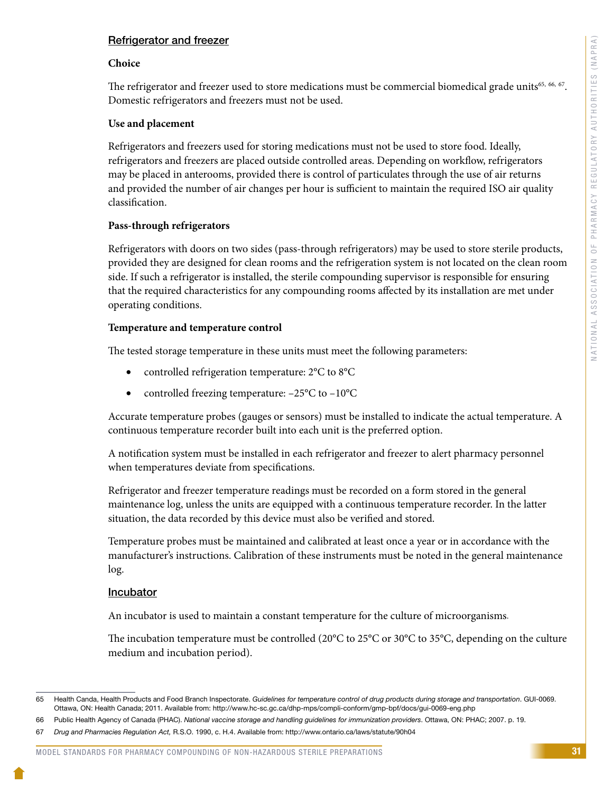# Refrigerator and freezer

#### **Choice**

The refrigerator and freezer used to store medications must be commercial biomedical grade units<sup>65, 66, 67</sup>. Domestic refrigerators and freezers must not be used.

### **Use and placement**

Refrigerators and freezers used for storing medications must not be used to store food. Ideally, refrigerators and freezers are placed outside controlled areas. Depending on workflow, refrigerators may be placed in anterooms, provided there is control of particulates through the use of air returns and provided the number of air changes per hour is sufficient to maintain the required ISO air quality classification.

### **Pass-through refrigerators**

Refrigerators with doors on two sides (pass-through refrigerators) may be used to store sterile products, provided they are designed for clean rooms and the refrigeration system is not located on the clean room side. If such a refrigerator is installed, the sterile compounding supervisor is responsible for ensuring that the required characteristics for any compounding rooms affected by its installation are met under operating conditions.

#### **Temperature and temperature control**

The tested storage temperature in these units must meet the following parameters:

- controlled refrigeration temperature: 2°C to 8°C
- controlled freezing temperature:  $-25^{\circ}$ C to  $-10^{\circ}$ C

Accurate temperature probes (gauges or sensors) must be installed to indicate the actual temperature. A continuous temperature recorder built into each unit is the preferred option.

A notification system must be installed in each refrigerator and freezer to alert pharmacy personnel when temperatures deviate from specifications.

Refrigerator and freezer temperature readings must be recorded on a form stored in the general maintenance log, unless the units are equipped with a continuous temperature recorder. In the latter situation, the data recorded by this device must also be verified and stored.

Temperature probes must be maintained and calibrated at least once a year or in accordance with the manufacturer's instructions. Calibration of these instruments must be noted in the general maintenance log.

### **Incubator**

An incubator is used to maintain a constant temperature for the culture of microorganisms.

The incubation temperature must be controlled (20°C to 25°C or 30°C to 35°C, depending on the culture medium and incubation period).

<sup>65</sup> Health Canda, Health Products and Food Branch Inspectorate. *Guidelines for temperature control of drug products during storage and transportation*. GUI-0069. Ottawa, ON: Health Canada; 2011. Available from: http://www.hc-sc.gc.ca/dhp-mps/compli-conform/gmp-bpf/docs/gui-0069-eng.php

<sup>66</sup> Public Health Agency of Canada (PHAC). *National vaccine storage and handling guidelines for immunization providers*. Ottawa, ON: PHAC; 2007. p. 19.

<sup>67</sup> *Drug and Pharmacies Regulation Act,* R.S.O. 1990, c. H.4. Available from: http://www.ontario.ca/laws/statute/90h04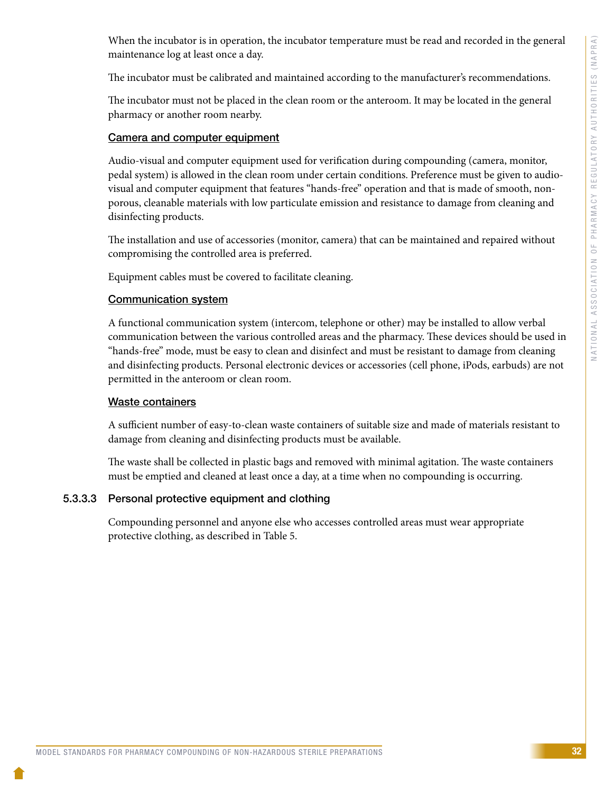When the incubator is in operation, the incubator temperature must be read and recorded in the general maintenance log at least once a day.

The incubator must be calibrated and maintained according to the manufacturer's recommendations.

The incubator must not be placed in the clean room or the anteroom. It may be located in the general pharmacy or another room nearby.

# Camera and computer equipment

Audio-visual and computer equipment used for verification during compounding (camera, monitor, pedal system) is allowed in the clean room under certain conditions. Preference must be given to audiovisual and computer equipment that features "hands-free" operation and that is made of smooth, nonporous, cleanable materials with low particulate emission and resistance to damage from cleaning and disinfecting products.

The installation and use of accessories (monitor, camera) that can be maintained and repaired without compromising the controlled area is preferred.

Equipment cables must be covered to facilitate cleaning.

# Communication system

A functional communication system (intercom, telephone or other) may be installed to allow verbal communication between the various controlled areas and the pharmacy. These devices should be used in "hands-free" mode, must be easy to clean and disinfect and must be resistant to damage from cleaning and disinfecting products. Personal electronic devices or accessories (cell phone, iPods, earbuds) are not permitted in the anteroom or clean room.

## Waste containers

A sufficient number of easy-to-clean waste containers of suitable size and made of materials resistant to damage from cleaning and disinfecting products must be available.

The waste shall be collected in plastic bags and removed with minimal agitation. The waste containers must be emptied and cleaned at least once a day, at a time when no compounding is occurring.

# 5.3.3.3 Personal protective equipment and clothing

Compounding personnel and anyone else who accesses controlled areas must wear appropriate protective clothing, as described in Table 5.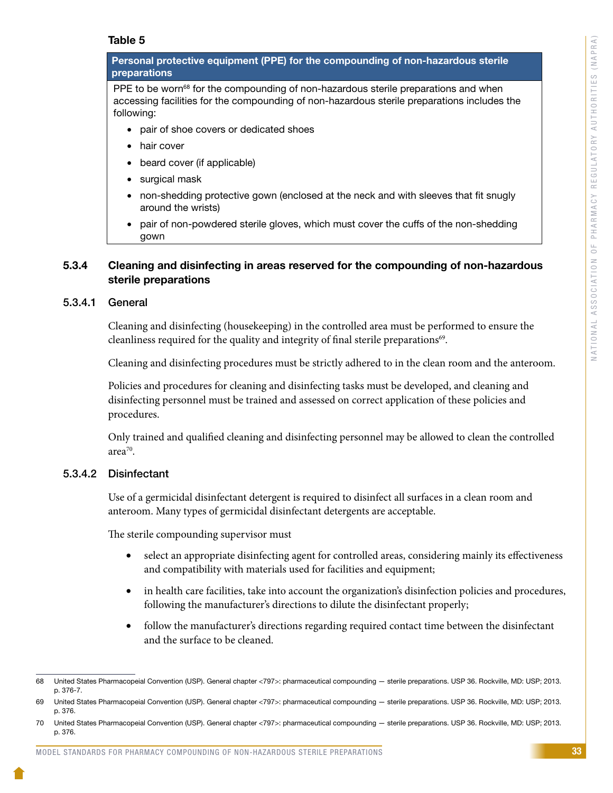### Table 5

Personal protective equipment (PPE) for the compounding of non-hazardous sterile preparations

PPE to be worn<sup>68</sup> for the compounding of non-hazardous sterile preparations and when accessing facilities for the compounding of non-hazardous sterile preparations includes the following:

- pair of shoe covers or dedicated shoes
- hair cover
- beard cover (if applicable)
- surgical mask
- non-shedding protective gown (enclosed at the neck and with sleeves that fit snugly around the wrists)
- pair of non-powdered sterile gloves, which must cover the cuffs of the non-shedding gown

# 5.3.4 Cleaning and disinfecting in areas reserved for the compounding of non-hazardous sterile preparations

### 5.3.4.1 General

Cleaning and disinfecting (housekeeping) in the controlled area must be performed to ensure the cleanliness required for the quality and integrity of final sterile preparations<sup>69</sup>.

Cleaning and disinfecting procedures must be strictly adhered to in the clean room and the anteroom.

Policies and procedures for cleaning and disinfecting tasks must be developed, and cleaning and disinfecting personnel must be trained and assessed on correct application of these policies and procedures.

Only trained and qualified cleaning and disinfecting personnel may be allowed to clean the controlled area<sup>70</sup>.

### 5.3.4.2 Disinfectant

Use of a germicidal disinfectant detergent is required to disinfect all surfaces in a clean room and anteroom. Many types of germicidal disinfectant detergents are acceptable.

The sterile compounding supervisor must

- select an appropriate disinfecting agent for controlled areas, considering mainly its effectiveness and compatibility with materials used for facilities and equipment;
- in health care facilities, take into account the organization's disinfection policies and procedures, following the manufacturer's directions to dilute the disinfectant properly;
- follow the manufacturer's directions regarding required contact time between the disinfectant and the surface to be cleaned.

<sup>68</sup> United States Pharmacopeial Convention (USP). General chapter <797>: pharmaceutical compounding — sterile preparations. USP 36. Rockville, MD: USP; 2013. p. 376-7.

<sup>69</sup> United States Pharmacopeial Convention (USP). General chapter <797>: pharmaceutical compounding — sterile preparations. USP 36. Rockville, MD: USP; 2013. p. 376.

<sup>70</sup> United States Pharmacopeial Convention (USP). General chapter <797>: pharmaceutical compounding — sterile preparations. USP 36. Rockville, MD: USP; 2013. p. 376.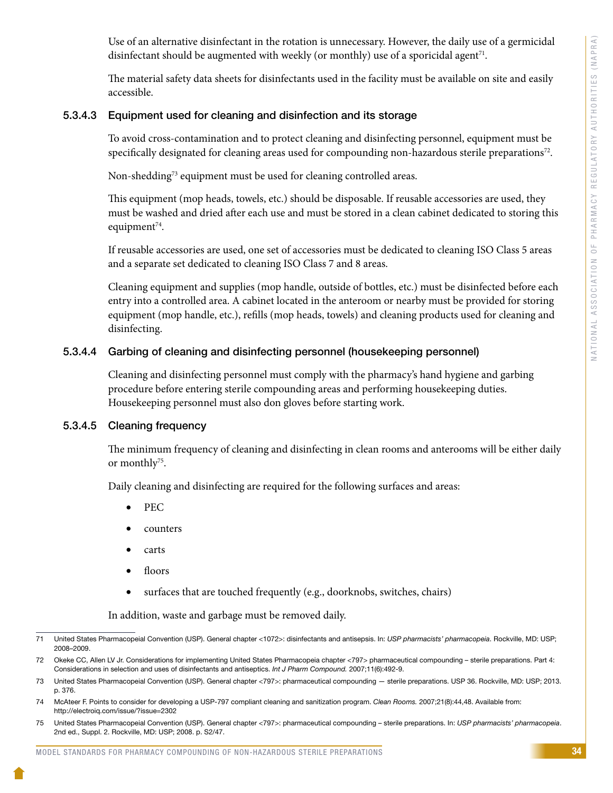Use of an alternative disinfectant in the rotation is unnecessary. However, the daily use of a germicidal disinfectant should be augmented with weekly (or monthly) use of a sporicidal agent<sup>71</sup>.

The material safety data sheets for disinfectants used in the facility must be available on site and easily accessible.

#### 5.3.4.3 Equipment used for cleaning and disinfection and its storage

To avoid cross-contamination and to protect cleaning and disinfecting personnel, equipment must be specifically designated for cleaning areas used for compounding non-hazardous sterile preparations<sup>72</sup>.

Non-shedding<sup>73</sup> equipment must be used for cleaning controlled areas.

This equipment (mop heads, towels, etc.) should be disposable. If reusable accessories are used, they must be washed and dried after each use and must be stored in a clean cabinet dedicated to storing this equipment<sup>74</sup>.

If reusable accessories are used, one set of accessories must be dedicated to cleaning ISO Class 5 areas and a separate set dedicated to cleaning ISO Class 7 and 8 areas.

Cleaning equipment and supplies (mop handle, outside of bottles, etc.) must be disinfected before each entry into a controlled area. A cabinet located in the anteroom or nearby must be provided for storing equipment (mop handle, etc.), refills (mop heads, towels) and cleaning products used for cleaning and disinfecting.

#### 5.3.4.4 Garbing of cleaning and disinfecting personnel (housekeeping personnel)

Cleaning and disinfecting personnel must comply with the pharmacy's hand hygiene and garbing procedure before entering sterile compounding areas and performing housekeeping duties. Housekeeping personnel must also don gloves before starting work.

#### 5.3.4.5 Cleaning frequency

The minimum frequency of cleaning and disinfecting in clean rooms and anterooms will be either daily or monthly<sup>75</sup>.

Daily cleaning and disinfecting are required for the following surfaces and areas:

- PEC
- counters
- carts
- floors
- surfaces that are touched frequently (e.g., doorknobs, switches, chairs)

In addition, waste and garbage must be removed daily.

<sup>71</sup> United States Pharmacopeial Convention (USP). General chapter <1072>: disinfectants and antisepsis. In: *USP pharmacists' pharmacopeia*. Rockville, MD: USP; 2008–2009.

<sup>72</sup> Okeke CC, Allen LV Jr. Considerations for implementing United States Pharmacopeia chapter <797> pharmaceutical compounding – sterile preparations. Part 4: Considerations in selection and uses of disinfectants and antiseptics. *Int J Pharm Compound.* 2007;11(6):492-9.

<sup>73</sup> United States Pharmacopeial Convention (USP). General chapter <797>: pharmaceutical compounding — sterile preparations. USP 36. Rockville, MD: USP; 2013. p. 376.

<sup>74</sup> McAteer F. Points to consider for developing a USP-797 compliant cleaning and sanitization program. *Clean Rooms.* 2007;21(8):44,48. Available from: http://electroiq.com/issue/?issue=2302

<sup>75</sup> United States Pharmacopeial Convention (USP). General chapter <797>: pharmaceutical compounding – sterile preparations. In: *USP pharmacists' pharmacopeia*. 2nd ed., Suppl. 2. Rockville, MD: USP; 2008. p. S2/47.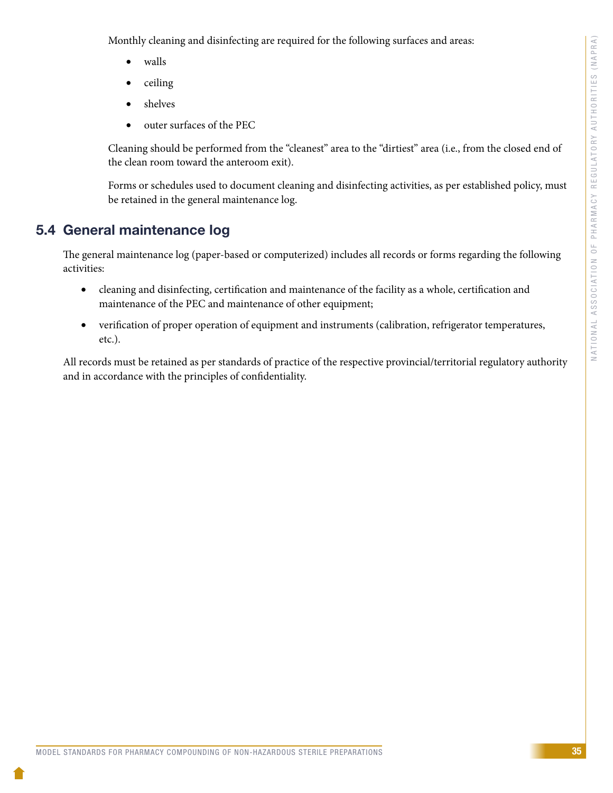Monthly cleaning and disinfecting are required for the following surfaces and areas:

- walls
- ceiling
- shelves
- outer surfaces of the PEC

Cleaning should be performed from the "cleanest" area to the "dirtiest" area (i.e., from the closed end of the clean room toward the anteroom exit).

Forms or schedules used to document cleaning and disinfecting activities, as per established policy, must be retained in the general maintenance log.

# 5.4 General maintenance log

The general maintenance log (paper-based or computerized) includes all records or forms regarding the following activities:

- cleaning and disinfecting, certification and maintenance of the facility as a whole, certification and maintenance of the PEC and maintenance of other equipment;
- verification of proper operation of equipment and instruments (calibration, refrigerator temperatures, etc.).

All records must be retained as per standards of practice of the respective provincial/territorial regulatory authority and in accordance with the principles of confidentiality.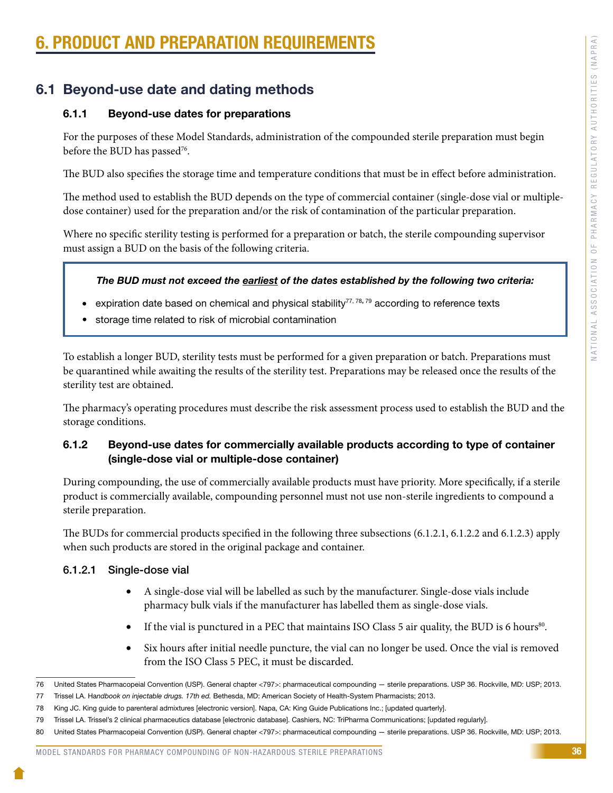# **PRODUCT AND PREPARATION REQUIREMENT**

# 6.1 Beyond-use date and dating methods

#### 6.1.1 Beyond-use dates for preparations

For the purposes of these Model Standards, administration of the compounded sterile preparation must begin before the BUD has passed<sup>76</sup>.

The BUD also specifies the storage time and temperature conditions that must be in effect before administration.

The method used to establish the BUD depends on the type of commercial container (single-dose vial or multipledose container) used for the preparation and/or the risk of contamination of the particular preparation.

Where no specific sterility testing is performed for a preparation or batch, the sterile compounding supervisor must assign a BUD on the basis of the following criteria.

#### *The BUD must not exceed the earliest of the dates established by the following two criteria:*

- expiration date based on chemical and physical stability<sup>77, 78, 79</sup> according to reference texts
- storage time related to risk of microbial contamination

To establish a longer BUD, sterility tests must be performed for a given preparation or batch. Preparations must be quarantined while awaiting the results of the sterility test. Preparations may be released once the results of the sterility test are obtained.

The pharmacy's operating procedures must describe the risk assessment process used to establish the BUD and the storage conditions.

#### 6.1.2 Beyond-use dates for commercially available products according to type of container (single-dose vial or multiple-dose container)

During compounding, the use of commercially available products must have priority. More specifically, if a sterile product is commercially available, compounding personnel must not use non-sterile ingredients to compound a sterile preparation.

The BUDs for commercial products specified in the following three subsections (6.1.2.1, 6.1.2.2 and 6.1.2.3) apply when such products are stored in the original package and container.

#### 6.1.2.1 Single-dose vial

- A single-dose vial will be labelled as such by the manufacturer. Single-dose vials include pharmacy bulk vials if the manufacturer has labelled them as single-dose vials.
- If the vial is punctured in a PEC that maintains ISO Class 5 air quality, the BUD is 6 hours<sup>80</sup>.
- Six hours after initial needle puncture, the vial can no longer be used. Once the vial is removed from the ISO Class 5 PEC, it must be discarded.

<sup>76</sup> United States Pharmacopeial Convention (USP). General chapter <797>: pharmaceutical compounding — sterile preparations. USP 36. Rockville, MD: USP; 2013.

<sup>77</sup> Trissel LA. Ha*ndbook on injectable drugs. 17th ed.* Bethesda, MD: American Society of Health-System Pharmacists; 2013.

<sup>78</sup> King JC. King guide to parenteral admixtures [electronic version]. Napa, CA: King Guide Publications Inc.; [updated quarterly].

<sup>79</sup> Trissel LA. Trissel's 2 clinical pharmaceutics database [electronic database]. Cashiers, NC: TriPharma Communications; [updated regularly].

<sup>80</sup> United States Pharmacopeial Convention (USP). General chapter <797>: pharmaceutical compounding - sterile preparations. USP 36. Rockville, MD: USP; 2013.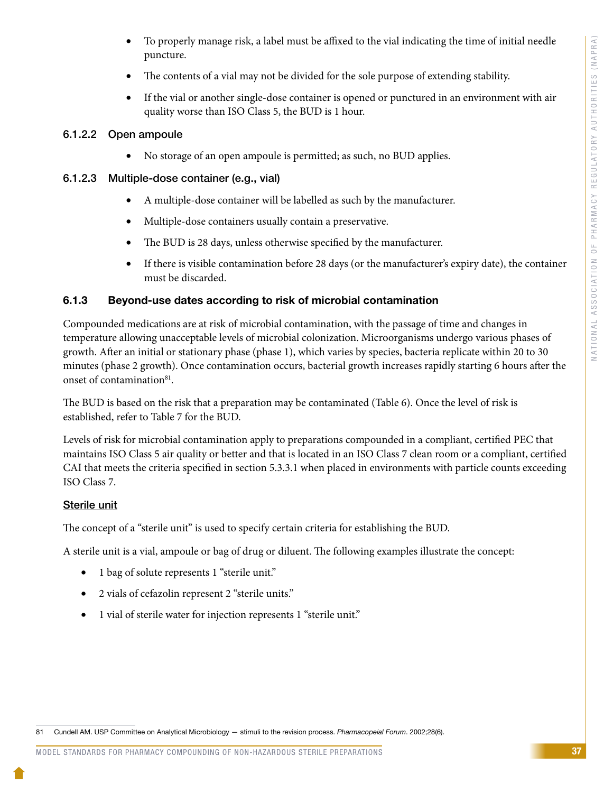- To properly manage risk, a label must be affixed to the vial indicating the time of initial needle puncture.
- The contents of a vial may not be divided for the sole purpose of extending stability.
- If the vial or another single-dose container is opened or punctured in an environment with air quality worse than ISO Class 5, the BUD is 1 hour.

### 6.1.2.2 Open ampoule

• No storage of an open ampoule is permitted; as such, no BUD applies.

### 6.1.2.3 Multiple-dose container (e.g., vial)

- A multiple-dose container will be labelled as such by the manufacturer.
- Multiple-dose containers usually contain a preservative.
- The BUD is 28 days, unless otherwise specified by the manufacturer.
- If there is visible contamination before 28 days (or the manufacturer's expiry date), the container must be discarded.

### 6.1.3 Beyond-use dates according to risk of microbial contamination

Compounded medications are at risk of microbial contamination, with the passage of time and changes in temperature allowing unacceptable levels of microbial colonization. Microorganisms undergo various phases of growth. After an initial or stationary phase (phase 1), which varies by species, bacteria replicate within 20 to 30 minutes (phase 2 growth). Once contamination occurs, bacterial growth increases rapidly starting 6 hours after the onset of contamination<sup>81</sup>.

The BUD is based on the risk that a preparation may be contaminated (Table 6). Once the level of risk is established, refer to Table 7 for the BUD.

Levels of risk for microbial contamination apply to preparations compounded in a compliant, certified PEC that maintains ISO Class 5 air quality or better and that is located in an ISO Class 7 clean room or a compliant, certified CAI that meets the criteria specified in section 5.3.3.1 when placed in environments with particle counts exceeding ISO Class 7.

### Sterile unit

The concept of a "sterile unit" is used to specify certain criteria for establishing the BUD.

A sterile unit is a vial, ampoule or bag of drug or diluent. The following examples illustrate the concept:

- 1 bag of solute represents 1 "sterile unit."
- 2 vials of cefazolin represent 2 "sterile units."
- 1 vial of sterile water for injection represents 1 "sterile unit."

81 Cundell AM. USP Committee on Analytical Microbiology — stimuli to the revision process. *Pharmacopeial Forum*. 2002;28(6).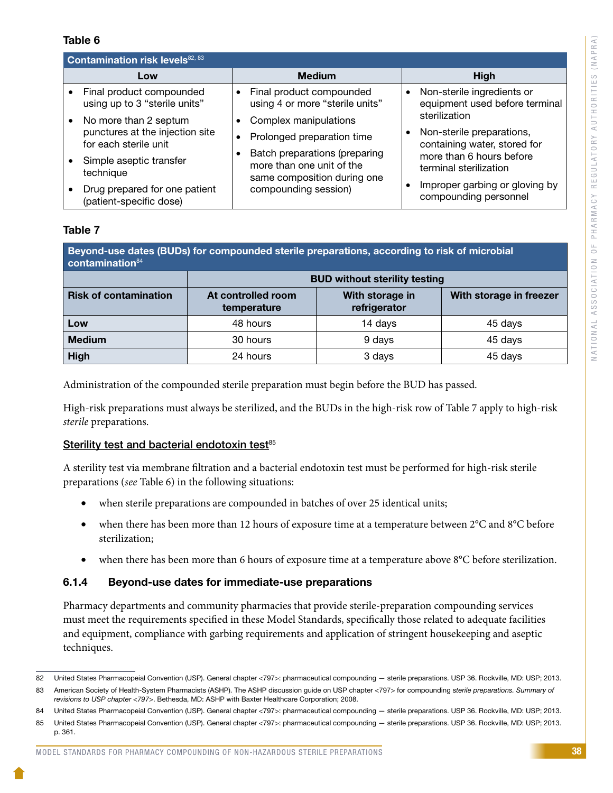#### Table 6

| Contamination risk levels <sup>82, 83</sup> |                                                                                   |                                                                                                                   |                                                                                         |
|---------------------------------------------|-----------------------------------------------------------------------------------|-------------------------------------------------------------------------------------------------------------------|-----------------------------------------------------------------------------------------|
|                                             | Low                                                                               | <b>Medium</b>                                                                                                     | <b>High</b>                                                                             |
|                                             | Final product compounded<br>using up to 3 "sterile units"                         | Final product compounded<br>using 4 or more "sterile units"                                                       | Non-sterile ingredients or<br>$\bullet$<br>equipment used before terminal               |
|                                             | No more than 2 septum<br>punctures at the injection site<br>for each sterile unit | Complex manipulations<br>Prolonged preparation time                                                               | sterilization<br>Non-sterile preparations,<br>$\bullet$<br>containing water, stored for |
|                                             | Simple aseptic transfer<br>technique                                              | Batch preparations (preparing<br>more than one unit of the<br>same composition during one<br>compounding session) | more than 6 hours before<br>terminal sterilization                                      |
|                                             | Drug prepared for one patient<br>(patient-specific dose)                          |                                                                                                                   | Improper garbing or gloving by<br>$\bullet$<br>compounding personnel                    |

#### Table 7

| Beyond-use dates (BUDs) for compounded sterile preparations, according to risk of microbial<br>contamination <sup>84</sup> |                                      |                                 |                         |
|----------------------------------------------------------------------------------------------------------------------------|--------------------------------------|---------------------------------|-------------------------|
|                                                                                                                            | <b>BUD without sterility testing</b> |                                 |                         |
| <b>Risk of contamination</b>                                                                                               | At controlled room<br>temperature    | With storage in<br>refrigerator | With storage in freezer |
| Low                                                                                                                        | 48 hours                             | 14 days                         | 45 days                 |
| <b>Medium</b>                                                                                                              | 30 hours                             | 9 days                          | 45 days                 |
| <b>High</b>                                                                                                                | 24 hours                             | 3 days                          | 45 days                 |

Administration of the compounded sterile preparation must begin before the BUD has passed.

High-risk preparations must always be sterilized, and the BUDs in the high-risk row of Table 7 apply to high-risk *sterile* preparations.

#### Sterility test and bacterial endotoxin test<sup>85</sup>

A sterility test via membrane filtration and a bacterial endotoxin test must be performed for high-risk sterile preparations (*see* Table 6) in the following situations:

- when sterile preparations are compounded in batches of over 25 identical units;
- when there has been more than 12 hours of exposure time at a temperature between 2°C and 8°C before sterilization;
- when there has been more than 6 hours of exposure time at a temperature above 8°C before sterilization.

#### 6.1.4 Beyond-use dates for immediate-use preparations

Pharmacy departments and community pharmacies that provide sterile-preparation compounding services must meet the requirements specified in these Model Standards, specifically those related to adequate facilities and equipment, compliance with garbing requirements and application of stringent housekeeping and aseptic techniques.

<sup>82</sup> United States Pharmacopeial Convention (USP). General chapter <797>: pharmaceutical compounding - sterile preparations. USP 36. Rockville, MD: USP; 2013.

<sup>83</sup> American Society of Health-System Pharmacists (ASHP). The ASHP discussion guide on USP chapter <797> for compounding s*terile preparations. Summary of revisions to USP chapter <797>*. Bethesda, MD: ASHP with Baxter Healthcare Corporation; 2008.

<sup>84</sup> United States Pharmacopeial Convention (USP). General chapter <797>: pharmaceutical compounding — sterile preparations. USP 36. Rockville, MD: USP; 2013.

<sup>85</sup> United States Pharmacopeial Convention (USP). General chapter <797>: pharmaceutical compounding — sterile preparations. USP 36. Rockville, MD: USP; 2013. p. 361.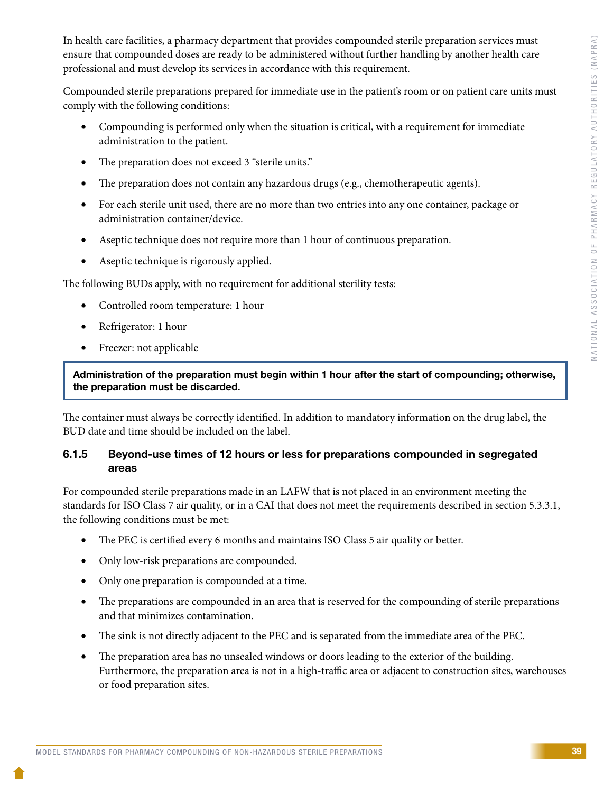In health care facilities, a pharmacy department that provides compounded sterile preparation services must ensure that compounded doses are ready to be administered without further handling by another health care professional and must develop its services in accordance with this requirement.

Compounded sterile preparations prepared for immediate use in the patient's room or on patient care units must comply with the following conditions:

- • Compounding is performed only when the situation is critical, with a requirement for immediate administration to the patient.
- The preparation does not exceed 3 "sterile units."
- The preparation does not contain any hazardous drugs (e.g., chemotherapeutic agents).
- For each sterile unit used, there are no more than two entries into any one container, package or administration container/device.
- Aseptic technique does not require more than 1 hour of continuous preparation.
- Aseptic technique is rigorously applied.

The following BUDs apply, with no requirement for additional sterility tests:

- • Controlled room temperature: 1 hour
- Refrigerator: 1 hour
- Freezer: not applicable

Administration of the preparation must begin within 1 hour after the start of compounding; otherwise, the preparation must be discarded.

The container must always be correctly identified. In addition to mandatory information on the drug label, the BUD date and time should be included on the label.

#### 6.1.5 Beyond-use times of 12 hours or less for preparations compounded in segregated areas

For compounded sterile preparations made in an LAFW that is not placed in an environment meeting the standards for ISO Class 7 air quality, or in a CAI that does not meet the requirements described in section 5.3.3.1, the following conditions must be met:

- The PEC is certified every 6 months and maintains ISO Class 5 air quality or better.
- Only low-risk preparations are compounded.
- Only one preparation is compounded at a time.
- The preparations are compounded in an area that is reserved for the compounding of sterile preparations and that minimizes contamination.
- The sink is not directly adjacent to the PEC and is separated from the immediate area of the PEC.
- The preparation area has no unsealed windows or doors leading to the exterior of the building. Furthermore, the preparation area is not in a high-traffic area or adjacent to construction sites, warehouses or food preparation sites.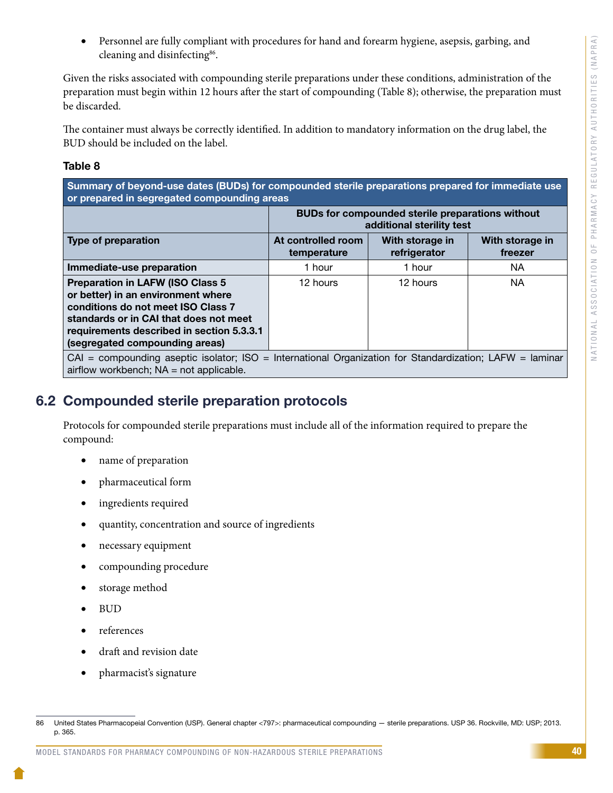Personnel are fully compliant with procedures for hand and forearm hygiene, asepsis, garbing, and cleaning and disinfecting<sup>86</sup>.

Given the risks associated with compounding sterile preparations under these conditions, administration of the preparation must begin within 12 hours after the start of compounding (Table 8); otherwise, the preparation must be discarded.

The container must always be correctly identified. In addition to mandatory information on the drug label, the BUD should be included on the label.

#### Table 8

Summary of beyond-use dates (BUDs) for compounded sterile preparations prepared for immediate use or prepared in segregated compounding areas

|                                                                                                                                                                                                                                               | <b>BUDs for compounded sterile preparations without</b><br>additional sterility test |                                 |                            |
|-----------------------------------------------------------------------------------------------------------------------------------------------------------------------------------------------------------------------------------------------|--------------------------------------------------------------------------------------|---------------------------------|----------------------------|
| Type of preparation                                                                                                                                                                                                                           | At controlled room<br>temperature                                                    | With storage in<br>refrigerator | With storage in<br>freezer |
| Immediate-use preparation                                                                                                                                                                                                                     | 1 hour                                                                               | 1 hour                          | <b>NA</b>                  |
| <b>Preparation in LAFW (ISO Class 5)</b><br>or better) in an environment where<br>conditions do not meet ISO Class 7<br>standards or in CAI that does not meet<br>requirements described in section 5.3.3.1<br>(segregated compounding areas) | 12 hours                                                                             | 12 hours                        | <b>NA</b>                  |
| $CAI = compounding$ aseptic isolator; ISO = International Organization for Standardization; LAFW = laminar<br>airflow workbench; $NA = not$ applicable.                                                                                       |                                                                                      |                                 |                            |

# 6.2 Compounded sterile preparation protocols

Protocols for compounded sterile preparations must include all of the information required to prepare the compound:

- name of preparation
- • pharmaceutical form
- ingredients required
- quantity, concentration and source of ingredients
- necessary equipment
- compounding procedure
- storage method
- BUD
- references
- draft and revision date
- pharmacist's signature

<sup>86</sup> United States Pharmacopeial Convention (USP). General chapter <797>: pharmaceutical compounding — sterile preparations. USP 36. Rockville, MD: USP; 2013. p. 365.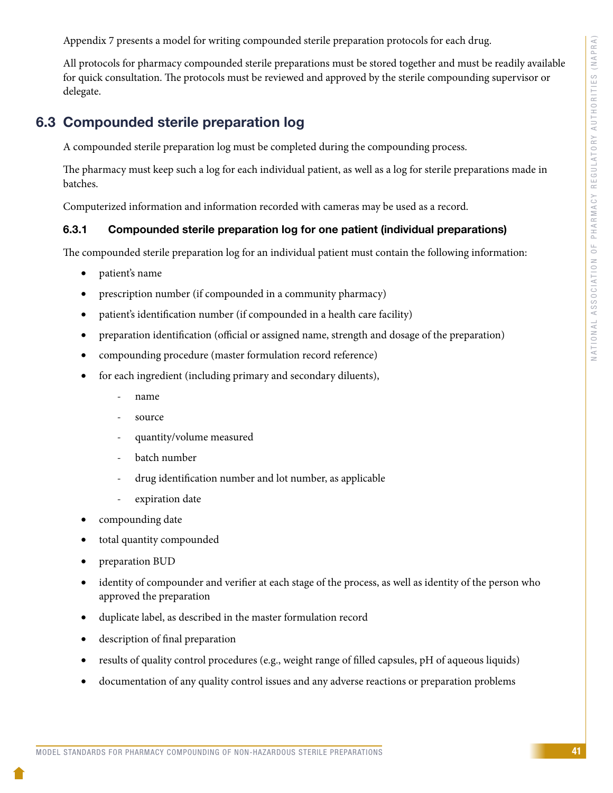Appendix 7 presents a model for writing compounded sterile preparation protocols for each drug.

All protocols for pharmacy compounded sterile preparations must be stored together and must be readily available for quick consultation. The protocols must be reviewed and approved by the sterile compounding supervisor or delegate.

# 6.3 Compounded sterile preparation log

A compounded sterile preparation log must be completed during the compounding process.

The pharmacy must keep such a log for each individual patient, as well as a log for sterile preparations made in batches.

Computerized information and information recorded with cameras may be used as a record.

## 6.3.1 Compounded sterile preparation log for one patient (individual preparations)

The compounded sterile preparation log for an individual patient must contain the following information:

- patient's name
- prescription number (if compounded in a community pharmacy)
- patient's identification number (if compounded in a health care facility)
- preparation identification (official or assigned name, strength and dosage of the preparation)
- compounding procedure (master formulation record reference)
- for each ingredient (including primary and secondary diluents),
	- name
	- source
	- quantity/volume measured
	- batch number
	- drug identification number and lot number, as applicable
	- expiration date
- compounding date
- total quantity compounded
- preparation BUD
- identity of compounder and verifier at each stage of the process, as well as identity of the person who approved the preparation
- duplicate label, as described in the master formulation record
- description of final preparation
- results of quality control procedures (e.g., weight range of filled capsules, pH of aqueous liquids)
- documentation of any quality control issues and any adverse reactions or preparation problems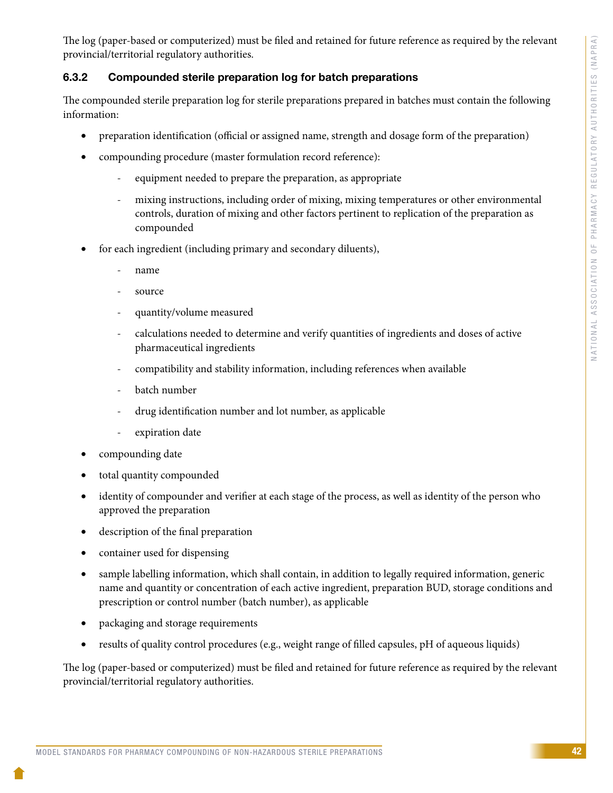The log (paper-based or computerized) must be filed and retained for future reference as required by the relevant provincial/territorial regulatory authorities.

#### 6.3.2 Compounded sterile preparation log for batch preparations

The compounded sterile preparation log for sterile preparations prepared in batches must contain the following information:

- preparation identification (official or assigned name, strength and dosage form of the preparation)
- compounding procedure (master formulation record reference):
	- equipment needed to prepare the preparation, as appropriate
	- mixing instructions, including order of mixing, mixing temperatures or other environmental controls, duration of mixing and other factors pertinent to replication of the preparation as compounded
- for each ingredient (including primary and secondary diluents),
	- name
	- source
	- quantity/volume measured
	- calculations needed to determine and verify quantities of ingredients and doses of active pharmaceutical ingredients
	- compatibility and stability information, including references when available
	- batch number
	- drug identification number and lot number, as applicable
	- expiration date
- compounding date
- total quantity compounded
- identity of compounder and verifier at each stage of the process, as well as identity of the person who approved the preparation
- description of the final preparation
- container used for dispensing
- sample labelling information, which shall contain, in addition to legally required information, generic name and quantity or concentration of each active ingredient, preparation BUD, storage conditions and prescription or control number (batch number), as applicable
- packaging and storage requirements
- results of quality control procedures (e.g., weight range of filled capsules, pH of aqueous liquids)

The log (paper-based or computerized) must be filed and retained for future reference as required by the relevant provincial/territorial regulatory authorities.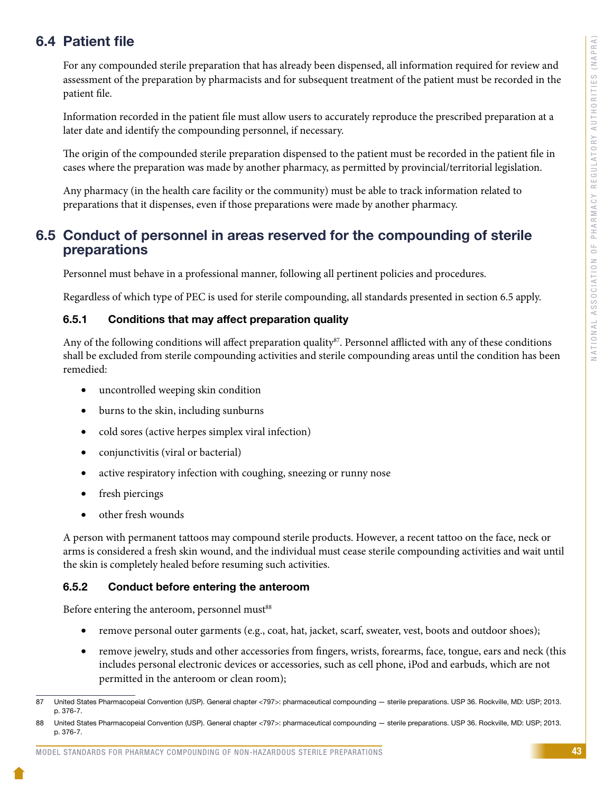# 6.4 Patient file

For any compounded sterile preparation that has already been dispensed, all information required for review and assessment of the preparation by pharmacists and for subsequent treatment of the patient must be recorded in the patient file.

Information recorded in the patient file must allow users to accurately reproduce the prescribed preparation at a later date and identify the compounding personnel, if necessary.

The origin of the compounded sterile preparation dispensed to the patient must be recorded in the patient file in cases where the preparation was made by another pharmacy, as permitted by provincial/territorial legislation.

Any pharmacy (in the health care facility or the community) must be able to track information related to preparations that it dispenses, even if those preparations were made by another pharmacy.

## 6.5 Conduct of personnel in areas reserved for the compounding of sterile preparations

Personnel must behave in a professional manner, following all pertinent policies and procedures.

Regardless of which type of PEC is used for sterile compounding, all standards presented in section 6.5 apply.

#### 6.5.1 Conditions that may affect preparation quality

Any of the following conditions will affect preparation quality<sup>87</sup>. Personnel afflicted with any of these conditions shall be excluded from sterile compounding activities and sterile compounding areas until the condition has been remedied:

- uncontrolled weeping skin condition
- burns to the skin, including sunburns
- cold sores (active herpes simplex viral infection)
- conjunctivitis (viral or bacterial)
- active respiratory infection with coughing, sneezing or runny nose
- fresh piercings
- other fresh wounds

A person with permanent tattoos may compound sterile products. However, a recent tattoo on the face, neck or arms is considered a fresh skin wound, and the individual must cease sterile compounding activities and wait until the skin is completely healed before resuming such activities.

#### 6.5.2 Conduct before entering the anteroom

Before entering the anteroom, personnel must<sup>88</sup>

- remove personal outer garments (e.g., coat, hat, jacket, scarf, sweater, vest, boots and outdoor shoes);
- remove jewelry, studs and other accessories from fingers, wrists, forearms, face, tongue, ears and neck (this includes personal electronic devices or accessories, such as cell phone, iPod and earbuds, which are not permitted in the anteroom or clean room);

<sup>87</sup> United States Pharmacopeial Convention (USP). General chapter <797>: pharmaceutical compounding — sterile preparations. USP 36. Rockville, MD: USP; 2013. p. 376-7.

<sup>88</sup> United States Pharmacopeial Convention (USP). General chapter <797>: pharmaceutical compounding — sterile preparations. USP 36. Rockville, MD: USP; 2013. p. 376-7.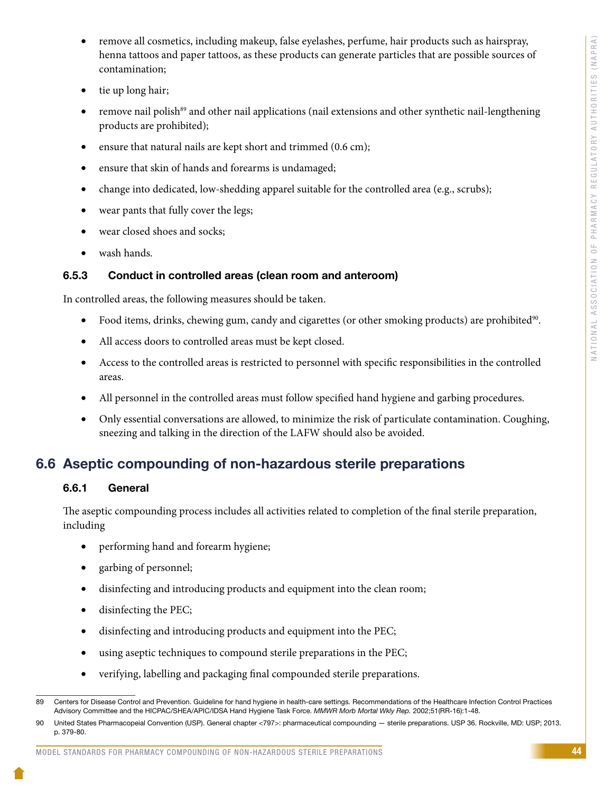- remove all cosmetics, including makeup, false eyelashes, perfume, hair products such as hairspray, henna tattoos and paper tattoos, as these products can generate particles that are possible sources of contamination;
- tie up long hair;
- remove nail polish<sup>89</sup> and other nail applications (nail extensions and other synthetic nail-lengthening products are prohibited);
- ensure that natural nails are kept short and trimmed (0.6 cm);
- ensure that skin of hands and forearms is undamaged;
- change into dedicated, low-shedding apparel suitable for the controlled area (e.g., scrubs);
- wear pants that fully cover the legs;
- wear closed shoes and socks;
- wash hands.

### 6.5.3 Conduct in controlled areas (clean room and anteroom)

In controlled areas, the following measures should be taken.

- Food items, drinks, chewing gum, candy and cigarettes (or other smoking products) are prohibited<sup>90</sup>.
- All access doors to controlled areas must be kept closed.
- Access to the controlled areas is restricted to personnel with specific responsibilities in the controlled areas.
- All personnel in the controlled areas must follow specified hand hygiene and garbing procedures.
- Only essential conversations are allowed, to minimize the risk of particulate contamination. Coughing, sneezing and talking in the direction of the LAFW should also be avoided.

# 6.6 Aseptic compounding of non-hazardous sterile preparations

#### 6.6.1 General

The aseptic compounding process includes all activities related to completion of the final sterile preparation, including

- performing hand and forearm hygiene;
- garbing of personnel;
- disinfecting and introducing products and equipment into the clean room;
- disinfecting the PEC;
- disinfecting and introducing products and equipment into the PEC;
- using aseptic techniques to compound sterile preparations in the PEC;
- verifying, labelling and packaging final compounded sterile preparations.

<sup>89</sup> Centers for Disease Control and Prevention. Guideline for hand hygiene in health-care settings. Recommendations of the Healthcare Infection Control Practices Advisory Committee and the HICPAC/SHEA/APIC/IDSA Hand Hygiene Task Force. *MMWR Morb Mortal Wkly Rep.* 2002;51(RR-16):1-48.

<sup>90</sup> United States Pharmacopeial Convention (USP). General chapter <797>: pharmaceutical compounding — sterile preparations. USP 36. Rockville, MD: USP; 2013. p. 379-80.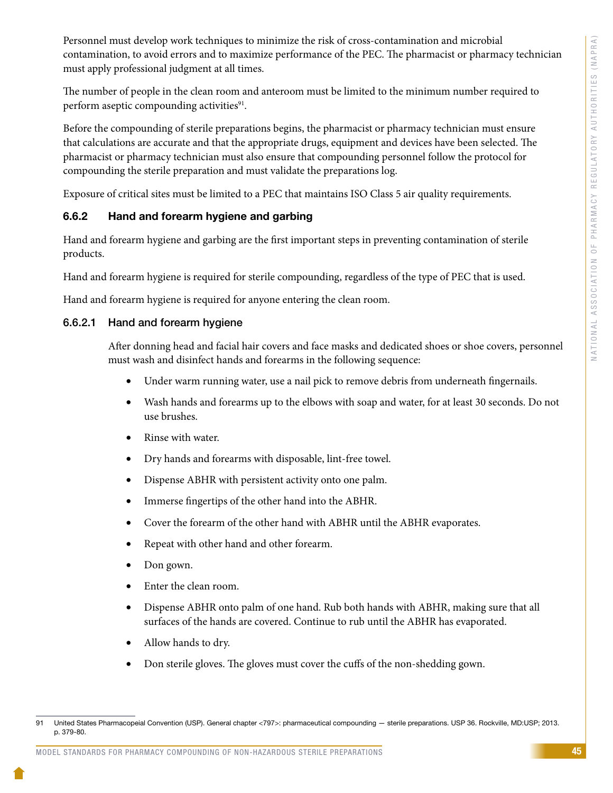Personnel must develop work techniques to minimize the risk of cross-contamination and microbial contamination, to avoid errors and to maximize performance of the PEC. The pharmacist or pharmacy technician must apply professional judgment at all times.

The number of people in the clean room and anteroom must be limited to the minimum number required to perform aseptic compounding activities $91$ .

Before the compounding of sterile preparations begins, the pharmacist or pharmacy technician must ensure that calculations are accurate and that the appropriate drugs, equipment and devices have been selected. The pharmacist or pharmacy technician must also ensure that compounding personnel follow the protocol for compounding the sterile preparation and must validate the preparations log.

Exposure of critical sites must be limited to a PEC that maintains ISO Class 5 air quality requirements.

#### 6.6.2 Hand and forearm hygiene and garbing

Hand and forearm hygiene and garbing are the first important steps in preventing contamination of sterile products.

Hand and forearm hygiene is required for sterile compounding, regardless of the type of PEC that is used.

Hand and forearm hygiene is required for anyone entering the clean room.

#### 6.6.2.1 Hand and forearm hygiene

After donning head and facial hair covers and face masks and dedicated shoes or shoe covers, personnel must wash and disinfect hands and forearms in the following sequence:

- Under warm running water, use a nail pick to remove debris from underneath fingernails.
- Wash hands and forearms up to the elbows with soap and water, for at least 30 seconds. Do not use brushes.
- Rinse with water.
- Dry hands and forearms with disposable, lint-free towel.
- Dispense ABHR with persistent activity onto one palm.
- Immerse fingertips of the other hand into the ABHR.
- Cover the forearm of the other hand with ABHR until the ABHR evaporates.
- Repeat with other hand and other forearm.
- Don gown.
- Enter the clean room.
- Dispense ABHR onto palm of one hand. Rub both hands with ABHR, making sure that all surfaces of the hands are covered. Continue to rub until the ABHR has evaporated.
- Allow hands to dry.
- Don sterile gloves. The gloves must cover the cuffs of the non-shedding gown.

<sup>91</sup> United States Pharmacopeial Convention (USP). General chapter <797>: pharmaceutical compounding — sterile preparations. USP 36. Rockville, MD:USP; 2013. p. 379-80.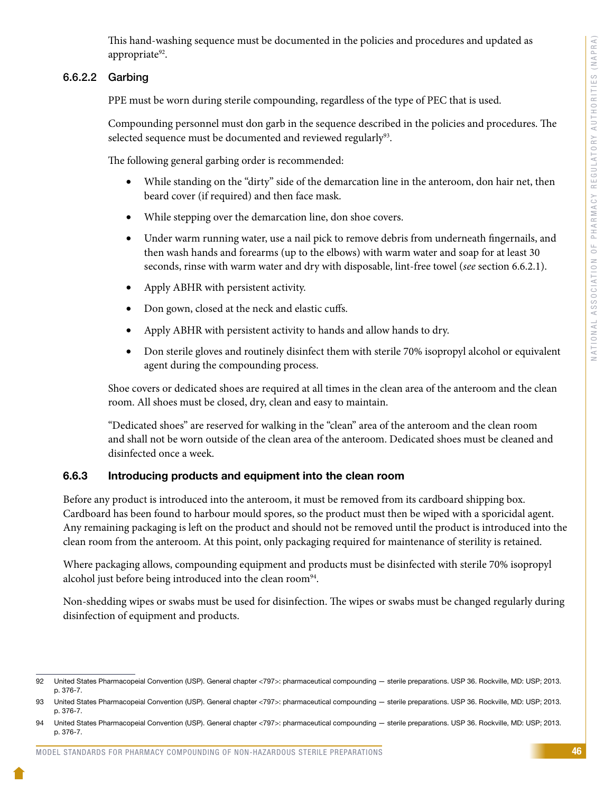This hand-washing sequence must be documented in the policies and procedures and updated as appropriate<sup>92</sup>.

#### 6.6.2.2 Garbing

PPE must be worn during sterile compounding, regardless of the type of PEC that is used.

Compounding personnel must don garb in the sequence described in the policies and procedures. The selected sequence must be documented and reviewed regularly<sup>93</sup>.

The following general garbing order is recommended:

- While standing on the "dirty" side of the demarcation line in the anteroom, don hair net, then beard cover (if required) and then face mask.
- While stepping over the demarcation line, don shoe covers.
- Under warm running water, use a nail pick to remove debris from underneath fingernails, and then wash hands and forearms (up to the elbows) with warm water and soap for at least 30 seconds, rinse with warm water and dry with disposable, lint-free towel (*see* section 6.6.2.1).
- Apply ABHR with persistent activity.
- Don gown, closed at the neck and elastic cuffs.
- Apply ABHR with persistent activity to hands and allow hands to dry.
- Don sterile gloves and routinely disinfect them with sterile 70% isopropyl alcohol or equivalent agent during the compounding process.

Shoe covers or dedicated shoes are required at all times in the clean area of the anteroom and the clean room. All shoes must be closed, dry, clean and easy to maintain.

"Dedicated shoes" are reserved for walking in the "clean" area of the anteroom and the clean room and shall not be worn outside of the clean area of the anteroom. Dedicated shoes must be cleaned and disinfected once a week.

#### 6.6.3 Introducing products and equipment into the clean room

Before any product is introduced into the anteroom, it must be removed from its cardboard shipping box. Cardboard has been found to harbour mould spores, so the product must then be wiped with a sporicidal agent. Any remaining packaging is left on the product and should not be removed until the product is introduced into the clean room from the anteroom. At this point, only packaging required for maintenance of sterility is retained.

Where packaging allows, compounding equipment and products must be disinfected with sterile 70% isopropyl alcohol just before being introduced into the clean room<sup>94</sup>.

Non-shedding wipes or swabs must be used for disinfection. The wipes or swabs must be changed regularly during disinfection of equipment and products.

<sup>92</sup> United States Pharmacopeial Convention (USP). General chapter <797>: pharmaceutical compounding — sterile preparations. USP 36. Rockville, MD: USP; 2013. p. 376-7.

<sup>93</sup> United States Pharmacopeial Convention (USP). General chapter <797>: pharmaceutical compounding — sterile preparations. USP 36. Rockville, MD: USP; 2013. p. 376-7.

<sup>94</sup> United States Pharmacopeial Convention (USP). General chapter <797>: pharmaceutical compounding — sterile preparations. USP 36. Rockville, MD: USP; 2013. p. 376-7.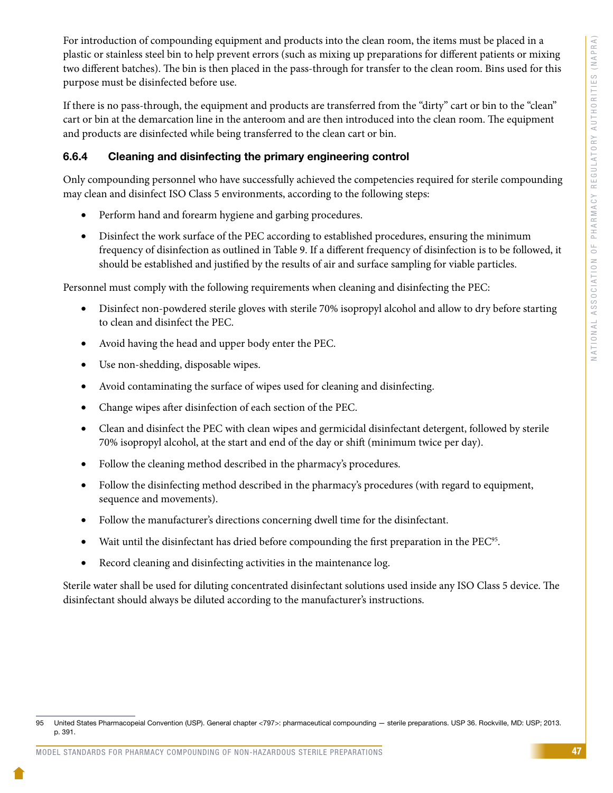For introduction of compounding equipment and products into the clean room, the items must be placed in a plastic or stainless steel bin to help prevent errors (such as mixing up preparations for different patients or mixing two different batches). The bin is then placed in the pass-through for transfer to the clean room. Bins used for this purpose must be disinfected before use.

If there is no pass-through, the equipment and products are transferred from the "dirty" cart or bin to the "clean" cart or bin at the demarcation line in the anteroom and are then introduced into the clean room. The equipment and products are disinfected while being transferred to the clean cart or bin.

#### 6.6.4 Cleaning and disinfecting the primary engineering control

Only compounding personnel who have successfully achieved the competencies required for sterile compounding may clean and disinfect ISO Class 5 environments, according to the following steps:

- Perform hand and forearm hygiene and garbing procedures.
- Disinfect the work surface of the PEC according to established procedures, ensuring the minimum frequency of disinfection as outlined in Table 9. If a different frequency of disinfection is to be followed, it should be established and justified by the results of air and surface sampling for viable particles.

Personnel must comply with the following requirements when cleaning and disinfecting the PEC:

- Disinfect non-powdered sterile gloves with sterile 70% isopropyl alcohol and allow to dry before starting to clean and disinfect the PEC.
- Avoid having the head and upper body enter the PEC.
- • Use non-shedding, disposable wipes.
- Avoid contaminating the surface of wipes used for cleaning and disinfecting.
- • Change wipes after disinfection of each section of the PEC.
- Clean and disinfect the PEC with clean wipes and germicidal disinfectant detergent, followed by sterile 70% isopropyl alcohol, at the start and end of the day or shift (minimum twice per day).
- Follow the cleaning method described in the pharmacy's procedures.
- Follow the disinfecting method described in the pharmacy's procedures (with regard to equipment, sequence and movements).
- Follow the manufacturer's directions concerning dwell time for the disinfectant.
- Wait until the disinfectant has dried before compounding the first preparation in the PEC<sup>95</sup>.
- Record cleaning and disinfecting activities in the maintenance log.

Sterile water shall be used for diluting concentrated disinfectant solutions used inside any ISO Class 5 device. The disinfectant should always be diluted according to the manufacturer's instructions.

<sup>95</sup> United States Pharmacopeial Convention (USP). General chapter <797>: pharmaceutical compounding — sterile preparations. USP 36. Rockville, MD: USP; 2013. p. 391.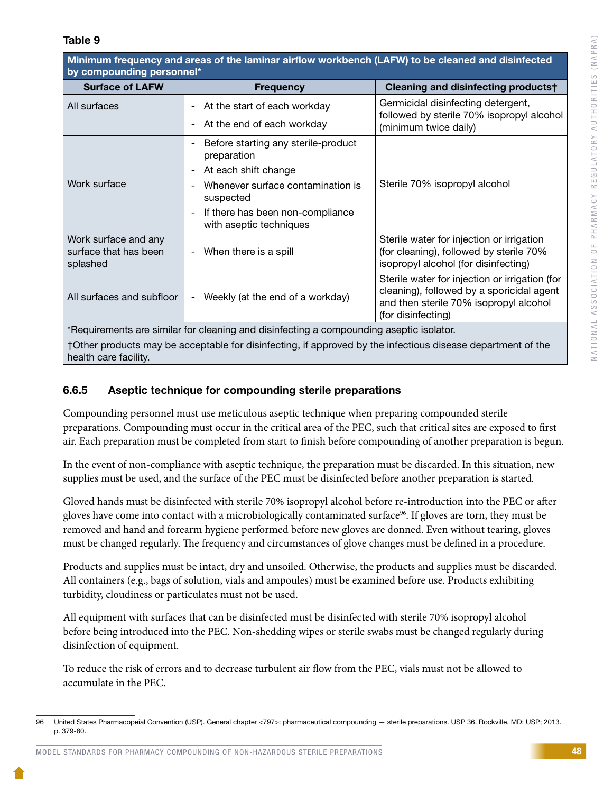#### Table 9

Minimum frequency and areas of the laminar airflow workbench (LAFW) to be cleaned and disinfected by compounding personnel\*

| <b>Surface of LAFW</b>                                                                                                               | <b>Frequency</b>                                                                        | Cleaning and disinfecting products†                                                                                                                         |
|--------------------------------------------------------------------------------------------------------------------------------------|-----------------------------------------------------------------------------------------|-------------------------------------------------------------------------------------------------------------------------------------------------------------|
| All surfaces                                                                                                                         | At the start of each workday<br>$\overline{\phantom{a}}$                                | Germicidal disinfecting detergent,<br>followed by sterile 70% isopropyl alcohol                                                                             |
|                                                                                                                                      | At the end of each workday<br>$\overline{\phantom{a}}$                                  | (minimum twice daily)                                                                                                                                       |
|                                                                                                                                      | Before starting any sterile-product<br>$\overline{\phantom{a}}$<br>preparation          |                                                                                                                                                             |
|                                                                                                                                      | At each shift change<br>$\overline{\phantom{a}}$                                        |                                                                                                                                                             |
| Work surface                                                                                                                         | Whenever surface contamination is<br>$\overline{\phantom{a}}$<br>suspected              | Sterile 70% isopropyl alcohol                                                                                                                               |
|                                                                                                                                      | If there has been non-compliance<br>$\overline{\phantom{a}}$<br>with aseptic techniques |                                                                                                                                                             |
| Work surface and any<br>surface that has been<br>splashed                                                                            | When there is a spill<br>$\overline{\phantom{a}}$                                       | Sterile water for injection or irrigation<br>(for cleaning), followed by sterile 70%<br>isopropyl alcohol (for disinfecting)                                |
| All surfaces and subfloor                                                                                                            | Weekly (at the end of a workday)<br>$\overline{\phantom{a}}$                            | Sterile water for injection or irrigation (for<br>cleaning), followed by a sporicidal agent<br>and then sterile 70% isopropyl alcohol<br>(for disinfecting) |
| *Requirements are similar for cleaning and disinfecting a compounding aseptic isolator.                                              |                                                                                         |                                                                                                                                                             |
| †Other products may be acceptable for disinfecting, if approved by the infectious disease department of the<br>health care facility. |                                                                                         |                                                                                                                                                             |

#### 6.6.5 Aseptic technique for compounding sterile preparations

Compounding personnel must use meticulous aseptic technique when preparing compounded sterile preparations. Compounding must occur in the critical area of the PEC, such that critical sites are exposed to first air. Each preparation must be completed from start to finish before compounding of another preparation is begun.

In the event of non-compliance with aseptic technique, the preparation must be discarded. In this situation, new supplies must be used, and the surface of the PEC must be disinfected before another preparation is started.

Gloved hands must be disinfected with sterile 70% isopropyl alcohol before re-introduction into the PEC or after gloves have come into contact with a microbiologically contaminated surface<sup>96</sup>. If gloves are torn, they must be removed and hand and forearm hygiene performed before new gloves are donned. Even without tearing, gloves must be changed regularly. The frequency and circumstances of glove changes must be defined in a procedure.

Products and supplies must be intact, dry and unsoiled. Otherwise, the products and supplies must be discarded. All containers (e.g., bags of solution, vials and ampoules) must be examined before use. Products exhibiting turbidity, cloudiness or particulates must not be used.

All equipment with surfaces that can be disinfected must be disinfected with sterile 70% isopropyl alcohol before being introduced into the PEC. Non-shedding wipes or sterile swabs must be changed regularly during disinfection of equipment.

To reduce the risk of errors and to decrease turbulent air flow from the PEC, vials must not be allowed to accumulate in the PEC.

<sup>96</sup> United States Pharmacopeial Convention (USP). General chapter <797>: pharmaceutical compounding — sterile preparations. USP 36. Rockville, MD: USP; 2013. p. 379-80.

MODEL STANDARDS FOR PHARMACY COMPOUNDING OF NON-HAZARDOUS STERILE PREPARATIONS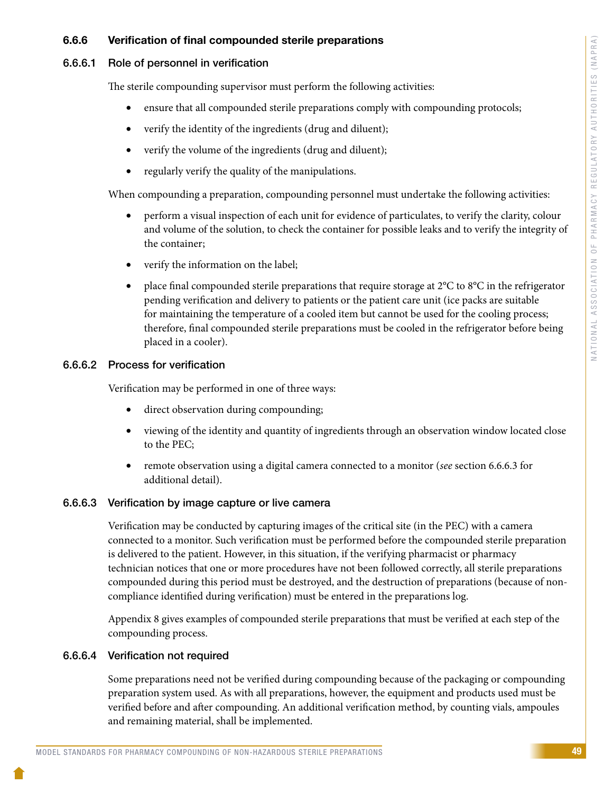#### 6.6.6 Verification of final compounded sterile preparations

#### 6.6.6.1 Role of personnel in verification

The sterile compounding supervisor must perform the following activities:

- ensure that all compounded sterile preparations comply with compounding protocols;
- verify the identity of the ingredients (drug and diluent);
- verify the volume of the ingredients (drug and diluent);
- regularly verify the quality of the manipulations.

When compounding a preparation, compounding personnel must undertake the following activities:

- perform a visual inspection of each unit for evidence of particulates, to verify the clarity, colour and volume of the solution, to check the container for possible leaks and to verify the integrity of the container;
- verify the information on the label;
- place final compounded sterile preparations that require storage at  $2^{\circ}C$  to  $8^{\circ}C$  in the refrigerator pending verification and delivery to patients or the patient care unit (ice packs are suitable for maintaining the temperature of a cooled item but cannot be used for the cooling process; therefore, final compounded sterile preparations must be cooled in the refrigerator before being placed in a cooler).

#### 6.6.6.2 Process for verification

Verification may be performed in one of three ways:

- direct observation during compounding;
- viewing of the identity and quantity of ingredients through an observation window located close to the PEC;
- remote observation using a digital camera connected to a monitor (*see* section 6.6.6.3 for additional detail).

#### 6.6.6.3 Verification by image capture or live camera

Verification may be conducted by capturing images of the critical site (in the PEC) with a camera connected to a monitor. Such verification must be performed before the compounded sterile preparation is delivered to the patient. However, in this situation, if the verifying pharmacist or pharmacy technician notices that one or more procedures have not been followed correctly, all sterile preparations compounded during this period must be destroyed, and the destruction of preparations (because of noncompliance identified during verification) must be entered in the preparations log.

Appendix 8 gives examples of compounded sterile preparations that must be verified at each step of the compounding process.

#### 6.6.6.4 Verification not required

Some preparations need not be verified during compounding because of the packaging or compounding preparation system used. As with all preparations, however, the equipment and products used must be verified before and after compounding. An additional verification method, by counting vials, ampoules and remaining material, shall be implemented.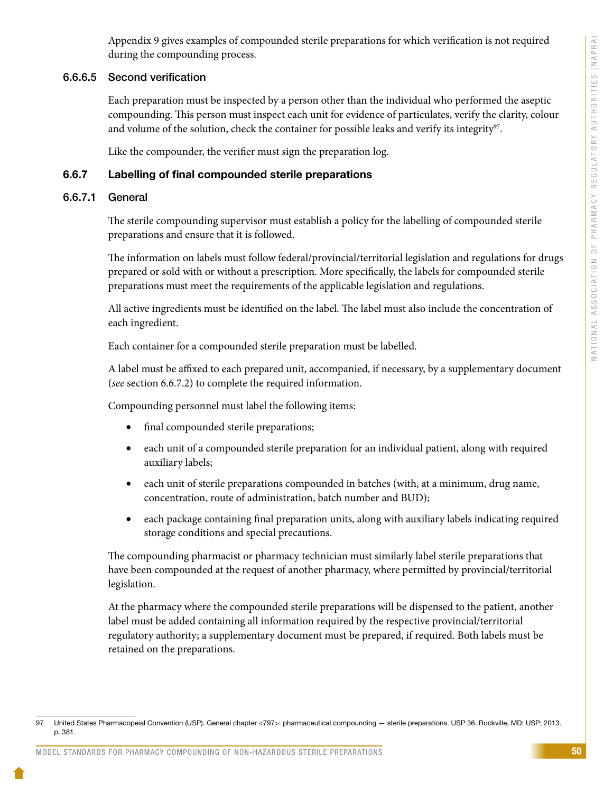Appendix 9 gives examples of compounded sterile preparations for which verification is not required during the compounding process.

#### 6.6.6.5 Second verification

Each preparation must be inspected by a person other than the individual who performed the aseptic compounding. This person must inspect each unit for evidence of particulates, verify the clarity, colour and volume of the solution, check the container for possible leaks and verify its integrity $97$ .

Like the compounder, the verifier must sign the preparation log.

#### 6.6.7 Labelling of final compounded sterile preparations

#### 6.6.7.1 General

The sterile compounding supervisor must establish a policy for the labelling of compounded sterile preparations and ensure that it is followed.

The information on labels must follow federal/provincial/territorial legislation and regulations for drugs prepared or sold with or without a prescription. More specifically, the labels for compounded sterile preparations must meet the requirements of the applicable legislation and regulations.

All active ingredients must be identified on the label. The label must also include the concentration of each ingredient.

Each container for a compounded sterile preparation must be labelled.

A label must be affixed to each prepared unit, accompanied, if necessary, by a supplementary document (*see* section 6.6.7.2) to complete the required information.

Compounding personnel must label the following items:

- final compounded sterile preparations;
- each unit of a compounded sterile preparation for an individual patient, along with required auxiliary labels;
- each unit of sterile preparations compounded in batches (with, at a minimum, drug name, concentration, route of administration, batch number and BUD);
- each package containing final preparation units, along with auxiliary labels indicating required storage conditions and special precautions.

The compounding pharmacist or pharmacy technician must similarly label sterile preparations that have been compounded at the request of another pharmacy, where permitted by provincial/territorial legislation.

At the pharmacy where the compounded sterile preparations will be dispensed to the patient, another label must be added containing all information required by the respective provincial/territorial regulatory authority; a supplementary document must be prepared, if required. Both labels must be retained on the preparations.

<sup>97</sup> United States Pharmacopeial Convention (USP). General chapter <797>: pharmaceutical compounding — sterile preparations. USP 36. Rockville, MD: USP; 2013. p. 381.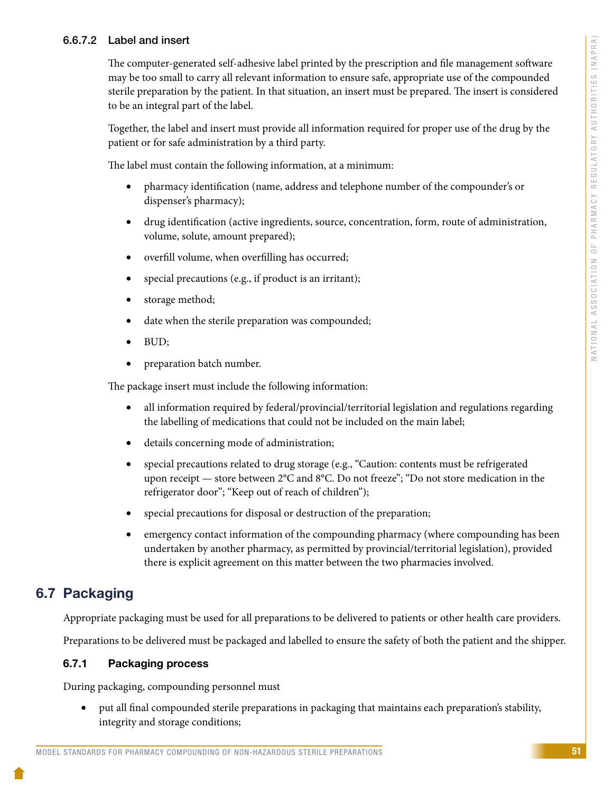#### 6.6.7.2 Label and insert

The computer-generated self-adhesive label printed by the prescription and file management software may be too small to carry all relevant information to ensure safe, appropriate use of the compounded sterile preparation by the patient. In that situation, an insert must be prepared. The insert is considered to be an integral part of the label.

Together, the label and insert must provide all information required for proper use of the drug by the patient or for safe administration by a third party.

The label must contain the following information, at a minimum:

- pharmacy identification (name, address and telephone number of the compounder's or dispenser's pharmacy);
- drug identification (active ingredients, source, concentration, form, route of administration, volume, solute, amount prepared);
- overfill volume, when overfilling has occurred;
- special precautions (e.g., if product is an irritant);
- storage method;
- date when the sterile preparation was compounded;
- BUD;
- preparation batch number.

The package insert must include the following information:

- all information required by federal/provincial/territorial legislation and regulations regarding the labelling of medications that could not be included on the main label;
- details concerning mode of administration;
- special precautions related to drug storage (e.g., "Caution: contents must be refrigerated upon receipt — store between 2°C and 8°C. Do not freeze"; "Do not store medication in the refrigerator door"; "Keep out of reach of children");
- special precautions for disposal or destruction of the preparation;
- emergency contact information of the compounding pharmacy (where compounding has been undertaken by another pharmacy, as permitted by provincial/territorial legislation), provided there is explicit agreement on this matter between the two pharmacies involved.

# 6.7 Packaging

Appropriate packaging must be used for all preparations to be delivered to patients or other health care providers.

Preparations to be delivered must be packaged and labelled to ensure the safety of both the patient and the shipper.

#### 6.7.1 Packaging process

During packaging, compounding personnel must

• put all final compounded sterile preparations in packaging that maintains each preparation's stability, integrity and storage conditions;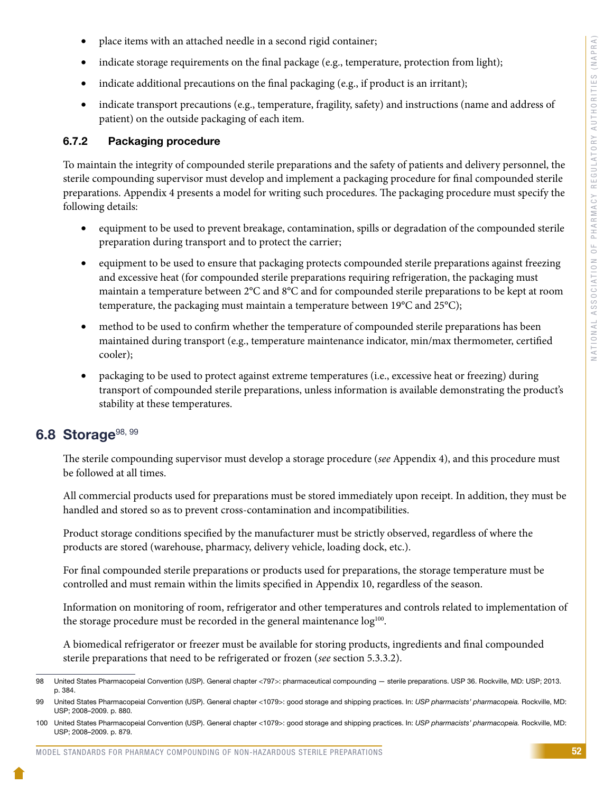- place items with an attached needle in a second rigid container;
- indicate storage requirements on the final package (e.g., temperature, protection from light);
- indicate additional precautions on the final packaging (e.g., if product is an irritant);
- indicate transport precautions (e.g., temperature, fragility, safety) and instructions (name and address of patient) on the outside packaging of each item.

#### 6.7.2 Packaging procedure

To maintain the integrity of compounded sterile preparations and the safety of patients and delivery personnel, the sterile compounding supervisor must develop and implement a packaging procedure for final compounded sterile preparations. Appendix 4 presents a model for writing such procedures. The packaging procedure must specify the following details:

- equipment to be used to prevent breakage, contamination, spills or degradation of the compounded sterile preparation during transport and to protect the carrier;
- equipment to be used to ensure that packaging protects compounded sterile preparations against freezing and excessive heat (for compounded sterile preparations requiring refrigeration, the packaging must maintain a temperature between 2°C and 8°C and for compounded sterile preparations to be kept at room temperature, the packaging must maintain a temperature between 19°C and 25°C);
- method to be used to confirm whether the temperature of compounded sterile preparations has been maintained during transport (e.g., temperature maintenance indicator, min/max thermometer, certified cooler);
- packaging to be used to protect against extreme temperatures (i.e., excessive heat or freezing) during transport of compounded sterile preparations, unless information is available demonstrating the product's stability at these temperatures.

### 6.8 Storage  $98, 99$

The sterile compounding supervisor must develop a storage procedure (*see* Appendix 4), and this procedure must be followed at all times.

All commercial products used for preparations must be stored immediately upon receipt. In addition, they must be handled and stored so as to prevent cross-contamination and incompatibilities.

Product storage conditions specified by the manufacturer must be strictly observed, regardless of where the products are stored (warehouse, pharmacy, delivery vehicle, loading dock, etc.).

For final compounded sterile preparations or products used for preparations, the storage temperature must be controlled and must remain within the limits specified in Appendix 10, regardless of the season.

Information on monitoring of room, refrigerator and other temperatures and controls related to implementation of the storage procedure must be recorded in the general maintenance  $log<sup>100</sup>$ .

A biomedical refrigerator or freezer must be available for storing products, ingredients and final compounded sterile preparations that need to be refrigerated or frozen (*see* section 5.3.3.2).

<sup>98</sup> United States Pharmacopeial Convention (USP). General chapter <797>: pharmaceutical compounding — sterile preparations. USP 36. Rockville, MD: USP; 2013. p. 384.

<sup>99</sup> United States Pharmacopeial Convention (USP). General chapter <1079>: good storage and shipping practices. In: *USP pharmacists' pharmacopeia.* Rockville, MD: USP; 2008–2009. p. 880.

<sup>100</sup> United States Pharmacopeial Convention (USP). General chapter <1079>: good storage and shipping practices. In: *USP pharmacists' pharmacopeia.* Rockville, MD: USP; 2008–2009. p. 879.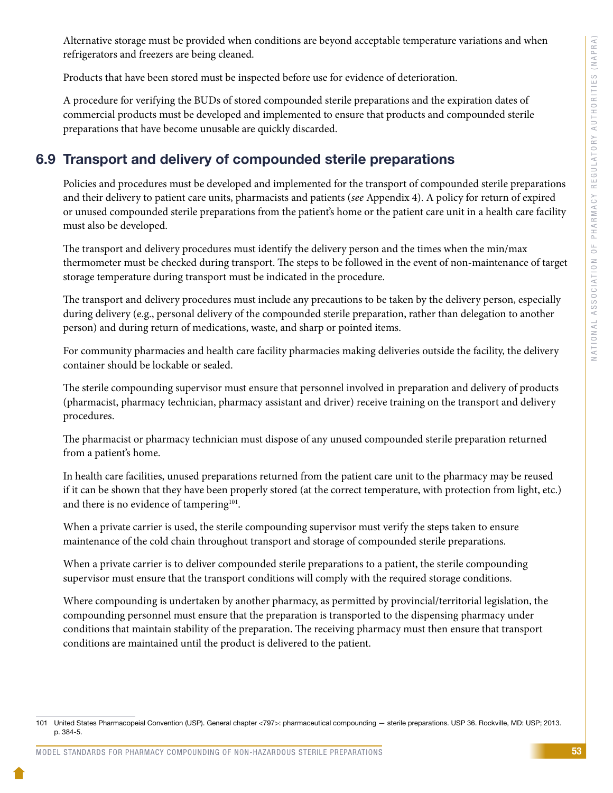Alternative storage must be provided when conditions are beyond acceptable temperature variations and when refrigerators and freezers are being cleaned.

Products that have been stored must be inspected before use for evidence of deterioration.

A procedure for verifying the BUDs of stored compounded sterile preparations and the expiration dates of commercial products must be developed and implemented to ensure that products and compounded sterile preparations that have become unusable are quickly discarded.

# 6.9 Transport and delivery of compounded sterile preparations

Policies and procedures must be developed and implemented for the transport of compounded sterile preparations and their delivery to patient care units, pharmacists and patients (*see* Appendix 4). A policy for return of expired or unused compounded sterile preparations from the patient's home or the patient care unit in a health care facility must also be developed.

The transport and delivery procedures must identify the delivery person and the times when the min/max thermometer must be checked during transport. The steps to be followed in the event of non-maintenance of target storage temperature during transport must be indicated in the procedure.

The transport and delivery procedures must include any precautions to be taken by the delivery person, especially during delivery (e.g., personal delivery of the compounded sterile preparation, rather than delegation to another person) and during return of medications, waste, and sharp or pointed items.

For community pharmacies and health care facility pharmacies making deliveries outside the facility, the delivery container should be lockable or sealed.

The sterile compounding supervisor must ensure that personnel involved in preparation and delivery of products (pharmacist, pharmacy technician, pharmacy assistant and driver) receive training on the transport and delivery procedures.

The pharmacist or pharmacy technician must dispose of any unused compounded sterile preparation returned from a patient's home.

In health care facilities, unused preparations returned from the patient care unit to the pharmacy may be reused if it can be shown that they have been properly stored (at the correct temperature, with protection from light, etc.) and there is no evidence of tampering<sup>101</sup>.

When a private carrier is used, the sterile compounding supervisor must verify the steps taken to ensure maintenance of the cold chain throughout transport and storage of compounded sterile preparations.

When a private carrier is to deliver compounded sterile preparations to a patient, the sterile compounding supervisor must ensure that the transport conditions will comply with the required storage conditions.

Where compounding is undertaken by another pharmacy, as permitted by provincial/territorial legislation, the compounding personnel must ensure that the preparation is transported to the dispensing pharmacy under conditions that maintain stability of the preparation. The receiving pharmacy must then ensure that transport conditions are maintained until the product is delivered to the patient.

<sup>101</sup> United States Pharmacopeial Convention (USP). General chapter <797>: pharmaceutical compounding — sterile preparations. USP 36. Rockville, MD: USP; 2013. p. 384-5.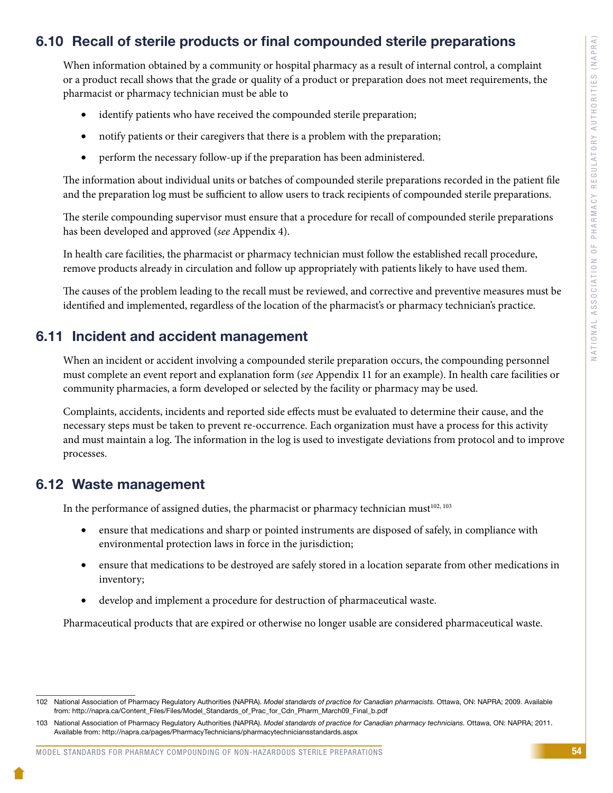# 6.10 Recall of sterile products or final compounded sterile preparations

When information obtained by a community or hospital pharmacy as a result of internal control, a complaint or a product recall shows that the grade or quality of a product or preparation does not meet requirements, the pharmacist or pharmacy technician must be able to

- identify patients who have received the compounded sterile preparation;
- notify patients or their caregivers that there is a problem with the preparation;
- perform the necessary follow-up if the preparation has been administered.

The information about individual units or batches of compounded sterile preparations recorded in the patient file and the preparation log must be sufficient to allow users to track recipients of compounded sterile preparations.

The sterile compounding supervisor must ensure that a procedure for recall of compounded sterile preparations has been developed and approved (*see* Appendix 4).

In health care facilities, the pharmacist or pharmacy technician must follow the established recall procedure, remove products already in circulation and follow up appropriately with patients likely to have used them.

The causes of the problem leading to the recall must be reviewed, and corrective and preventive measures must be identified and implemented, regardless of the location of the pharmacist's or pharmacy technician's practice.

### 6.11 Incident and accident management

When an incident or accident involving a compounded sterile preparation occurs, the compounding personnel must complete an event report and explanation form (*see* Appendix 11 for an example). In health care facilities or community pharmacies, a form developed or selected by the facility or pharmacy may be used.

Complaints, accidents, incidents and reported side effects must be evaluated to determine their cause, and the necessary steps must be taken to prevent re-occurrence. Each organization must have a process for this activity and must maintain a log. The information in the log is used to investigate deviations from protocol and to improve processes.

## 6.12 Waste management

In the performance of assigned duties, the pharmacist or pharmacy technician must<sup>102, 103</sup>

- ensure that medications and sharp or pointed instruments are disposed of safely, in compliance with environmental protection laws in force in the jurisdiction;
- ensure that medications to be destroyed are safely stored in a location separate from other medications in inventory;
- develop and implement a procedure for destruction of pharmaceutical waste.

Pharmaceutical products that are expired or otherwise no longer usable are considered pharmaceutical waste.

<sup>102</sup> National Association of Pharmacy Regulatory Authorities (NAPRA). *Model standards of practice for Canadian pharmacists.* Ottawa, ON: NAPRA; 2009. Available from: http://napra.ca/Content\_Files/Files/Model\_Standards\_of\_Prac\_for\_Cdn\_Pharm\_March09\_Final\_b.pdf

<sup>103</sup> National Association of Pharmacy Regulatory Authorities (NAPRA). *Model standards of practice for Canadian pharmacy technicians.* Ottawa, ON: NAPRA; 2011. Available from: http://napra.ca/pages/PharmacyTechnicians/pharmacytechniciansstandards.aspx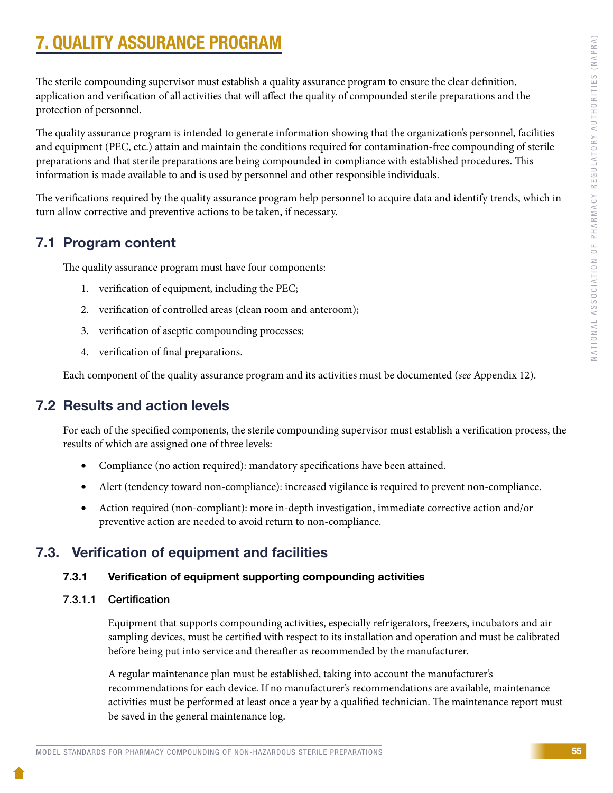# 7. QUALITY ASSURANCE PROGRAM

The sterile compounding supervisor must establish a quality assurance program to ensure the clear definition, application and verification of all activities that will affect the quality of compounded sterile preparations and the protection of personnel.

The quality assurance program is intended to generate information showing that the organization's personnel, facilities and equipment (PEC, etc.) attain and maintain the conditions required for contamination-free compounding of sterile preparations and that sterile preparations are being compounded in compliance with established procedures. This information is made available to and is used by personnel and other responsible individuals.

The verifications required by the quality assurance program help personnel to acquire data and identify trends, which in turn allow corrective and preventive actions to be taken, if necessary.

## 7.1 Program content

The quality assurance program must have four components:

- 1. verification of equipment, including the PEC;
- 2. verification of controlled areas (clean room and anteroom);
- 3. verification of aseptic compounding processes;
- 4. verification of final preparations.

Each component of the quality assurance program and its activities must be documented (*see* Appendix 12).

# 7.2 Results and action levels

For each of the specified components, the sterile compounding supervisor must establish a verification process, the results of which are assigned one of three levels:

- Compliance (no action required): mandatory specifications have been attained.
- Alert (tendency toward non-compliance): increased vigilance is required to prevent non-compliance.
- Action required (non-compliant): more in-depth investigation, immediate corrective action and/or preventive action are needed to avoid return to non-compliance.

# 7.3. Verification of equipment and facilities

#### 7.3.1 Verification of equipment supporting compounding activities

7.3.1.1 Certification

Equipment that supports compounding activities, especially refrigerators, freezers, incubators and air sampling devices, must be certified with respect to its installation and operation and must be calibrated before being put into service and thereafter as recommended by the manufacturer.

A regular maintenance plan must be established, taking into account the manufacturer's recommendations for each device. If no manufacturer's recommendations are available, maintenance activities must be performed at least once a year by a qualified technician. The maintenance report must be saved in the general maintenance log.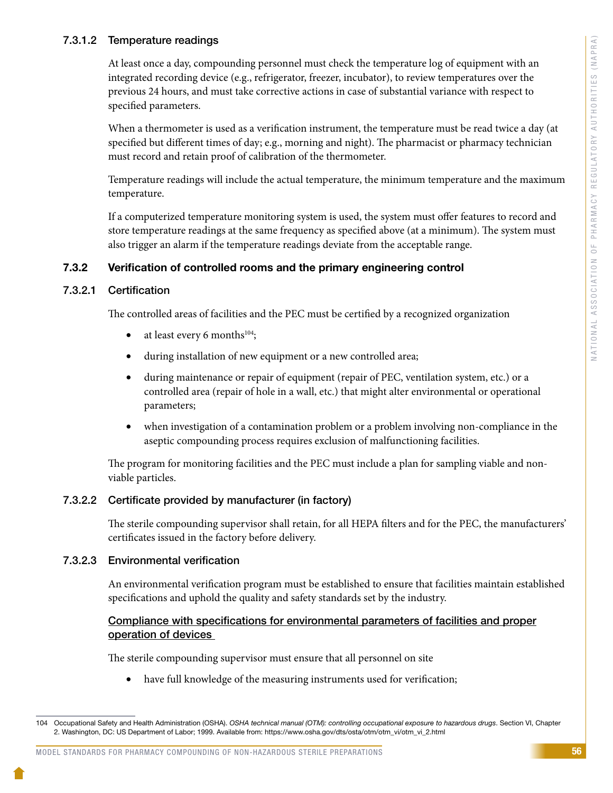#### 7.3.1.2 Temperature readings

At least once a day, compounding personnel must check the temperature log of equipment with an integrated recording device (e.g., refrigerator, freezer, incubator), to review temperatures over the previous 24 hours, and must take corrective actions in case of substantial variance with respect to specified parameters.

When a thermometer is used as a verification instrument, the temperature must be read twice a day (at specified but different times of day; e.g., morning and night). The pharmacist or pharmacy technician must record and retain proof of calibration of the thermometer.

Temperature readings will include the actual temperature, the minimum temperature and the maximum temperature.

If a computerized temperature monitoring system is used, the system must offer features to record and store temperature readings at the same frequency as specified above (at a minimum). The system must also trigger an alarm if the temperature readings deviate from the acceptable range.

#### 7.3.2 Verification of controlled rooms and the primary engineering control

#### 7.3.2.1 Certification

The controlled areas of facilities and the PEC must be certified by a recognized organization

- at least every 6 months<sup>104</sup>;
- during installation of new equipment or a new controlled area;
- during maintenance or repair of equipment (repair of PEC, ventilation system, etc.) or a controlled area (repair of hole in a wall, etc.) that might alter environmental or operational parameters;
- when investigation of a contamination problem or a problem involving non-compliance in the aseptic compounding process requires exclusion of malfunctioning facilities.

The program for monitoring facilities and the PEC must include a plan for sampling viable and nonviable particles.

#### 7.3.2.2 Certificate provided by manufacturer (in factory)

The sterile compounding supervisor shall retain, for all HEPA filters and for the PEC, the manufacturers' certificates issued in the factory before delivery.

#### 7.3.2.3 Environmental verification

An environmental verification program must be established to ensure that facilities maintain established specifications and uphold the quality and safety standards set by the industry.

#### Compliance with specifications for environmental parameters of facilities and proper operation of devices

The sterile compounding supervisor must ensure that all personnel on site

have full knowledge of the measuring instruments used for verification;

<sup>104</sup> Occupational Safety and Health Administration (OSHA). *OSHA technical manual (OTM): controlling occupational exposure to hazardous drugs*. Section VI, Chapter 2. Washington, DC: US Department of Labor; 1999. Available from: https://www.osha.gov/dts/osta/otm/otm\_vi/otm\_vi\_2.html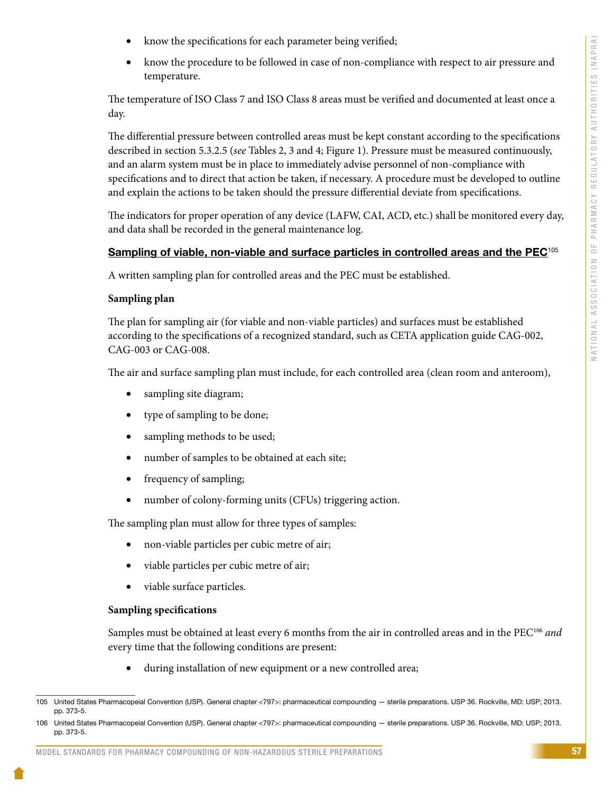- know the specifications for each parameter being verified;
- know the procedure to be followed in case of non-compliance with respect to air pressure and temperature.

The temperature of ISO Class 7 and ISO Class 8 areas must be verified and documented at least once a day.

The differential pressure between controlled areas must be kept constant according to the specifications described in section 5.3.2.5 (*see* Tables 2, 3 and 4; Figure 1). Pressure must be measured continuously, and an alarm system must be in place to immediately advise personnel of non-compliance with specifications and to direct that action be taken, if necessary. A procedure must be developed to outline and explain the actions to be taken should the pressure differential deviate from specifications.

The indicators for proper operation of any device (LAFW, CAI, ACD, etc.) shall be monitored every day, and data shall be recorded in the general maintenance log.

#### Sampling of viable, non-viable and surface particles in controlled areas and the PEC<sup>105</sup>

A written sampling plan for controlled areas and the PEC must be established.

#### **Sampling plan**

The plan for sampling air (for viable and non-viable particles) and surfaces must be established according to the specifications of a recognized standard, such as CETA application guide CAG-002, CAG-003 or CAG-008.

The air and surface sampling plan must include, for each controlled area (clean room and anteroom),

- sampling site diagram;
- type of sampling to be done;
- sampling methods to be used;
- number of samples to be obtained at each site;
- frequency of sampling;
- number of colony-forming units (CFUs) triggering action.

The sampling plan must allow for three types of samples:

- non-viable particles per cubic metre of air;
- viable particles per cubic metre of air;
- viable surface particles.

#### **Sampling specifications**

Samples must be obtained at least every 6 months from the air in controlled areas and in the PEC106 *and*  every time that the following conditions are present:

• during installation of new equipment or a new controlled area;

<sup>105</sup> United States Pharmacopeial Convention (USP). General chapter <797>: pharmaceutical compounding — sterile preparations. USP 36. Rockville, MD: USP; 2013. pp. 373-5.

<sup>106</sup> United States Pharmacopeial Convention (USP). General chapter <797>: pharmaceutical compounding — sterile preparations. USP 36. Rockville, MD: USP; 2013. pp. 373-5.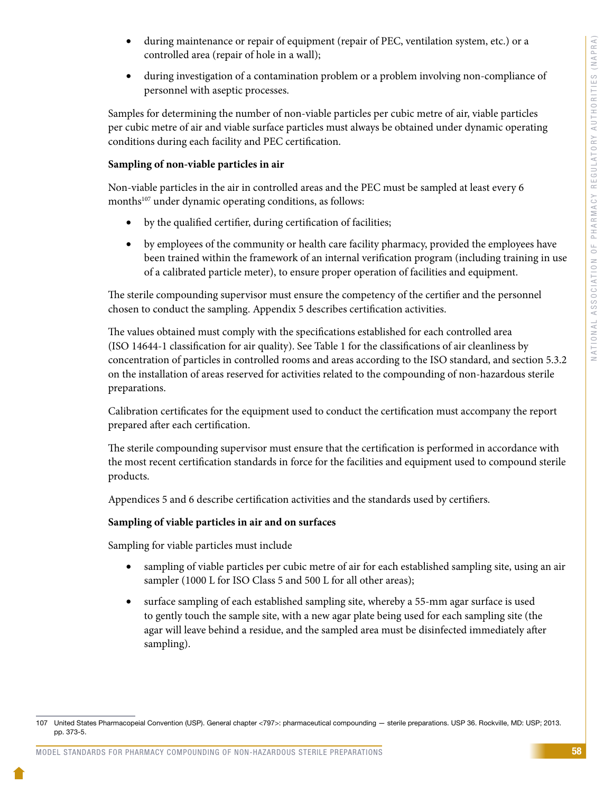- during maintenance or repair of equipment (repair of PEC, ventilation system, etc.) or a controlled area (repair of hole in a wall);
- during investigation of a contamination problem or a problem involving non-compliance of personnel with aseptic processes.

Samples for determining the number of non-viable particles per cubic metre of air, viable particles per cubic metre of air and viable surface particles must always be obtained under dynamic operating conditions during each facility and PEC certification.

#### **Sampling of non-viable particles in air**

Non-viable particles in the air in controlled areas and the PEC must be sampled at least every 6 months<sup>107</sup> under dynamic operating conditions, as follows:

- by the qualified certifier, during certification of facilities;
- by employees of the community or health care facility pharmacy, provided the employees have been trained within the framework of an internal verification program (including training in use of a calibrated particle meter), to ensure proper operation of facilities and equipment.

The sterile compounding supervisor must ensure the competency of the certifier and the personnel chosen to conduct the sampling. Appendix 5 describes certification activities.

The values obtained must comply with the specifications established for each controlled area (ISO 14644-1 classification for air quality). See Table 1 for the classifications of air cleanliness by concentration of particles in controlled rooms and areas according to the ISO standard, and section 5.3.2 on the installation of areas reserved for activities related to the compounding of non-hazardous sterile preparations.

Calibration certificates for the equipment used to conduct the certification must accompany the report prepared after each certification.

The sterile compounding supervisor must ensure that the certification is performed in accordance with the most recent certification standards in force for the facilities and equipment used to compound sterile products.

Appendices 5 and 6 describe certification activities and the standards used by certifiers.

#### **Sampling of viable particles in air and on surfaces**

Sampling for viable particles must include

- sampling of viable particles per cubic metre of air for each established sampling site, using an air sampler (1000 L for ISO Class 5 and 500 L for all other areas);
- surface sampling of each established sampling site, whereby a 55-mm agar surface is used to gently touch the sample site, with a new agar plate being used for each sampling site (the agar will leave behind a residue, and the sampled area must be disinfected immediately after sampling).

<sup>107</sup> United States Pharmacopeial Convention (USP). General chapter <797>: pharmaceutical compounding — sterile preparations. USP 36. Rockville, MD: USP; 2013. pp. 373-5.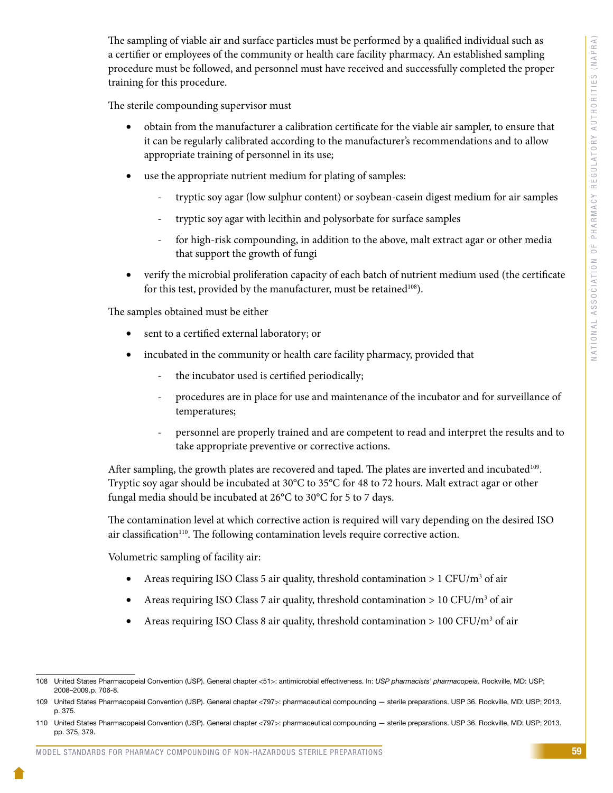The sampling of viable air and surface particles must be performed by a qualified individual such as a certifier or employees of the community or health care facility pharmacy. An established sampling procedure must be followed, and personnel must have received and successfully completed the proper training for this procedure.

The sterile compounding supervisor must

- obtain from the manufacturer a calibration certificate for the viable air sampler, to ensure that it can be regularly calibrated according to the manufacturer's recommendations and to allow appropriate training of personnel in its use;
- use the appropriate nutrient medium for plating of samples:
	- tryptic soy agar (low sulphur content) or soybean-casein digest medium for air samples
	- tryptic soy agar with lecithin and polysorbate for surface samples
	- for high-risk compounding, in addition to the above, malt extract agar or other media that support the growth of fungi
- verify the microbial proliferation capacity of each batch of nutrient medium used (the certificate for this test, provided by the manufacturer, must be retained<sup>108</sup>).

The samples obtained must be either

- sent to a certified external laboratory; or
- incubated in the community or health care facility pharmacy, provided that
	- the incubator used is certified periodically;
	- procedures are in place for use and maintenance of the incubator and for surveillance of temperatures;
	- personnel are properly trained and are competent to read and interpret the results and to take appropriate preventive or corrective actions.

After sampling, the growth plates are recovered and taped. The plates are inverted and incubated<sup>109</sup>. Tryptic soy agar should be incubated at 30°C to 35°C for 48 to 72 hours. Malt extract agar or other fungal media should be incubated at 26°C to 30°C for 5 to 7 days.

The contamination level at which corrective action is required will vary depending on the desired ISO air classification<sup>110</sup>. The following contamination levels require corrective action.

Volumetric sampling of facility air:

- Areas requiring ISO Class 5 air quality, threshold contamination > 1 CFU/m<sup>3</sup> of air
- Areas requiring ISO Class 7 air quality, threshold contamination > 10 CFU/ $m<sup>3</sup>$  of air
- Areas requiring ISO Class 8 air quality, threshold contamination > 100 CFU/m<sup>3</sup> of air

<sup>108</sup> United States Pharmacopeial Convention (USP). General chapter <51>: antimicrobial effectiveness. In: *USP pharmacists' pharmacopeia.* Rockville, MD: USP; 2008–2009.p. 706-8.

<sup>109</sup> United States Pharmacopeial Convention (USP). General chapter <797>: pharmaceutical compounding — sterile preparations. USP 36. Rockville, MD: USP; 2013. p. 375.

<sup>110</sup> United States Pharmacopeial Convention (USP). General chapter <797>: pharmaceutical compounding — sterile preparations. USP 36. Rockville, MD: USP; 2013. pp. 375, 379.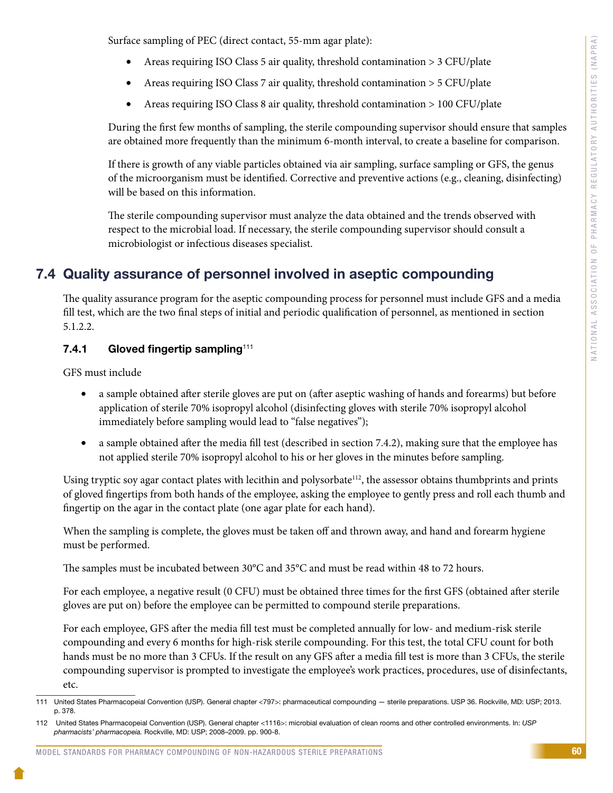Surface sampling of PEC (direct contact, 55-mm agar plate):

- Areas requiring ISO Class 5 air quality, threshold contamination > 3 CFU/plate
- Areas requiring ISO Class 7 air quality, threshold contamination > 5 CFU/plate
- Areas requiring ISO Class 8 air quality, threshold contamination > 100 CFU/plate

During the first few months of sampling, the sterile compounding supervisor should ensure that samples are obtained more frequently than the minimum 6-month interval, to create a baseline for comparison.

If there is growth of any viable particles obtained via air sampling, surface sampling or GFS, the genus of the microorganism must be identified. Corrective and preventive actions (e.g., cleaning, disinfecting) will be based on this information.

The sterile compounding supervisor must analyze the data obtained and the trends observed with respect to the microbial load. If necessary, the sterile compounding supervisor should consult a microbiologist or infectious diseases specialist.

# 7.4 Quality assurance of personnel involved in aseptic compounding

The quality assurance program for the aseptic compounding process for personnel must include GFS and a media fill test, which are the two final steps of initial and periodic qualification of personnel, as mentioned in section 5.1.2.2.

#### 7.4.1 Gloved fingertip sampling<sup>111</sup>

GFS must include

- a sample obtained after sterile gloves are put on (after aseptic washing of hands and forearms) but before application of sterile 70% isopropyl alcohol (disinfecting gloves with sterile 70% isopropyl alcohol immediately before sampling would lead to "false negatives");
- a sample obtained after the media fill test (described in section 7.4.2), making sure that the employee has not applied sterile 70% isopropyl alcohol to his or her gloves in the minutes before sampling.

Using tryptic soy agar contact plates with lecithin and polysorbate<sup>112</sup>, the assessor obtains thumbprints and prints of gloved fingertips from both hands of the employee, asking the employee to gently press and roll each thumb and fingertip on the agar in the contact plate (one agar plate for each hand).

When the sampling is complete, the gloves must be taken off and thrown away, and hand and forearm hygiene must be performed.

The samples must be incubated between 30°C and 35°C and must be read within 48 to 72 hours.

For each employee, a negative result (0 CFU) must be obtained three times for the first GFS (obtained after sterile gloves are put on) before the employee can be permitted to compound sterile preparations.

For each employee, GFS after the media fill test must be completed annually for low- and medium-risk sterile compounding and every 6 months for high-risk sterile compounding. For this test, the total CFU count for both hands must be no more than 3 CFUs. If the result on any GFS after a media fill test is more than 3 CFUs, the sterile compounding supervisor is prompted to investigate the employee's work practices, procedures, use of disinfectants, etc.

<sup>111</sup> United States Pharmacopeial Convention (USP). General chapter <797>: pharmaceutical compounding — sterile preparations. USP 36. Rockville, MD: USP; 2013. p. 378.

<sup>112</sup> United States Pharmacopeial Convention (USP). General chapter <1116>: microbial evaluation of clean rooms and other controlled environments. In: *USP pharmacists' pharmacopeia.* Rockville, MD: USP; 2008–2009. pp. 900-8.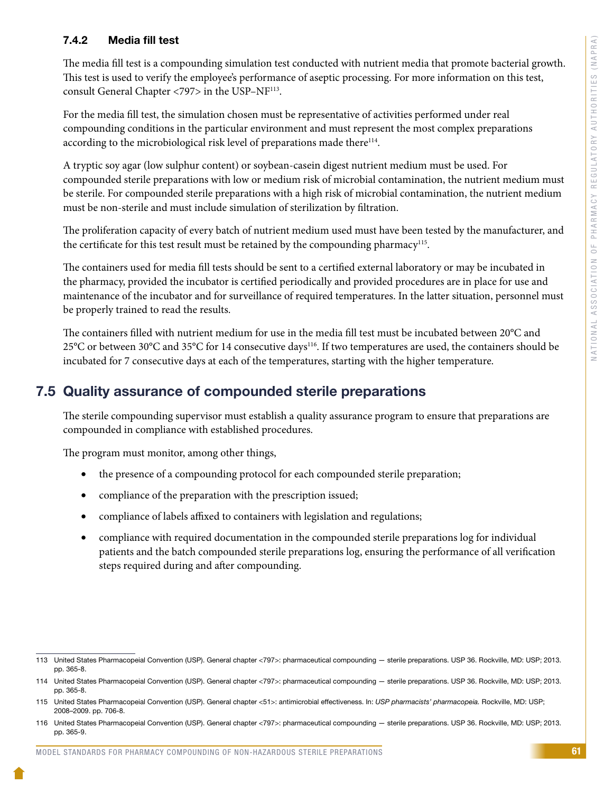## 7.4.2 Media fill test

The media fill test is a compounding simulation test conducted with nutrient media that promote bacterial growth. This test is used to verify the employee's performance of aseptic processing. For more information on this test, consult General Chapter <797> in the USP–NF113.

For the media fill test, the simulation chosen must be representative of activities performed under real compounding conditions in the particular environment and must represent the most complex preparations according to the microbiological risk level of preparations made there<sup>114</sup>.

A tryptic soy agar (low sulphur content) or soybean-casein digest nutrient medium must be used. For compounded sterile preparations with low or medium risk of microbial contamination, the nutrient medium must be sterile. For compounded sterile preparations with a high risk of microbial contamination, the nutrient medium must be non-sterile and must include simulation of sterilization by filtration.

The proliferation capacity of every batch of nutrient medium used must have been tested by the manufacturer, and the certificate for this test result must be retained by the compounding pharmacy<sup>115</sup>.

The containers used for media fill tests should be sent to a certified external laboratory or may be incubated in the pharmacy, provided the incubator is certified periodically and provided procedures are in place for use and maintenance of the incubator and for surveillance of required temperatures. In the latter situation, personnel must be properly trained to read the results.

The containers filled with nutrient medium for use in the media fill test must be incubated between 20°C and 25°C or between 30°C and 35°C for 14 consecutive days<sup>116</sup>. If two temperatures are used, the containers should be incubated for 7 consecutive days at each of the temperatures, starting with the higher temperature.

# 7.5 Quality assurance of compounded sterile preparations

The sterile compounding supervisor must establish a quality assurance program to ensure that preparations are compounded in compliance with established procedures.

The program must monitor, among other things,

- the presence of a compounding protocol for each compounded sterile preparation;
- compliance of the preparation with the prescription issued;
- compliance of labels affixed to containers with legislation and regulations;
- compliance with required documentation in the compounded sterile preparations log for individual patients and the batch compounded sterile preparations log, ensuring the performance of all verification steps required during and after compounding.

<sup>113</sup> United States Pharmacopeial Convention (USP). General chapter <797>: pharmaceutical compounding — sterile preparations. USP 36. Rockville, MD: USP; 2013. pp. 365-8.

<sup>114</sup> United States Pharmacopeial Convention (USP). General chapter <797>: pharmaceutical compounding — sterile preparations. USP 36. Rockville, MD: USP; 2013. pp. 365-8.

<sup>115</sup> United States Pharmacopeial Convention (USP). General chapter <51>: antimicrobial effectiveness. In: *USP pharmacists' pharmacopeia.* Rockville, MD: USP; 2008–2009. pp. 706-8.

<sup>116</sup> United States Pharmacopeial Convention (USP). General chapter <797>: pharmaceutical compounding — sterile preparations. USP 36. Rockville, MD: USP; 2013. pp. 365-9.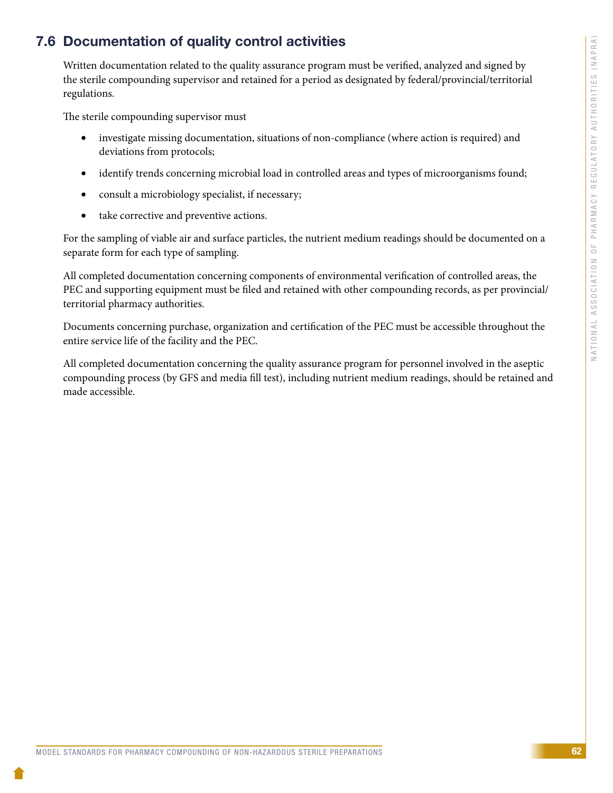# 7.6 Documentation of quality control activities

Written documentation related to the quality assurance program must be verified, analyzed and signed by the sterile compounding supervisor and retained for a period as designated by federal/provincial/territorial regulations.

The sterile compounding supervisor must

- investigate missing documentation, situations of non-compliance (where action is required) and deviations from protocols;
- identify trends concerning microbial load in controlled areas and types of microorganisms found;
- consult a microbiology specialist, if necessary;
- take corrective and preventive actions.

For the sampling of viable air and surface particles, the nutrient medium readings should be documented on a separate form for each type of sampling.

All completed documentation concerning components of environmental verification of controlled areas, the PEC and supporting equipment must be filed and retained with other compounding records, as per provincial/ territorial pharmacy authorities.

Documents concerning purchase, organization and certification of the PEC must be accessible throughout the entire service life of the facility and the PEC.

All completed documentation concerning the quality assurance program for personnel involved in the aseptic compounding process (by GFS and media fill test), including nutrient medium readings, should be retained and made accessible.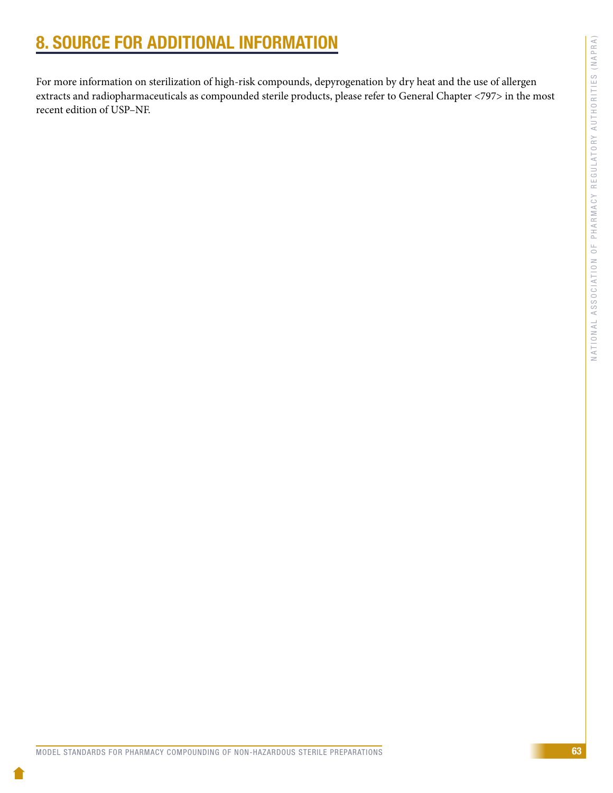# 8. SOURCE FOR ADDITIONAL INFORMATION

For more information on sterilization of high-risk compounds, depyrogenation by dry heat and the use of allergen extracts and radiopharmaceuticals as compounded sterile products, please refer to General Chapter <797> in the most recent edition of USP–NF.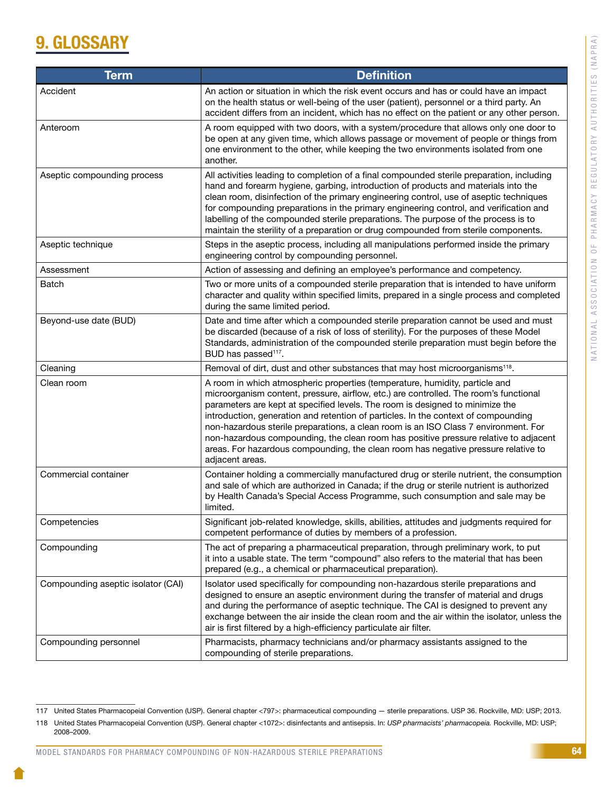# 9. GLOSSARY

| <b>Term</b>                        | <b>Definition</b>                                                                                                                                                                                                                                                                                                                                                                                                                                                                                                                                                                                                                   |
|------------------------------------|-------------------------------------------------------------------------------------------------------------------------------------------------------------------------------------------------------------------------------------------------------------------------------------------------------------------------------------------------------------------------------------------------------------------------------------------------------------------------------------------------------------------------------------------------------------------------------------------------------------------------------------|
| Accident                           | An action or situation in which the risk event occurs and has or could have an impact<br>on the health status or well-being of the user (patient), personnel or a third party. An<br>accident differs from an incident, which has no effect on the patient or any other person.                                                                                                                                                                                                                                                                                                                                                     |
| Anteroom                           | A room equipped with two doors, with a system/procedure that allows only one door to<br>be open at any given time, which allows passage or movement of people or things from<br>one environment to the other, while keeping the two environments isolated from one<br>another.                                                                                                                                                                                                                                                                                                                                                      |
| Aseptic compounding process        | All activities leading to completion of a final compounded sterile preparation, including<br>hand and forearm hygiene, garbing, introduction of products and materials into the<br>clean room, disinfection of the primary engineering control, use of aseptic techniques<br>for compounding preparations in the primary engineering control, and verification and<br>labelling of the compounded sterile preparations. The purpose of the process is to<br>maintain the sterility of a preparation or drug compounded from sterile components.                                                                                     |
| Aseptic technique                  | Steps in the aseptic process, including all manipulations performed inside the primary<br>engineering control by compounding personnel.                                                                                                                                                                                                                                                                                                                                                                                                                                                                                             |
| Assessment                         | Action of assessing and defining an employee's performance and competency.                                                                                                                                                                                                                                                                                                                                                                                                                                                                                                                                                          |
| Batch                              | Two or more units of a compounded sterile preparation that is intended to have uniform<br>character and quality within specified limits, prepared in a single process and completed<br>during the same limited period.                                                                                                                                                                                                                                                                                                                                                                                                              |
| Beyond-use date (BUD)              | Date and time after which a compounded sterile preparation cannot be used and must<br>be discarded (because of a risk of loss of sterility). For the purposes of these Model<br>Standards, administration of the compounded sterile preparation must begin before the<br>BUD has passed <sup>117</sup> .                                                                                                                                                                                                                                                                                                                            |
| Cleaning                           | Removal of dirt, dust and other substances that may host microorganisms <sup>118</sup> .                                                                                                                                                                                                                                                                                                                                                                                                                                                                                                                                            |
| Clean room                         | A room in which atmospheric properties (temperature, humidity, particle and<br>microorganism content, pressure, airflow, etc.) are controlled. The room's functional<br>parameters are kept at specified levels. The room is designed to minimize the<br>introduction, generation and retention of particles. In the context of compounding<br>non-hazardous sterile preparations, a clean room is an ISO Class 7 environment. For<br>non-hazardous compounding, the clean room has positive pressure relative to adjacent<br>areas. For hazardous compounding, the clean room has negative pressure relative to<br>adjacent areas. |
| Commercial container               | Container holding a commercially manufactured drug or sterile nutrient, the consumption<br>and sale of which are authorized in Canada; if the drug or sterile nutrient is authorized<br>by Health Canada's Special Access Programme, such consumption and sale may be<br>limited.                                                                                                                                                                                                                                                                                                                                                   |
| Competencies                       | Significant job-related knowledge, skills, abilities, attitudes and judgments required for<br>competent performance of duties by members of a profession.                                                                                                                                                                                                                                                                                                                                                                                                                                                                           |
| Compounding                        | The act of preparing a pharmaceutical preparation, through preliminary work, to put<br>it into a usable state. The term "compound" also refers to the material that has been<br>prepared (e.g., a chemical or pharmaceutical preparation).                                                                                                                                                                                                                                                                                                                                                                                          |
| Compounding aseptic isolator (CAI) | Isolator used specifically for compounding non-hazardous sterile preparations and<br>designed to ensure an aseptic environment during the transfer of material and drugs<br>and during the performance of aseptic technique. The CAI is designed to prevent any<br>exchange between the air inside the clean room and the air within the isolator, unless the<br>air is first filtered by a high-efficiency particulate air filter.                                                                                                                                                                                                 |
| Compounding personnel              | Pharmacists, pharmacy technicians and/or pharmacy assistants assigned to the<br>compounding of sterile preparations.                                                                                                                                                                                                                                                                                                                                                                                                                                                                                                                |

<sup>117</sup> United States Pharmacopeial Convention (USP). General chapter <797>: pharmaceutical compounding — sterile preparations. USP 36. Rockville, MD: USP; 2013.

<sup>118</sup> United States Pharmacopeial Convention (USP). General chapter <1072>: disinfectants and antisepsis. In: *USP pharmacists' pharmacopeia.* Rockville, MD: USP; 2008–2009.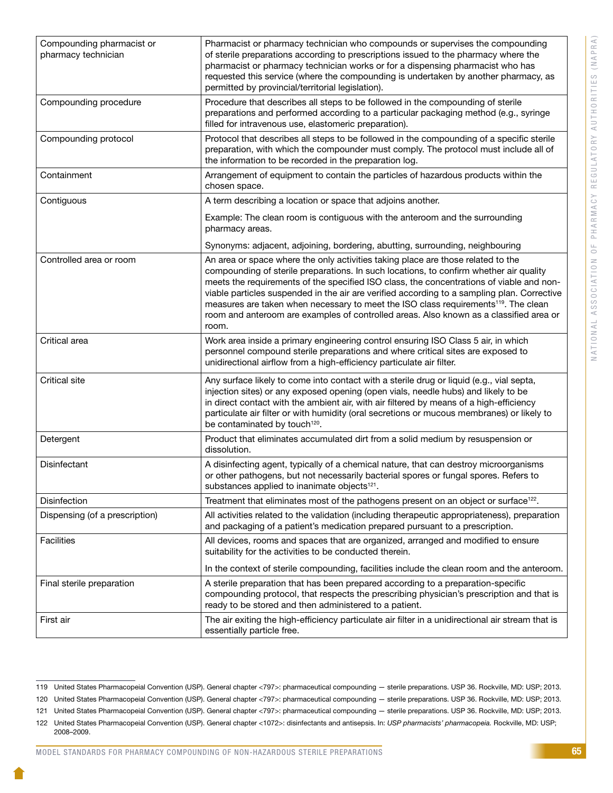| Compounding pharmacist or<br>pharmacy technician | Pharmacist or pharmacy technician who compounds or supervises the compounding<br>of sterile preparations according to prescriptions issued to the pharmacy where the<br>pharmacist or pharmacy technician works or for a dispensing pharmacist who has<br>requested this service (where the compounding is undertaken by another pharmacy, as<br>permitted by provincial/territorial legislation).                                                                                                                                                                          |
|--------------------------------------------------|-----------------------------------------------------------------------------------------------------------------------------------------------------------------------------------------------------------------------------------------------------------------------------------------------------------------------------------------------------------------------------------------------------------------------------------------------------------------------------------------------------------------------------------------------------------------------------|
| Compounding procedure                            | Procedure that describes all steps to be followed in the compounding of sterile<br>preparations and performed according to a particular packaging method (e.g., syringe<br>filled for intravenous use, elastomeric preparation).                                                                                                                                                                                                                                                                                                                                            |
| Compounding protocol                             | Protocol that describes all steps to be followed in the compounding of a specific sterile<br>preparation, with which the compounder must comply. The protocol must include all of<br>the information to be recorded in the preparation log.                                                                                                                                                                                                                                                                                                                                 |
| Containment                                      | Arrangement of equipment to contain the particles of hazardous products within the<br>chosen space.                                                                                                                                                                                                                                                                                                                                                                                                                                                                         |
| Contiguous                                       | A term describing a location or space that adjoins another.                                                                                                                                                                                                                                                                                                                                                                                                                                                                                                                 |
|                                                  | Example: The clean room is contiguous with the anteroom and the surrounding<br>pharmacy areas.                                                                                                                                                                                                                                                                                                                                                                                                                                                                              |
|                                                  | Synonyms: adjacent, adjoining, bordering, abutting, surrounding, neighbouring                                                                                                                                                                                                                                                                                                                                                                                                                                                                                               |
| Controlled area or room                          | An area or space where the only activities taking place are those related to the<br>compounding of sterile preparations. In such locations, to confirm whether air quality<br>meets the requirements of the specified ISO class, the concentrations of viable and non-<br>viable particles suspended in the air are verified according to a sampling plan. Corrective<br>measures are taken when necessary to meet the ISO class requirements <sup>119</sup> . The clean<br>room and anteroom are examples of controlled areas. Also known as a classified area or<br>room. |
| Critical area                                    | Work area inside a primary engineering control ensuring ISO Class 5 air, in which<br>personnel compound sterile preparations and where critical sites are exposed to<br>unidirectional airflow from a high-efficiency particulate air filter.                                                                                                                                                                                                                                                                                                                               |
| <b>Critical site</b>                             | Any surface likely to come into contact with a sterile drug or liquid (e.g., vial septa,<br>injection sites) or any exposed opening (open vials, needle hubs) and likely to be<br>in direct contact with the ambient air, with air filtered by means of a high-efficiency<br>particulate air filter or with humidity (oral secretions or mucous membranes) or likely to<br>be contaminated by touch <sup>120</sup> .                                                                                                                                                        |
| Detergent                                        | Product that eliminates accumulated dirt from a solid medium by resuspension or<br>dissolution.                                                                                                                                                                                                                                                                                                                                                                                                                                                                             |
| Disinfectant                                     | A disinfecting agent, typically of a chemical nature, that can destroy microorganisms<br>or other pathogens, but not necessarily bacterial spores or fungal spores. Refers to<br>substances applied to inanimate objects <sup>121</sup> .                                                                                                                                                                                                                                                                                                                                   |
| <b>Disinfection</b>                              | Treatment that eliminates most of the pathogens present on an object or surface <sup>122</sup> .                                                                                                                                                                                                                                                                                                                                                                                                                                                                            |
| Dispensing (of a prescription)                   | All activities related to the validation (including therapeutic appropriateness), preparation<br>and packaging of a patient's medication prepared pursuant to a prescription.                                                                                                                                                                                                                                                                                                                                                                                               |
| <b>Facilities</b>                                | All devices, rooms and spaces that are organized, arranged and modified to ensure<br>suitability for the activities to be conducted therein.                                                                                                                                                                                                                                                                                                                                                                                                                                |
|                                                  | In the context of sterile compounding, facilities include the clean room and the anteroom.                                                                                                                                                                                                                                                                                                                                                                                                                                                                                  |
| Final sterile preparation                        | A sterile preparation that has been prepared according to a preparation-specific<br>compounding protocol, that respects the prescribing physician's prescription and that is<br>ready to be stored and then administered to a patient.                                                                                                                                                                                                                                                                                                                                      |
| First air                                        | The air exiting the high-efficiency particulate air filter in a unidirectional air stream that is<br>essentially particle free.                                                                                                                                                                                                                                                                                                                                                                                                                                             |

MODEL STANDARDS FOR PHARMACY COMPOUNDING OF NON-HAZARDOUS STERILE PREPARATIONS

<sup>119</sup> United States Pharmacopeial Convention (USP). General chapter <797>: pharmaceutical compounding — sterile preparations. USP 36. Rockville, MD: USP; 2013.

<sup>120</sup> United States Pharmacopeial Convention (USP). General chapter <797>: pharmaceutical compounding — sterile preparations. USP 36. Rockville, MD: USP; 2013.

<sup>121</sup> United States Pharmacopeial Convention (USP). General chapter <797>: pharmaceutical compounding — sterile preparations. USP 36. Rockville, MD: USP; 2013.

<sup>122</sup> United States Pharmacopeial Convention (USP). General chapter <1072>: disinfectants and antisepsis. In: *USP pharmacists' pharmacopeia.* Rockville, MD: USP;

<sup>2008–2009.</sup>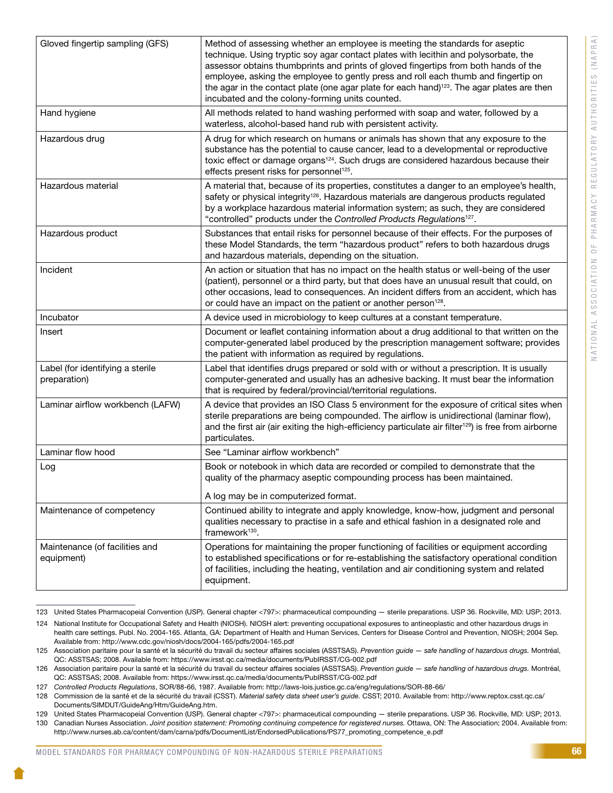| Gloved fingertip sampling (GFS)                  | Method of assessing whether an employee is meeting the standards for aseptic<br>technique. Using tryptic soy agar contact plates with lecithin and polysorbate, the<br>assessor obtains thumbprints and prints of gloved fingertips from both hands of the<br>employee, asking the employee to gently press and roll each thumb and fingertip on<br>the agar in the contact plate (one agar plate for each hand) <sup>123</sup> . The agar plates are then<br>incubated and the colony-forming units counted. |
|--------------------------------------------------|---------------------------------------------------------------------------------------------------------------------------------------------------------------------------------------------------------------------------------------------------------------------------------------------------------------------------------------------------------------------------------------------------------------------------------------------------------------------------------------------------------------|
| Hand hygiene                                     | All methods related to hand washing performed with soap and water, followed by a<br>waterless, alcohol-based hand rub with persistent activity.                                                                                                                                                                                                                                                                                                                                                               |
| Hazardous drug                                   | A drug for which research on humans or animals has shown that any exposure to the<br>substance has the potential to cause cancer, lead to a developmental or reproductive<br>toxic effect or damage organs <sup>124</sup> . Such drugs are considered hazardous because their<br>effects present risks for personnel <sup>125</sup> .                                                                                                                                                                         |
| Hazardous material                               | A material that, because of its properties, constitutes a danger to an employee's health,<br>safety or physical integrity <sup>126</sup> . Hazardous materials are dangerous products regulated<br>by a workplace hazardous material information system; as such, they are considered<br>"controlled" products under the Controlled Products Regulations <sup>127</sup> .                                                                                                                                     |
| Hazardous product                                | Substances that entail risks for personnel because of their effects. For the purposes of<br>these Model Standards, the term "hazardous product" refers to both hazardous drugs<br>and hazardous materials, depending on the situation.                                                                                                                                                                                                                                                                        |
| Incident                                         | An action or situation that has no impact on the health status or well-being of the user<br>(patient), personnel or a third party, but that does have an unusual result that could, on<br>other occasions, lead to consequences. An incident differs from an accident, which has<br>or could have an impact on the patient or another person <sup>128</sup> .                                                                                                                                                 |
| Incubator                                        | A device used in microbiology to keep cultures at a constant temperature.                                                                                                                                                                                                                                                                                                                                                                                                                                     |
| Insert                                           | Document or leaflet containing information about a drug additional to that written on the<br>computer-generated label produced by the prescription management software; provides<br>the patient with information as required by regulations.                                                                                                                                                                                                                                                                  |
| Label (for identifying a sterile<br>preparation) | Label that identifies drugs prepared or sold with or without a prescription. It is usually<br>computer-generated and usually has an adhesive backing. It must bear the information<br>that is required by federal/provincial/territorial regulations.                                                                                                                                                                                                                                                         |
| Laminar airflow workbench (LAFW)                 | A device that provides an ISO Class 5 environment for the exposure of critical sites when<br>sterile preparations are being compounded. The airflow is unidirectional (laminar flow),<br>and the first air (air exiting the high-efficiency particulate air filter <sup>129</sup> ) is free from airborne<br>particulates.                                                                                                                                                                                    |
| Laminar flow hood                                | See "Laminar airflow workbench"                                                                                                                                                                                                                                                                                                                                                                                                                                                                               |
| Log                                              | Book or notebook in which data are recorded or compiled to demonstrate that the<br>quality of the pharmacy aseptic compounding process has been maintained.                                                                                                                                                                                                                                                                                                                                                   |
|                                                  | A log may be in computerized format.                                                                                                                                                                                                                                                                                                                                                                                                                                                                          |
| Maintenance of competency                        | Continued ability to integrate and apply knowledge, know-how, judgment and personal<br>qualities necessary to practise in a safe and ethical fashion in a designated role and<br>framework <sup>130</sup> .                                                                                                                                                                                                                                                                                                   |
| Maintenance (of facilities and<br>equipment)     | Operations for maintaining the proper functioning of facilities or equipment according<br>to established specifications or for re-establishing the satisfactory operational condition<br>of facilities, including the heating, ventilation and air conditioning system and related<br>equipment.                                                                                                                                                                                                              |

<sup>123</sup> United States Pharmacopeial Convention (USP). General chapter <797>: pharmaceutical compounding — sterile preparations. USP 36. Rockville, MD: USP; 2013.

<sup>124</sup> National Institute for Occupational Safety and Health (NIOSH). NIOSH alert: preventing occupational exposures to antineoplastic and other hazardous drugs in health care settings. Publ. No. 2004-165. Atlanta, GA: Department of Health and Human Services, Centers for Disease Control and Prevention, NIOSH; 2004 Sep. Available from: http://www.cdc.gov/niosh/docs/2004-165/pdfs/2004-165.pdf

<sup>125</sup> Association paritaire pour la santé et la sécurité du travail du secteur affaires sociales (ASSTSAS). *Prevention guide — safe handling of hazardous drugs.* Montréal, QC: ASSTSAS; 2008. Available from: https://www.irsst.qc.ca/media/documents/PubIRSST/CG-002.pdf

<sup>126</sup> Association paritaire pour la santé et la sécurité du travail du secteur affaires sociales (ASSTSAS). *Prevention guide — safe handling of hazardous drugs.* Montréal, QC: ASSTSAS; 2008. Available from: https://www.irsst.qc.ca/media/documents/PubIRSST/CG-002.pdf

<sup>127</sup> *Controlled Products Regulations*, SOR/88-66, 1987. Available from: http://laws-lois.justice.gc.ca/eng/regulations/SOR-88-66/

<sup>128</sup> Commission de la santé et de la sécurité du travail (CSST). *Material safety data sheet user's guide.* CSST; 2010. Available from: http://www.reptox.csst.qc.ca/ Documents/SIMDUT/GuideAng/Htm/GuideAng.htm.

<sup>129</sup> United States Pharmacopeial Convention (USP). General chapter <797>: pharmaceutical compounding — sterile preparations. USP 36. Rockville, MD: USP; 2013.

<sup>130</sup> Canadian Nurses Association. *Joint position statement: Promoting continuing comp*e*tence for registered nurses.* Ottawa, ON: The Association; 2004. Available from: http://www.nurses.ab.ca/content/dam/carna/pdfs/DocumentList/EndorsedPublications/PS77\_promoting\_competence\_e.pdf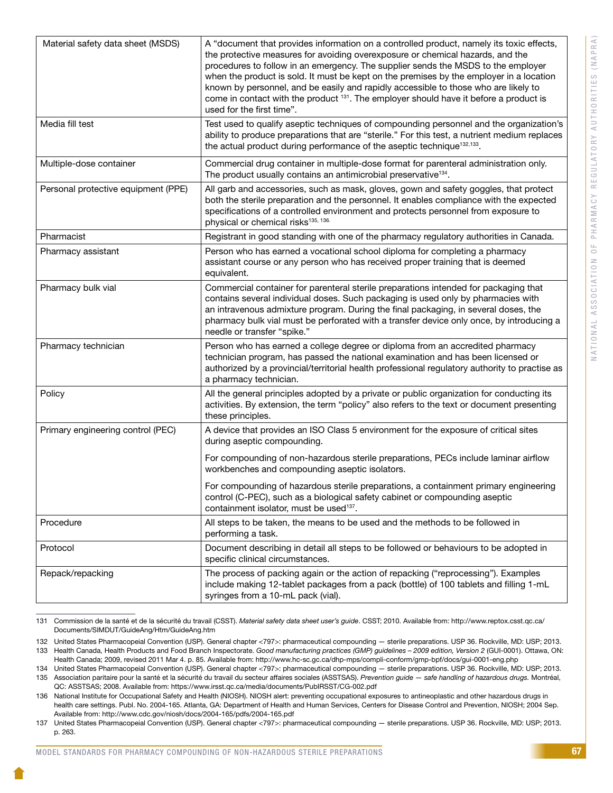| Material safety data sheet (MSDS)   | A "document that provides information on a controlled product, namely its toxic effects,<br>the protective measures for avoiding overexposure or chemical hazards, and the<br>procedures to follow in an emergency. The supplier sends the MSDS to the employer<br>when the product is sold. It must be kept on the premises by the employer in a location<br>known by personnel, and be easily and rapidly accessible to those who are likely to<br>come in contact with the product <sup>131</sup> . The employer should have it before a product is<br>used for the first time". |
|-------------------------------------|-------------------------------------------------------------------------------------------------------------------------------------------------------------------------------------------------------------------------------------------------------------------------------------------------------------------------------------------------------------------------------------------------------------------------------------------------------------------------------------------------------------------------------------------------------------------------------------|
| Media fill test                     | Test used to qualify aseptic techniques of compounding personnel and the organization's<br>ability to produce preparations that are "sterile." For this test, a nutrient medium replaces<br>the actual product during performance of the aseptic technique <sup>132,133</sup> .                                                                                                                                                                                                                                                                                                     |
| Multiple-dose container             | Commercial drug container in multiple-dose format for parenteral administration only.<br>The product usually contains an antimicrobial preservative <sup>134</sup> .                                                                                                                                                                                                                                                                                                                                                                                                                |
| Personal protective equipment (PPE) | All garb and accessories, such as mask, gloves, gown and safety goggles, that protect<br>both the sterile preparation and the personnel. It enables compliance with the expected<br>specifications of a controlled environment and protects personnel from exposure to<br>physical or chemical risks <sup>135, 136.</sup>                                                                                                                                                                                                                                                           |
| Pharmacist                          | Registrant in good standing with one of the pharmacy regulatory authorities in Canada.                                                                                                                                                                                                                                                                                                                                                                                                                                                                                              |
| Pharmacy assistant                  | Person who has earned a vocational school diploma for completing a pharmacy<br>assistant course or any person who has received proper training that is deemed<br>equivalent.                                                                                                                                                                                                                                                                                                                                                                                                        |
| Pharmacy bulk vial                  | Commercial container for parenteral sterile preparations intended for packaging that<br>contains several individual doses. Such packaging is used only by pharmacies with<br>an intravenous admixture program. During the final packaging, in several doses, the<br>pharmacy bulk vial must be perforated with a transfer device only once, by introducing a<br>needle or transfer "spike."                                                                                                                                                                                         |
| Pharmacy technician                 | Person who has earned a college degree or diploma from an accredited pharmacy<br>technician program, has passed the national examination and has been licensed or<br>authorized by a provincial/territorial health professional regulatory authority to practise as<br>a pharmacy technician.                                                                                                                                                                                                                                                                                       |
| Policy                              | All the general principles adopted by a private or public organization for conducting its<br>activities. By extension, the term "policy" also refers to the text or document presenting<br>these principles.                                                                                                                                                                                                                                                                                                                                                                        |
| Primary engineering control (PEC)   | A device that provides an ISO Class 5 environment for the exposure of critical sites<br>during aseptic compounding.                                                                                                                                                                                                                                                                                                                                                                                                                                                                 |
|                                     | For compounding of non-hazardous sterile preparations, PECs include laminar airflow<br>workbenches and compounding aseptic isolators.                                                                                                                                                                                                                                                                                                                                                                                                                                               |
|                                     | For compounding of hazardous sterile preparations, a containment primary engineering<br>control (C-PEC), such as a biological safety cabinet or compounding aseptic<br>containment isolator, must be used <sup>137</sup> .                                                                                                                                                                                                                                                                                                                                                          |
| Procedure                           | All steps to be taken, the means to be used and the methods to be followed in<br>performing a task.                                                                                                                                                                                                                                                                                                                                                                                                                                                                                 |
| Protocol                            | Document describing in detail all steps to be followed or behaviours to be adopted in<br>specific clinical circumstances.                                                                                                                                                                                                                                                                                                                                                                                                                                                           |
| Repack/repacking                    | The process of packing again or the action of repacking ("reprocessing"). Examples<br>include making 12-tablet packages from a pack (bottle) of 100 tablets and filling 1-mL<br>syringes from a 10-mL pack (vial).                                                                                                                                                                                                                                                                                                                                                                  |
|                                     |                                                                                                                                                                                                                                                                                                                                                                                                                                                                                                                                                                                     |

<sup>131</sup> Commission de la santé et de la sécurité du travail (CSST). *Material safety data sheet user's guide*. CSST; 2010. Available from: http://www.reptox.csst.qc.ca/ Documents/SIMDUT/GuideAng/Htm/GuideAng.htm

<sup>132</sup> United States Pharmacopeial Convention (USP). General chapter <797>: pharmaceutical compounding — sterile preparations. USP 36. Rockville, MD: USP; 2013. 133 Health Canada, Health Products and Food Branch Inspectorate. Good manufacturing practices (GMP) guidelines - 2009 edition, Version 2 (GUI-0001). Ottawa, ON:

Health Canada; 2009, revised 2011 Mar 4. p. 85. Available from: http://www.hc-sc.gc.ca/dhp-mps/compli-conform/gmp-bpf/docs/gui-0001-eng.php 134 United States Pharmacopeial Convention (USP). General chapter <797>: pharmaceutical compounding — sterile preparations. USP 36. Rockville, MD: USP; 2013.

<sup>135</sup> Association paritaire pour la santé et la sécurité du travail du secteur affaires sociales (ASSTSAS). *Prevention guide — safe handling of hazardous drugs.* Montréal, QC: ASSTSAS; 2008. Available from: https://www.irsst.qc.ca/media/documents/PubIRSST/CG-002.pdf

<sup>136</sup> National Institute for Occupational Safety and Health (NIOSH). NIOSH alert: preventing occupational exposures to antineoplastic and other hazardous drugs in health care settings. Publ. No. 2004-165. Atlanta, GA: Department of Health and Human Services, Centers for Disease Control and Prevention, NIOSH; 2004 Sep. Available from: http://www.cdc.gov/niosh/docs/2004-165/pdfs/2004-165.pdf

<sup>137</sup> United States Pharmacopeial Convention (USP). General chapter <797>: pharmaceutical compounding — sterile preparations. USP 36. Rockville, MD: USP; 2013. p. 263.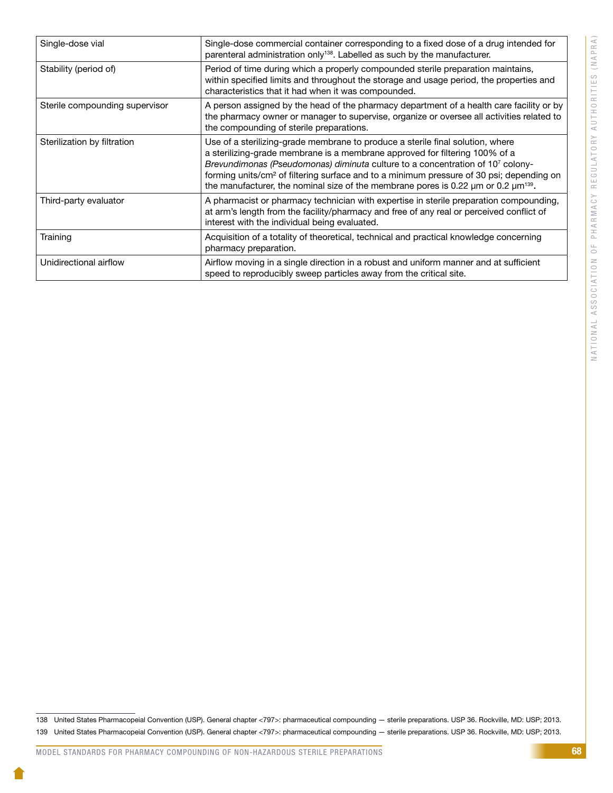| Single-dose vial               | Single-dose commercial container corresponding to a fixed dose of a drug intended for<br>parenteral administration only <sup>138</sup> . Labelled as such by the manufacturer.                                                                                                                                                                                                                                                                                      |
|--------------------------------|---------------------------------------------------------------------------------------------------------------------------------------------------------------------------------------------------------------------------------------------------------------------------------------------------------------------------------------------------------------------------------------------------------------------------------------------------------------------|
| Stability (period of)          | Period of time during which a properly compounded sterile preparation maintains,<br>within specified limits and throughout the storage and usage period, the properties and<br>characteristics that it had when it was compounded.                                                                                                                                                                                                                                  |
| Sterile compounding supervisor | A person assigned by the head of the pharmacy department of a health care facility or by<br>the pharmacy owner or manager to supervise, organize or oversee all activities related to<br>the compounding of sterile preparations.                                                                                                                                                                                                                                   |
| Sterilization by filtration    | Use of a sterilizing-grade membrane to produce a sterile final solution, where<br>a sterilizing-grade membrane is a membrane approved for filtering 100% of a<br>Brevundimonas (Pseudomonas) diminuta culture to a concentration of 107 colony-<br>forming units/cm <sup>2</sup> of filtering surface and to a minimum pressure of 30 psi; depending on<br>the manufacturer, the nominal size of the membrane pores is 0.22 $\mu$ m or 0.2 $\mu$ m <sup>139</sup> . |
| Third-party evaluator          | A pharmacist or pharmacy technician with expertise in sterile preparation compounding,<br>at arm's length from the facility/pharmacy and free of any real or perceived conflict of<br>interest with the individual being evaluated.                                                                                                                                                                                                                                 |
| Training                       | Acquisition of a totality of theoretical, technical and practical knowledge concerning<br>pharmacy preparation.                                                                                                                                                                                                                                                                                                                                                     |
| Unidirectional airflow         | Airflow moving in a single direction in a robust and uniform manner and at sufficient<br>speed to reproducibly sweep particles away from the critical site.                                                                                                                                                                                                                                                                                                         |

<sup>138</sup> United States Pharmacopeial Convention (USP). General chapter <797>: pharmaceutical compounding — sterile preparations. USP 36. Rockville, MD: USP; 2013. 139 United States Pharmacopeial Convention (USP). General chapter <797>: pharmaceutical compounding — sterile preparations. USP 36. Rockville, MD: USP; 2013.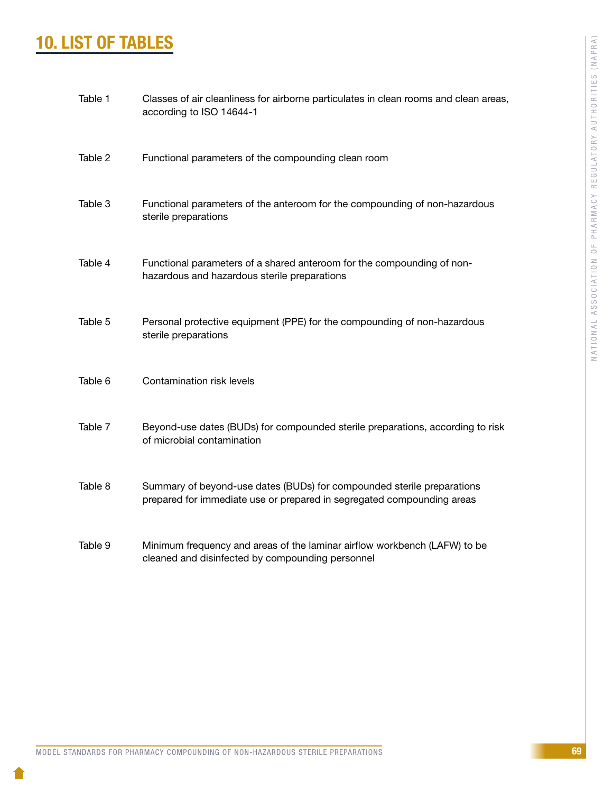# 10. LIST OF TABLES

| Table 1 | Classes of air cleanliness for airborne particulates in clean rooms and clean areas,<br>according to ISO 14644-1                                 |
|---------|--------------------------------------------------------------------------------------------------------------------------------------------------|
| Table 2 | Functional parameters of the compounding clean room                                                                                              |
| Table 3 | Functional parameters of the anteroom for the compounding of non-hazardous<br>sterile preparations                                               |
| Table 4 | Functional parameters of a shared anteroom for the compounding of non-<br>hazardous and hazardous sterile preparations                           |
| Table 5 | Personal protective equipment (PPE) for the compounding of non-hazardous<br>sterile preparations                                                 |
| Table 6 | Contamination risk levels                                                                                                                        |
| Table 7 | Beyond-use dates (BUDs) for compounded sterile preparations, according to risk<br>of microbial contamination                                     |
| Table 8 | Summary of beyond-use dates (BUDs) for compounded sterile preparations<br>prepared for immediate use or prepared in segregated compounding areas |
| Table 9 | Minimum frequency and areas of the laminar airflow workbench (LAFW) to be<br>cleaned and disinfected by compounding personnel                    |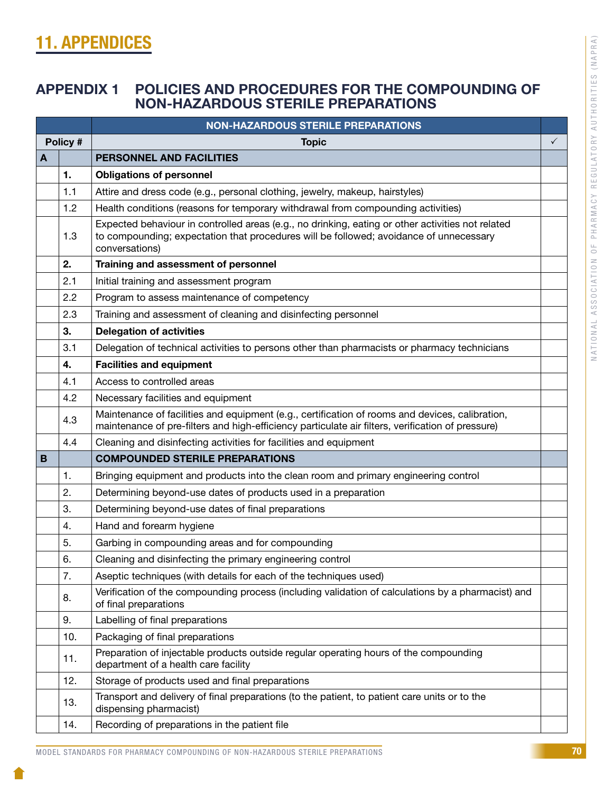# 11. APPENDICES

# APPENDIX 1 POLICIES AND PROCEDURES FOR THE COMPOUNDING OF NON-HAZARDOUS STERILE PREPARATIONS

|                                        |                                                                                                                                   | <b>NON-HAZARDOUS STERILE PREPARATIONS</b>                                                                                                                                                                     |              |
|----------------------------------------|-----------------------------------------------------------------------------------------------------------------------------------|---------------------------------------------------------------------------------------------------------------------------------------------------------------------------------------------------------------|--------------|
|                                        | Policy #                                                                                                                          | <b>Topic</b>                                                                                                                                                                                                  | $\checkmark$ |
| A                                      |                                                                                                                                   | PERSONNEL AND FACILITIES                                                                                                                                                                                      |              |
|                                        | 1.                                                                                                                                | <b>Obligations of personnel</b>                                                                                                                                                                               |              |
|                                        | 1.1                                                                                                                               | Attire and dress code (e.g., personal clothing, jewelry, makeup, hairstyles)                                                                                                                                  |              |
|                                        | 1.2                                                                                                                               | Health conditions (reasons for temporary withdrawal from compounding activities)                                                                                                                              |              |
|                                        | 1.3                                                                                                                               | Expected behaviour in controlled areas (e.g., no drinking, eating or other activities not related<br>to compounding; expectation that procedures will be followed; avoidance of unnecessary<br>conversations) |              |
|                                        | 2.                                                                                                                                | Training and assessment of personnel                                                                                                                                                                          |              |
|                                        | 2.1                                                                                                                               | Initial training and assessment program                                                                                                                                                                       |              |
|                                        | 2.2                                                                                                                               | Program to assess maintenance of competency                                                                                                                                                                   |              |
|                                        | 2.3                                                                                                                               | Training and assessment of cleaning and disinfecting personnel                                                                                                                                                |              |
|                                        | 3.                                                                                                                                | <b>Delegation of activities</b>                                                                                                                                                                               |              |
|                                        | 3.1                                                                                                                               | Delegation of technical activities to persons other than pharmacists or pharmacy technicians                                                                                                                  |              |
|                                        | 4.                                                                                                                                | <b>Facilities and equipment</b>                                                                                                                                                                               |              |
|                                        | 4.1                                                                                                                               | Access to controlled areas                                                                                                                                                                                    |              |
|                                        | 4.2                                                                                                                               | Necessary facilities and equipment                                                                                                                                                                            |              |
|                                        | 4.3                                                                                                                               | Maintenance of facilities and equipment (e.g., certification of rooms and devices, calibration,<br>maintenance of pre-filters and high-efficiency particulate air filters, verification of pressure)          |              |
|                                        | 4.4                                                                                                                               | Cleaning and disinfecting activities for facilities and equipment                                                                                                                                             |              |
| B                                      |                                                                                                                                   | <b>COMPOUNDED STERILE PREPARATIONS</b>                                                                                                                                                                        |              |
|                                        | 1.                                                                                                                                | Bringing equipment and products into the clean room and primary engineering control                                                                                                                           |              |
|                                        | 2.                                                                                                                                | Determining beyond-use dates of products used in a preparation                                                                                                                                                |              |
|                                        | 3.                                                                                                                                | Determining beyond-use dates of final preparations                                                                                                                                                            |              |
|                                        | 4.                                                                                                                                | Hand and forearm hygiene                                                                                                                                                                                      |              |
|                                        | 5.                                                                                                                                | Garbing in compounding areas and for compounding                                                                                                                                                              |              |
|                                        | 6.                                                                                                                                | Cleaning and disinfecting the primary engineering control                                                                                                                                                     |              |
|                                        | 7.                                                                                                                                | Aseptic techniques (with details for each of the techniques used)                                                                                                                                             |              |
|                                        | Verification of the compounding process (including validation of calculations by a pharmacist) and<br>8.<br>of final preparations |                                                                                                                                                                                                               |              |
|                                        | 9.                                                                                                                                | Labelling of final preparations                                                                                                                                                                               |              |
| Packaging of final preparations<br>10. |                                                                                                                                   |                                                                                                                                                                                                               |              |
|                                        | 11.                                                                                                                               | Preparation of injectable products outside regular operating hours of the compounding<br>department of a health care facility                                                                                 |              |
|                                        | 12.                                                                                                                               | Storage of products used and final preparations                                                                                                                                                               |              |
|                                        | 13.                                                                                                                               | Transport and delivery of final preparations (to the patient, to patient care units or to the<br>dispensing pharmacist)                                                                                       |              |
|                                        | 14.                                                                                                                               | Recording of preparations in the patient file                                                                                                                                                                 |              |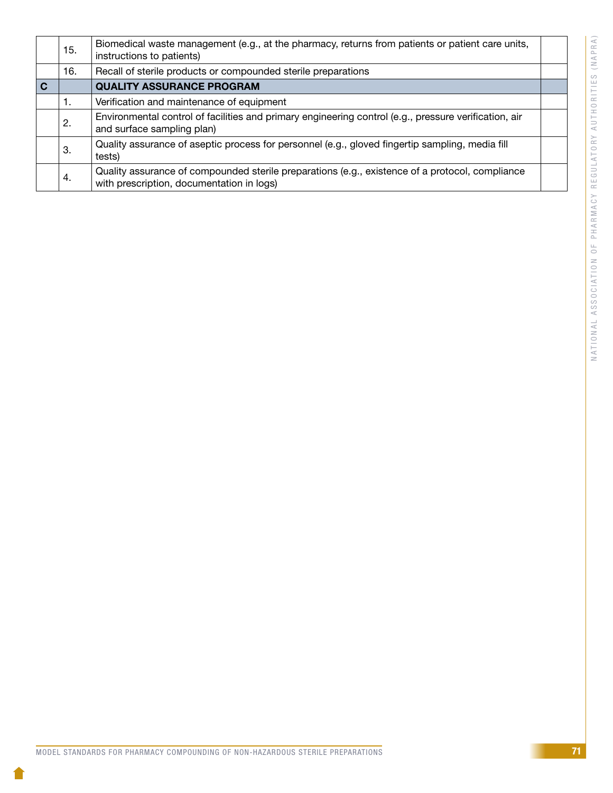|             | 15. | Biomedical waste management (e.g., at the pharmacy, returns from patients or patient care units,<br>instructions to patients)                |  |
|-------------|-----|----------------------------------------------------------------------------------------------------------------------------------------------|--|
|             | 16. | Recall of sterile products or compounded sterile preparations                                                                                |  |
| $\mathbf C$ |     | <b>QUALITY ASSURANCE PROGRAM</b>                                                                                                             |  |
|             | 1.  | Verification and maintenance of equipment                                                                                                    |  |
|             | 2.  | Environmental control of facilities and primary engineering control (e.g., pressure verification, air<br>and surface sampling plan)          |  |
|             | 3.  | Quality assurance of aseptic process for personnel (e.g., gloved fingertip sampling, media fill<br>tests)                                    |  |
|             | 4.  | Quality assurance of compounded sterile preparations (e.g., existence of a protocol, compliance<br>with prescription, documentation in logs) |  |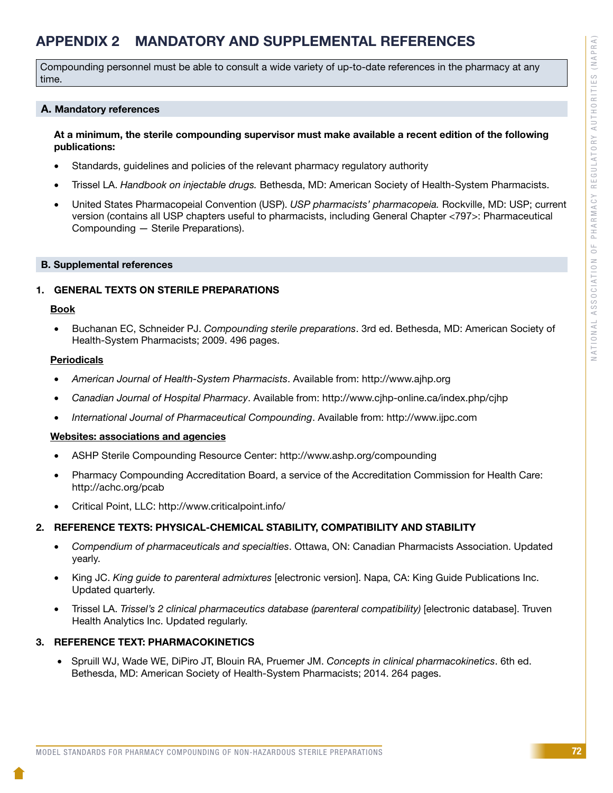# APPENDIX 2 MANDATORY AND SUPPLEMENTAL REFERENCES

Compounding personnel must be able to consult a wide variety of up-to-date references in the pharmacy at any time.

### A. Mandatory references

### At a minimum, the sterile compounding supervisor must make available a recent edition of the following publications:

- Standards, guidelines and policies of the relevant pharmacy regulatory authority
- Trissel LA. *Handbook on injectable drugs.* Bethesda, MD: American Society of Health-System Pharmacists.
- United States Pharmacopeial Convention (USP). *USP pharmacists' pharmacopeia*. Rockville, MD: USP; current version (contains all USP chapters useful to pharmacists, including General Chapter <797>: Pharmaceutical Compounding — Sterile Preparations).

### B. Supplemental references

### 1. GENERAL TEXTS ON STERILE PREPARATIONS

### Book

Buchanan EC, Schneider PJ. *Compounding sterile preparations*. 3rd ed. Bethesda, MD: American Society of Health-System Pharmacists; 2009. 496 pages.

### **Periodicals**

- • *American Journal of Health-System Pharmacists*. Available from: http://www.ajhp.org
- • *Canadian Journal of Hospital Pharmacy*. Available from: http://www.cjhp-online.ca/index.php/cjhp
- International Journal of Pharmaceutical Compounding. Available from: http://www.ijpc.com

### Websites: associations and agencies

- ASHP Sterile Compounding Resource Center: http://www.ashp.org/compounding
- Pharmacy Compounding Accreditation Board, a service of the Accreditation Commission for Health Care: http://achc.org/pcab
- • Critical Point, LLC: http://www.criticalpoint.info/

### 2. REFERENCE TEXTS: PHYSICAL-CHEMICAL STABILITY, COMPATIBILITY AND STABILITY

- • *Compendium of pharmaceuticals and specialties*. Ottawa, ON: Canadian Pharmacists Association. Updated yearly.
- King JC. *King guide to parenteral admixtures* [electronic version]. Napa, CA: King Guide Publications Inc. Updated quarterly.
- Trissel LA. *Trissel's 2 clinical pharmaceutics database (parenteral compatibility)* [electronic database]. Truven Health Analytics Inc. Updated regularly.

### 3. REFERENCE TEXT: PHARMACOKINETICS

• Spruill WJ, Wade WE, DiPiro JT, Blouin RA, Pruemer JM. *Concepts in clinical pharmacokinetics*. 6th ed. Bethesda, MD: American Society of Health-System Pharmacists; 2014. 264 pages.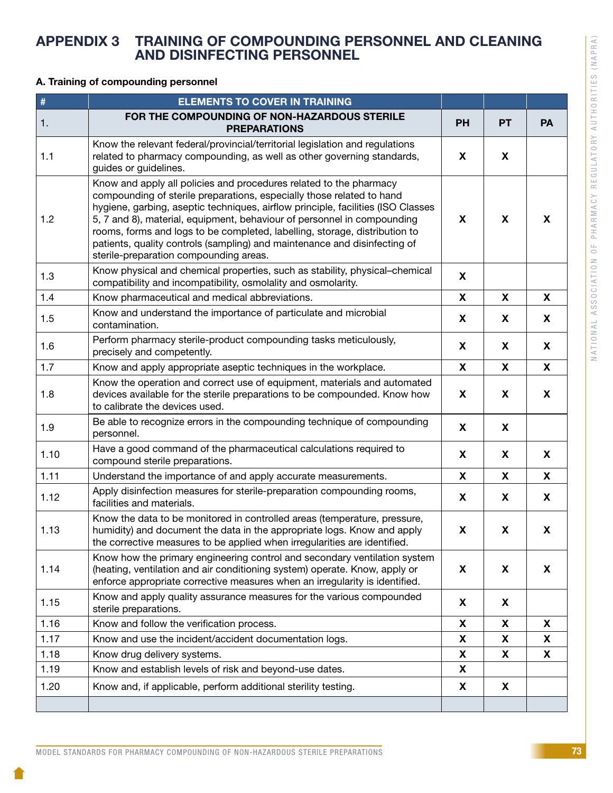# APPENDIX 3 TRAINING OF COMPOUNDING PERSONNEL AND CLEANING AND DISINFECTING PERSONNEL

### A. Training of compounding personnel

| $\#$ | <b>ELEMENTS TO COVER IN TRAINING</b>                                                                                                                                                                                                                                                                                                                                                                                                                                                                            |           |    |           |
|------|-----------------------------------------------------------------------------------------------------------------------------------------------------------------------------------------------------------------------------------------------------------------------------------------------------------------------------------------------------------------------------------------------------------------------------------------------------------------------------------------------------------------|-----------|----|-----------|
| 1.   | FOR THE COMPOUNDING OF NON-HAZARDOUS STERILE<br><b>PREPARATIONS</b>                                                                                                                                                                                                                                                                                                                                                                                                                                             | <b>PH</b> | PT | <b>PA</b> |
| 1.1  | Know the relevant federal/provincial/territorial legislation and regulations<br>related to pharmacy compounding, as well as other governing standards,<br>guides or guidelines.                                                                                                                                                                                                                                                                                                                                 | X         | X  |           |
| 1.2  | Know and apply all policies and procedures related to the pharmacy<br>compounding of sterile preparations, especially those related to hand<br>hygiene, garbing, aseptic techniques, airflow principle, facilities (ISO Classes<br>5, 7 and 8), material, equipment, behaviour of personnel in compounding<br>rooms, forms and logs to be completed, labelling, storage, distribution to<br>patients, quality controls (sampling) and maintenance and disinfecting of<br>sterile-preparation compounding areas. | X         | X  | X         |
| 1.3  | Know physical and chemical properties, such as stability, physical-chemical<br>compatibility and incompatibility, osmolality and osmolarity.                                                                                                                                                                                                                                                                                                                                                                    | X         |    |           |
| 1.4  | Know pharmaceutical and medical abbreviations.                                                                                                                                                                                                                                                                                                                                                                                                                                                                  | X         | X  | X         |
| 1.5  | Know and understand the importance of particulate and microbial<br>contamination.                                                                                                                                                                                                                                                                                                                                                                                                                               | X         | X  | X         |
| 1.6  | Perform pharmacy sterile-product compounding tasks meticulously,<br>precisely and competently.                                                                                                                                                                                                                                                                                                                                                                                                                  | X         | X  | X         |
| 1.7  | Know and apply appropriate aseptic techniques in the workplace.                                                                                                                                                                                                                                                                                                                                                                                                                                                 | X         | X  | X         |
| 1.8  | Know the operation and correct use of equipment, materials and automated<br>devices available for the sterile preparations to be compounded. Know how<br>to calibrate the devices used.                                                                                                                                                                                                                                                                                                                         | X         | X  | X         |
| 1.9  | Be able to recognize errors in the compounding technique of compounding<br>personnel.                                                                                                                                                                                                                                                                                                                                                                                                                           | X         | X  |           |
| 1.10 | Have a good command of the pharmaceutical calculations required to<br>compound sterile preparations.                                                                                                                                                                                                                                                                                                                                                                                                            | X         | X  | X         |
| 1.11 | Understand the importance of and apply accurate measurements.                                                                                                                                                                                                                                                                                                                                                                                                                                                   | X         | X  | X         |
| 1.12 | Apply disinfection measures for sterile-preparation compounding rooms,<br>facilities and materials.                                                                                                                                                                                                                                                                                                                                                                                                             | X         | X  | X         |
| 1.13 | Know the data to be monitored in controlled areas (temperature, pressure,<br>humidity) and document the data in the appropriate logs. Know and apply<br>the corrective measures to be applied when irregularities are identified.                                                                                                                                                                                                                                                                               | X         | X  | X         |
| 1.14 | Know how the primary engineering control and secondary ventilation system<br>(heating, ventilation and air conditioning system) operate. Know, apply or<br>enforce appropriate corrective measures when an irregularity is identified.                                                                                                                                                                                                                                                                          | X         | X  | <b>X</b>  |
| 1.15 | Know and apply quality assurance measures for the various compounded<br>sterile preparations.                                                                                                                                                                                                                                                                                                                                                                                                                   | X         | X  |           |
| 1.16 | Know and follow the verification process.                                                                                                                                                                                                                                                                                                                                                                                                                                                                       | X         | X  | X         |
| 1.17 | Know and use the incident/accident documentation logs.                                                                                                                                                                                                                                                                                                                                                                                                                                                          | X         | X  | X         |
| 1.18 | Know drug delivery systems.                                                                                                                                                                                                                                                                                                                                                                                                                                                                                     | X<br>X    | X  | X         |
| 1.19 | Know and establish levels of risk and beyond-use dates.                                                                                                                                                                                                                                                                                                                                                                                                                                                         |           |    |           |
| 1.20 | Know and, if applicable, perform additional sterility testing.                                                                                                                                                                                                                                                                                                                                                                                                                                                  | X         | X  |           |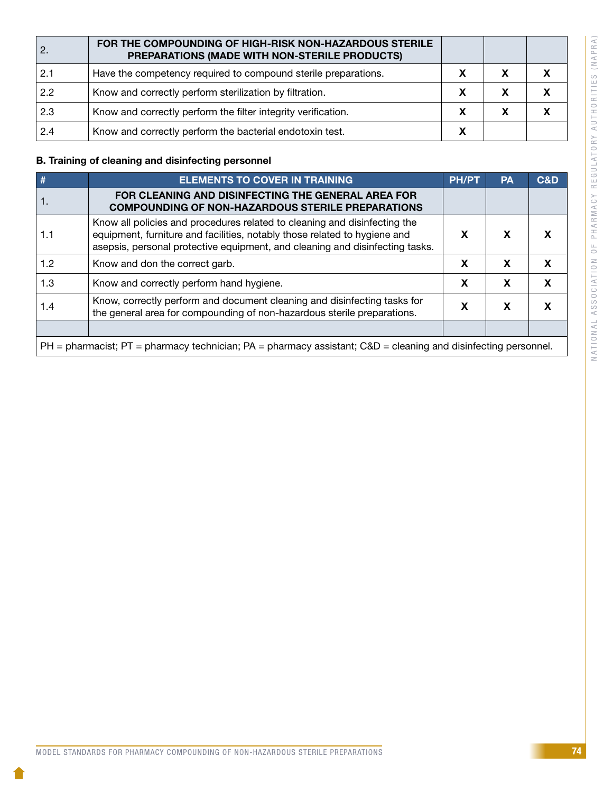|     | FOR THE COMPOUNDING OF HIGH-RISK NON-HAZARDOUS STERILE<br>PREPARATIONS (MADE WITH NON-STERILE PRODUCTS) |  |  |
|-----|---------------------------------------------------------------------------------------------------------|--|--|
| 2.1 | Have the competency required to compound sterile preparations.                                          |  |  |
| 2.2 | Know and correctly perform sterilization by filtration.                                                 |  |  |
| 2.3 | Know and correctly perform the filter integrity verification.                                           |  |  |
| 2.4 | Know and correctly perform the bacterial endotoxin test.                                                |  |  |

## B. Training of cleaning and disinfecting personnel

| #   | <b>ELEMENTS TO COVER IN TRAINING</b>                                                                                                                                                                                                   | <b>PH/PT</b> | <b>PA</b> | C&D |  |
|-----|----------------------------------------------------------------------------------------------------------------------------------------------------------------------------------------------------------------------------------------|--------------|-----------|-----|--|
|     | FOR CLEANING AND DISINFECTING THE GENERAL AREA FOR<br><b>COMPOUNDING OF NON-HAZARDOUS STERILE PREPARATIONS</b>                                                                                                                         |              |           |     |  |
| 1.1 | Know all policies and procedures related to cleaning and disinfecting the<br>equipment, furniture and facilities, notably those related to hygiene and<br>asepsis, personal protective equipment, and cleaning and disinfecting tasks. | X            | X         |     |  |
| 1.2 | Know and don the correct garb.                                                                                                                                                                                                         | X            | X         |     |  |
| 1.3 | Know and correctly perform hand hygiene.                                                                                                                                                                                               | X            | X         | X   |  |
| 1.4 | Know, correctly perform and document cleaning and disinfecting tasks for<br>the general area for compounding of non-hazardous sterile preparations.                                                                                    | X            | X         |     |  |
|     |                                                                                                                                                                                                                                        |              |           |     |  |
|     | $PH =$ pharmacist; $PT =$ pharmacy technician; $PA =$ pharmacy assistant; $CAD =$ cleaning and disinfecting personnel.                                                                                                                 |              |           |     |  |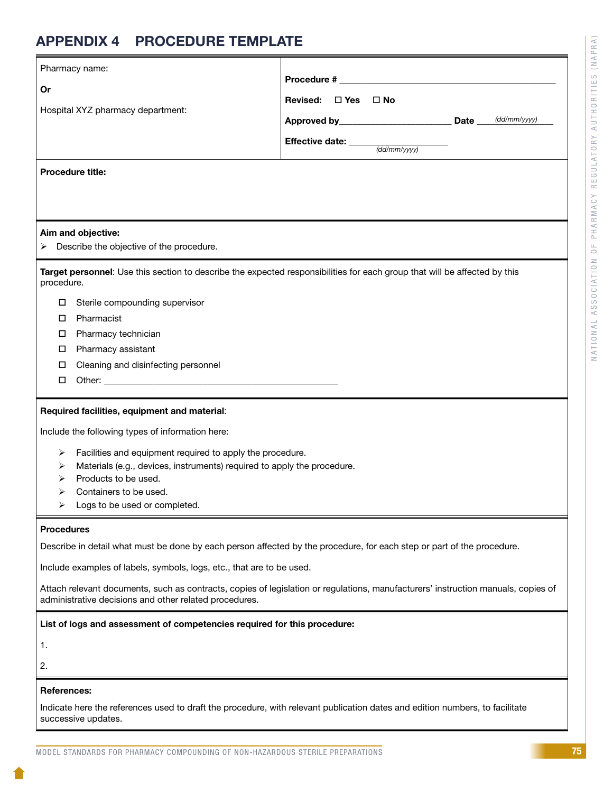# APPENDIX 4 PROCEDURE TEMPLATE

|                    | Pharmacy name:                                                                                                                                                                              |                                                                     |  |  |  |
|--------------------|---------------------------------------------------------------------------------------------------------------------------------------------------------------------------------------------|---------------------------------------------------------------------|--|--|--|
| Or                 |                                                                                                                                                                                             |                                                                     |  |  |  |
|                    | Hospital XYZ pharmacy department:                                                                                                                                                           | Revised: □ Yes □ No                                                 |  |  |  |
|                    |                                                                                                                                                                                             |                                                                     |  |  |  |
|                    |                                                                                                                                                                                             | Effective date: $\frac{1}{\text{(\text{dd}/\text{mm}/\text{yyy})}}$ |  |  |  |
|                    | <b>Procedure title:</b>                                                                                                                                                                     |                                                                     |  |  |  |
|                    |                                                                                                                                                                                             |                                                                     |  |  |  |
|                    |                                                                                                                                                                                             |                                                                     |  |  |  |
|                    | Aim and objective:                                                                                                                                                                          |                                                                     |  |  |  |
|                    | Describe the objective of the procedure.                                                                                                                                                    |                                                                     |  |  |  |
| procedure.         | Target personnel: Use this section to describe the expected responsibilities for each group that will be affected by this                                                                   |                                                                     |  |  |  |
| ц                  | Sterile compounding supervisor                                                                                                                                                              |                                                                     |  |  |  |
| 0                  | Pharmacist                                                                                                                                                                                  |                                                                     |  |  |  |
| 0                  | Pharmacy technician                                                                                                                                                                         |                                                                     |  |  |  |
| 0                  | Pharmacy assistant                                                                                                                                                                          |                                                                     |  |  |  |
| 0                  | Cleaning and disinfecting personnel                                                                                                                                                         |                                                                     |  |  |  |
| □                  |                                                                                                                                                                                             |                                                                     |  |  |  |
|                    | Required facilities, equipment and material:                                                                                                                                                |                                                                     |  |  |  |
|                    | Include the following types of information here:                                                                                                                                            |                                                                     |  |  |  |
| ➤                  | Facilities and equipment required to apply the procedure.                                                                                                                                   |                                                                     |  |  |  |
| ➤                  | Materials (e.g., devices, instruments) required to apply the procedure.                                                                                                                     |                                                                     |  |  |  |
|                    | Products to be used.                                                                                                                                                                        |                                                                     |  |  |  |
| ⋗<br>➤             | Containers to be used.<br>Logs to be used or completed.                                                                                                                                     |                                                                     |  |  |  |
|                    |                                                                                                                                                                                             |                                                                     |  |  |  |
| <b>Procedures</b>  |                                                                                                                                                                                             |                                                                     |  |  |  |
|                    | Describe in detail what must be done by each person affected by the procedure, for each step or part of the procedure.                                                                      |                                                                     |  |  |  |
|                    | Include examples of labels, symbols, logs, etc., that are to be used.                                                                                                                       |                                                                     |  |  |  |
|                    | Attach relevant documents, such as contracts, copies of legislation or regulations, manufacturers' instruction manuals, copies of<br>administrative decisions and other related procedures. |                                                                     |  |  |  |
|                    | List of logs and assessment of competencies required for this procedure:                                                                                                                    |                                                                     |  |  |  |
| 1.                 |                                                                                                                                                                                             |                                                                     |  |  |  |
| 2.                 |                                                                                                                                                                                             |                                                                     |  |  |  |
| <b>References:</b> |                                                                                                                                                                                             |                                                                     |  |  |  |
|                    |                                                                                                                                                                                             |                                                                     |  |  |  |
|                    | Indicate here the references used to draft the procedure, with relevant publication dates and edition numbers, to facilitate<br>successive updates.                                         |                                                                     |  |  |  |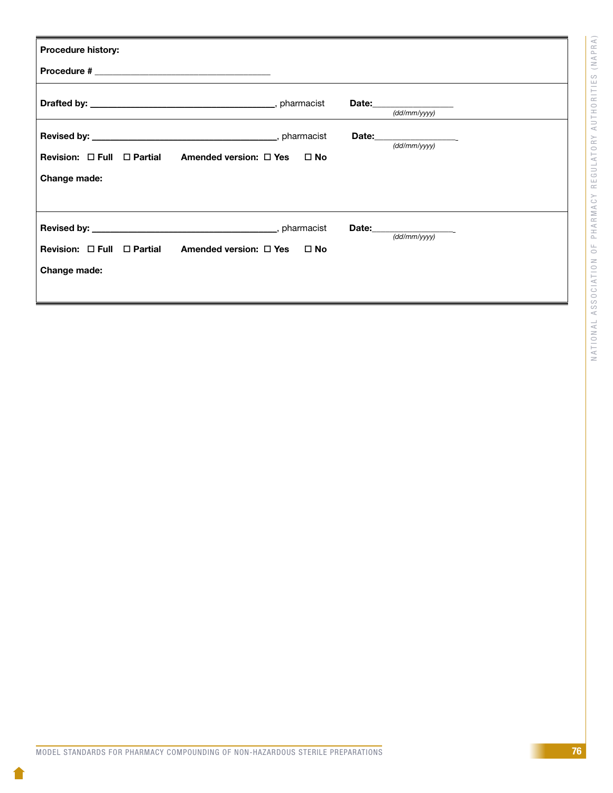| <b>Procedure history:</b>                                        |                                                                                                     |
|------------------------------------------------------------------|-----------------------------------------------------------------------------------------------------|
|                                                                  |                                                                                                     |
|                                                                  | (dd/mm/yyy)                                                                                         |
| Revision: $\Box$ Full $\Box$ Partial Amended version: $\Box$ Yes | Date: $\frac{(\text{dd}/\text{mm}/\text{yyyy})}{(\text{dd}/\text{mm}/\text{yyyy})}$<br>$\square$ No |
| Change made:                                                     |                                                                                                     |
| Revision: $\Box$ Full $\Box$ Partial Amended version: $\Box$ Yes | Date: $\frac{(\text{dd}/\text{mm}/\text{yy}y)}{(\text{dd}/\text{mm}/\text{yy}y)}$<br>$\square$ No   |
| Change made:                                                     |                                                                                                     |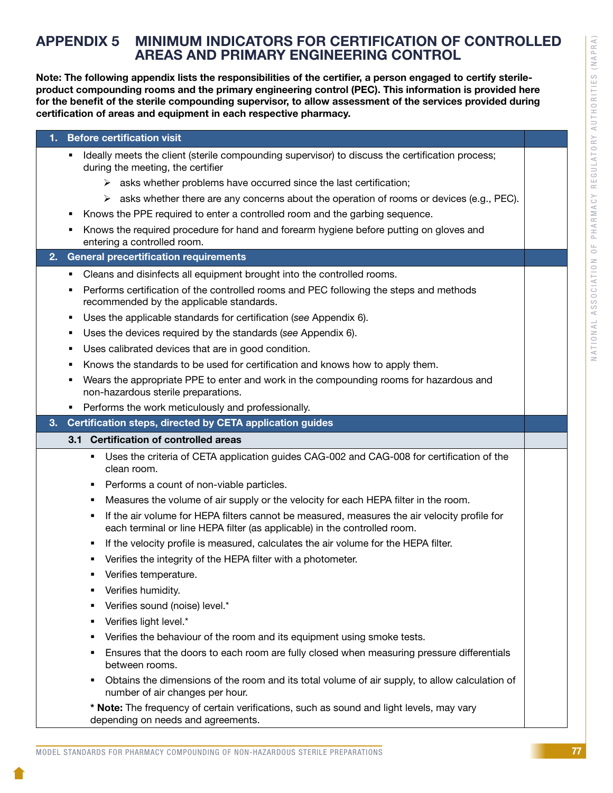# APPENDIX 5 MINIMUM INDICATORS FOR CERTIFICATION OF CONTROLLED AREAS AND PRIMARY ENGINEERING CONTROL

Note: The following appendix lists the responsibilities of the certifier, a person engaged to certify sterileproduct compounding rooms and the primary engineering control (PEC). This information is provided here for the benefit of the sterile compounding supervisor, to allow assessment of the services provided during certification of areas and equipment in each respective pharmacy.

### 1. Before certification visit

- Ideally meets the client (sterile compounding supervisor) to discuss the certification process; during the meeting, the certifier
	- $\triangleright$  asks whether problems have occurred since the last certification;
	- $\triangleright$  asks whether there are any concerns about the operation of rooms or devices (e.g., PEC).
- Knows the PPE required to enter a controlled room and the garbing sequence.
- Knows the required procedure for hand and forearm hygiene before putting on gloves and entering a controlled room.

### 2. General precertification requirements

- Cleans and disinfects all equipment brought into the controlled rooms.
- **Performs certification of the controlled rooms and PEC following the steps and methods** recommended by the applicable standards.
- Uses the applicable standards for certification (*see* Appendix 6).
- Uses the devices required by the standards (*see* Appendix 6).
- Uses calibrated devices that are in good condition.
- Knows the standards to be used for certification and knows how to apply them.
- Wears the appropriate PPE to enter and work in the compounding rooms for hazardous and non-hazardous sterile preparations.
- **Performs the work meticulously and professionally.**

### 3. Certification steps, directed by CETA application guides

### 3.1 Certification of controlled areas

- Uses the criteria of CETA application guides CAG-002 and CAG-008 for certification of the clean room.
- **Performs a count of non-viable particles.**
- **•** Measures the volume of air supply or the velocity for each HEPA filter in the room.
- If the air volume for HEPA filters cannot be measured, measures the air velocity profile for each terminal or line HEPA filter (as applicable) in the controlled room.
- **If the velocity profile is measured, calculates the air volume for the HEPA filter.**
- Verifies the integrity of the HEPA filter with a photometer.
- **•** Verifies temperature.
- **•** Verifies humidity.
- Verifies sound (noise) level.\*
- Verifies light level.\*
- Verifies the behaviour of the room and its equipment using smoke tests.
- Ensures that the doors to each room are fully closed when measuring pressure differentials between rooms.
- Obtains the dimensions of the room and its total volume of air supply, to allow calculation of number of air changes per hour.

\* Note: The frequency of certain verifications, such as sound and light levels, may vary depending on needs and agreements.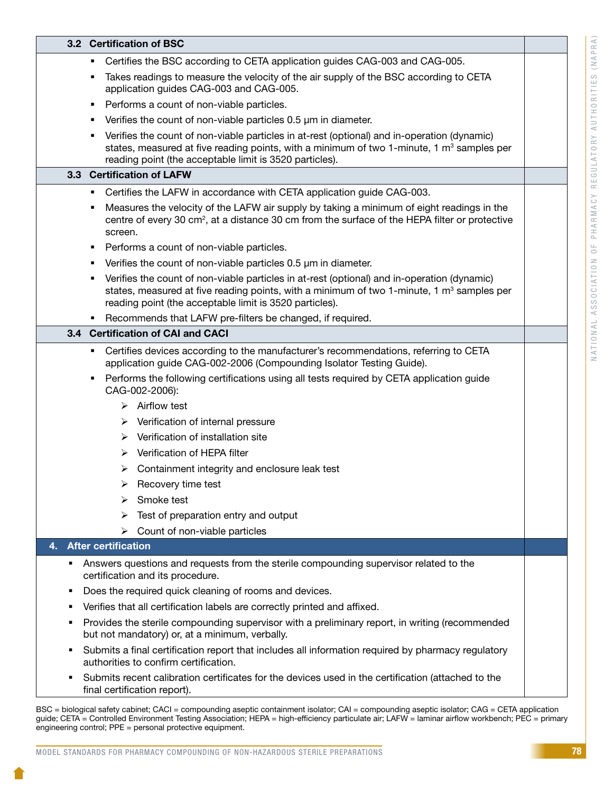| Certifies the BSC according to CETA application guides CAG-003 and CAG-005.<br>٠<br>Takes readings to measure the velocity of the air supply of the BSC according to CETA<br>п<br>application guides CAG-003 and CAG-005.<br>Performs a count of non-viable particles.<br>п                                                                                                                                                                                                                                                                                                    |  |
|--------------------------------------------------------------------------------------------------------------------------------------------------------------------------------------------------------------------------------------------------------------------------------------------------------------------------------------------------------------------------------------------------------------------------------------------------------------------------------------------------------------------------------------------------------------------------------|--|
|                                                                                                                                                                                                                                                                                                                                                                                                                                                                                                                                                                                |  |
|                                                                                                                                                                                                                                                                                                                                                                                                                                                                                                                                                                                |  |
|                                                                                                                                                                                                                                                                                                                                                                                                                                                                                                                                                                                |  |
| Verifies the count of non-viable particles 0.5 µm in diameter.<br>п                                                                                                                                                                                                                                                                                                                                                                                                                                                                                                            |  |
| Verifies the count of non-viable particles in at-rest (optional) and in-operation (dynamic)<br>п<br>states, measured at five reading points, with a minimum of two 1-minute, 1 $m3$ samples per<br>reading point (the acceptable limit is 3520 particles).                                                                                                                                                                                                                                                                                                                     |  |
| 3.3 Certification of LAFW                                                                                                                                                                                                                                                                                                                                                                                                                                                                                                                                                      |  |
| Certifies the LAFW in accordance with CETA application guide CAG-003.<br>п                                                                                                                                                                                                                                                                                                                                                                                                                                                                                                     |  |
| Measures the velocity of the LAFW air supply by taking a minimum of eight readings in the<br>п<br>centre of every 30 cm <sup>2</sup> , at a distance 30 cm from the surface of the HEPA filter or protective<br>screen.                                                                                                                                                                                                                                                                                                                                                        |  |
| Performs a count of non-viable particles.<br>п                                                                                                                                                                                                                                                                                                                                                                                                                                                                                                                                 |  |
| Verifies the count of non-viable particles 0.5 µm in diameter.<br>п                                                                                                                                                                                                                                                                                                                                                                                                                                                                                                            |  |
| Verifies the count of non-viable particles in at-rest (optional) and in-operation (dynamic)<br>п<br>states, measured at five reading points, with a minimum of two 1-minute, 1 $m3$ samples per<br>reading point (the acceptable limit is 3520 particles).                                                                                                                                                                                                                                                                                                                     |  |
| Recommends that LAFW pre-filters be changed, if required.<br>٠                                                                                                                                                                                                                                                                                                                                                                                                                                                                                                                 |  |
| 3.4 Certification of CAI and CACI                                                                                                                                                                                                                                                                                                                                                                                                                                                                                                                                              |  |
| Certifies devices according to the manufacturer's recommendations, referring to CETA<br>٠<br>application guide CAG-002-2006 (Compounding Isolator Testing Guide).<br>Performs the following certifications using all tests required by CETA application guide<br>٠<br>CAG-002-2006):<br>$\triangleright$ Airflow test<br>$\triangleright$ Verification of internal pressure<br>$\triangleright$ Verification of installation site<br>Verification of HEPA filter<br>➤<br>$\triangleright$ Containment integrity and enclosure leak test<br>$\triangleright$ Recovery time test |  |
| Smoke test<br>➤                                                                                                                                                                                                                                                                                                                                                                                                                                                                                                                                                                |  |
| Test of preparation entry and output<br>➤                                                                                                                                                                                                                                                                                                                                                                                                                                                                                                                                      |  |
| Count of non-viable particles<br>➤<br><b>After certification</b><br>4.                                                                                                                                                                                                                                                                                                                                                                                                                                                                                                         |  |
|                                                                                                                                                                                                                                                                                                                                                                                                                                                                                                                                                                                |  |
| Answers questions and requests from the sterile compounding supervisor related to the<br>٠<br>certification and its procedure.                                                                                                                                                                                                                                                                                                                                                                                                                                                 |  |
| Does the required quick cleaning of rooms and devices.<br>п                                                                                                                                                                                                                                                                                                                                                                                                                                                                                                                    |  |
| Verifies that all certification labels are correctly printed and affixed.<br>٠                                                                                                                                                                                                                                                                                                                                                                                                                                                                                                 |  |
| Provides the sterile compounding supervisor with a preliminary report, in writing (recommended<br>٠<br>but not mandatory) or, at a minimum, verbally.                                                                                                                                                                                                                                                                                                                                                                                                                          |  |
| Submits a final certification report that includes all information required by pharmacy regulatory<br>٠<br>authorities to confirm certification.                                                                                                                                                                                                                                                                                                                                                                                                                               |  |
| Submits recent calibration certificates for the devices used in the certification (attached to the<br>٠<br>final certification report).                                                                                                                                                                                                                                                                                                                                                                                                                                        |  |

BSC = biological safety cabinet; CACI = compounding aseptic containment isolator; CAI = compounding aseptic isolator; CAG = CETA application guide; CETA = Controlled Environment Testing Association; HEPA = high-efficiency particulate air; LAFW = laminar airflow workbench; PEC = primary engineering control; PPE = personal protective equipment.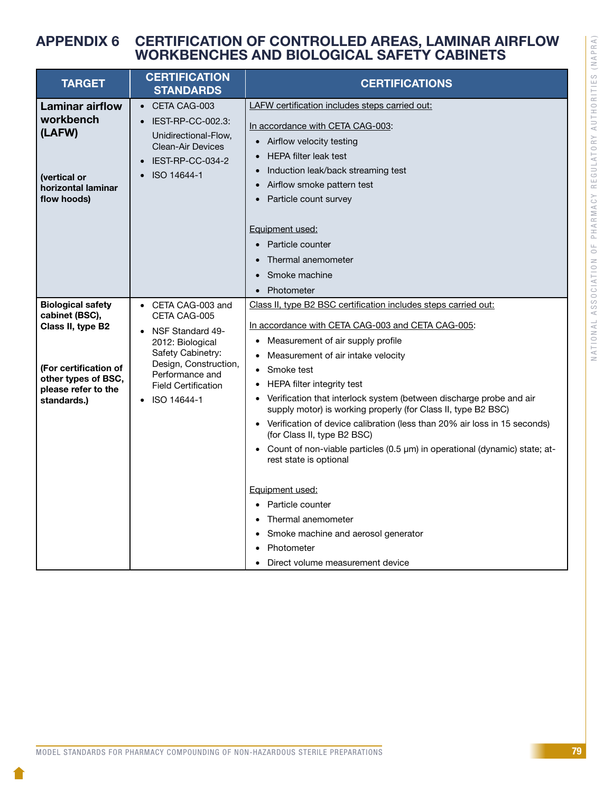# APPENDIX 6 CERTIFICATION OF CONTROLLED AREAS, LAMINAR AIRFLOW WORKBENCHES AND BIOLOGICAL SAFETY CABINETS

| <b>TARGET</b>                                                                                                                                         | <b>CERTIFICATION</b><br><b>STANDARDS</b>                                                                                                                                                                     | <b>CERTIFICATIONS</b>                                                                                                                                                                                                                                                                                                                                                                                                                                                                                                                                                                                                                                                                                                                                                                                                                                    |
|-------------------------------------------------------------------------------------------------------------------------------------------------------|--------------------------------------------------------------------------------------------------------------------------------------------------------------------------------------------------------------|----------------------------------------------------------------------------------------------------------------------------------------------------------------------------------------------------------------------------------------------------------------------------------------------------------------------------------------------------------------------------------------------------------------------------------------------------------------------------------------------------------------------------------------------------------------------------------------------------------------------------------------------------------------------------------------------------------------------------------------------------------------------------------------------------------------------------------------------------------|
| <b>Laminar airflow</b><br>workbench<br>(LAFW)<br>(vertical or<br>horizontal laminar<br>flow hoods)                                                    | • CETA CAG-003<br>IEST-RP-CC-002.3:<br>Unidirectional-Flow,<br><b>Clean-Air Devices</b><br>IEST-RP-CC-034-2<br>ISO 14644-1                                                                                   | LAFW certification includes steps carried out:<br>In accordance with CETA CAG-003:<br>Airflow velocity testing<br>$\bullet$<br><b>HEPA filter leak test</b><br>Induction leak/back streaming test<br>$\bullet$<br>Airflow smoke pattern test<br>$\bullet$<br>Particle count survey<br>Equipment used:<br>Particle counter<br>Thermal anemometer<br>$\bullet$<br>Smoke machine<br>Photometer<br>$\bullet$                                                                                                                                                                                                                                                                                                                                                                                                                                                 |
| <b>Biological safety</b><br>cabinet (BSC),<br>Class II, type B2<br>(For certification of<br>other types of BSC,<br>please refer to the<br>standards.) | • CETA CAG-003 and<br>CETA CAG-005<br><b>NSF Standard 49-</b><br>2012: Biological<br>Safety Cabinetry:<br>Design, Construction,<br>Performance and<br><b>Field Certification</b><br>ISO 14644-1<br>$\bullet$ | Class II, type B2 BSC certification includes steps carried out:<br>In accordance with CETA CAG-003 and CETA CAG-005:<br>Measurement of air supply profile<br>$\bullet$<br>Measurement of air intake velocity<br>Smoke test<br>HEPA filter integrity test<br>Verification that interlock system (between discharge probe and air<br>$\bullet$<br>supply motor) is working properly (for Class II, type B2 BSC)<br>Verification of device calibration (less than 20% air loss in 15 seconds)<br>$\bullet$<br>(for Class II, type B2 BSC)<br>Count of non-viable particles (0.5 µm) in operational (dynamic) state; at-<br>$\bullet$<br>rest state is optional<br>Equipment used:<br>Particle counter<br>$\bullet$<br>Thermal anemometer<br>Smoke machine and aerosol generator<br>$\bullet$<br>Photometer<br>$\bullet$<br>Direct volume measurement device |

79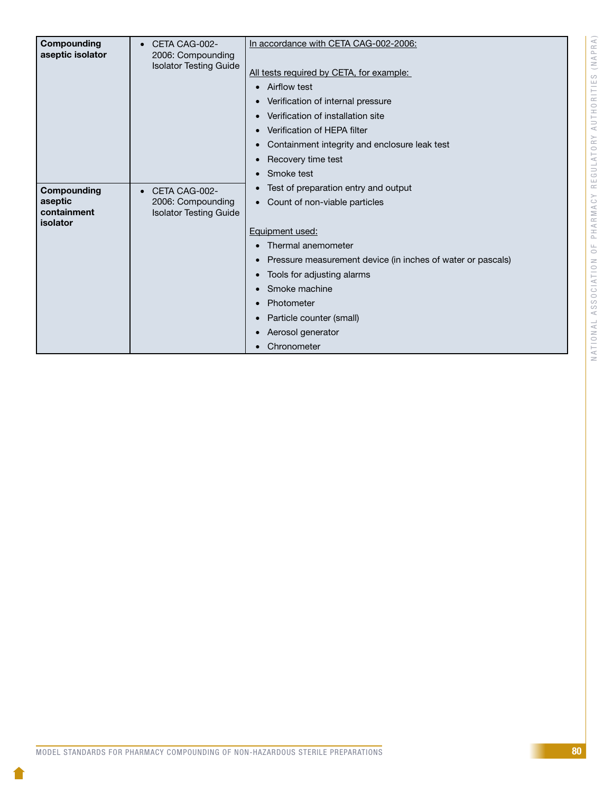| Compounding<br>aseptic isolator                   | CETA CAG-002-<br>$\bullet$<br>2006: Compounding<br><b>Isolator Testing Guide</b> | In accordance with CETA CAG-002-2006:<br>All tests required by CETA, for example:<br><b>Airflow test</b><br>Verification of internal pressure<br>Verification of installation site<br>Verification of HEPA filter<br>Containment integrity and enclosure leak test<br>Recovery time test<br>Smoke test     |
|---------------------------------------------------|----------------------------------------------------------------------------------|------------------------------------------------------------------------------------------------------------------------------------------------------------------------------------------------------------------------------------------------------------------------------------------------------------|
| Compounding<br>aseptic<br>containment<br>isolator | CETA CAG-002-<br>$\bullet$<br>2006: Compounding<br><b>Isolator Testing Guide</b> | Test of preparation entry and output<br>Count of non-viable particles<br>Equipment used:<br>Thermal anemometer<br>Pressure measurement device (in inches of water or pascals)<br>Tools for adjusting alarms<br>Smoke machine<br>Photometer<br>Particle counter (small)<br>Aerosol generator<br>Chronometer |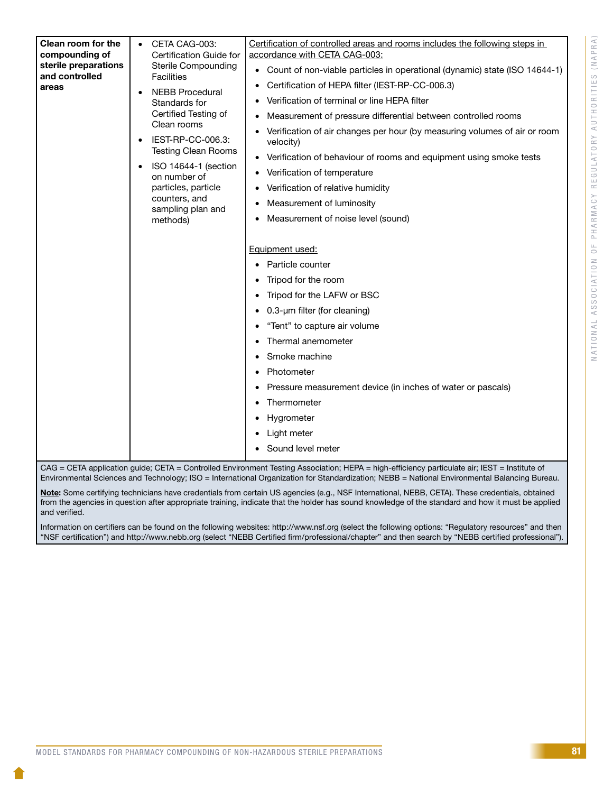| Clean room for the<br>compounding of<br>sterile preparations<br>and controlled<br>areas | Certification of controlled areas and rooms includes the following steps in<br>CETA CAG-003:<br>accordance with CETA CAG-003:<br>Certification Guide for<br><b>Sterile Compounding</b><br>Count of non-viable particles in operational (dynamic) state (ISO 14644-1)<br>$\bullet$<br><b>Facilities</b><br>Certification of HEPA filter (IEST-RP-CC-006.3)<br><b>NEBB Procedural</b><br>Verification of terminal or line HEPA filter<br>Standards for<br>Certified Testing of<br>Measurement of pressure differential between controlled rooms<br>Clean rooms<br>Verification of air changes per hour (by measuring volumes of air or room<br>IEST-RP-CC-006.3:<br>velocity)<br><b>Testing Clean Rooms</b><br>Verification of behaviour of rooms and equipment using smoke tests<br>$\bullet$<br>ISO 14644-1 (section<br>Verification of temperature<br>on number of<br>particles, particle<br>Verification of relative humidity<br>counters, and<br>Measurement of luminosity<br>sampling plan and<br>Measurement of noise level (sound)<br>methods) |  |
|-----------------------------------------------------------------------------------------|------------------------------------------------------------------------------------------------------------------------------------------------------------------------------------------------------------------------------------------------------------------------------------------------------------------------------------------------------------------------------------------------------------------------------------------------------------------------------------------------------------------------------------------------------------------------------------------------------------------------------------------------------------------------------------------------------------------------------------------------------------------------------------------------------------------------------------------------------------------------------------------------------------------------------------------------------------------------------------------------------------------------------------------------------|--|
|                                                                                         | Equipment used:<br>Particle counter<br>Tripod for the room<br>Tripod for the LAFW or BSC<br>$0.3$ -µm filter (for cleaning)<br>"Tent" to capture air volume<br>Thermal anemometer<br>Smoke machine<br>Photometer<br>Pressure measurement device (in inches of water or pascals)<br>Thermometer<br>Hygrometer<br>Light meter<br>Sound level meter<br>CAG = CETA application guide; CETA = Controlled Environment Testing Association; HEPA = high-efficiency particulate air; IEST = Institute of                                                                                                                                                                                                                                                                                                                                                                                                                                                                                                                                                     |  |

Environmental Sciences and Technology; ISO = International Organization for Standardization; NEBB = National Environmental Balancing Bureau.

Note: Some certifying technicians have credentials from certain US agencies (e.g., NSF International, NEBB, CETA). These credentials, obtained from the agencies in question after appropriate training, indicate that the holder has sound knowledge of the standard and how it must be applied and verified.

Information on certifiers can be found on the following websites: http://www.nsf.org (select the following options: "Regulatory resources" and then "NSF certification") and http://www.nebb.org (select "NEBB Certified firm/professional/chapter" and then search by "NEBB certified professional").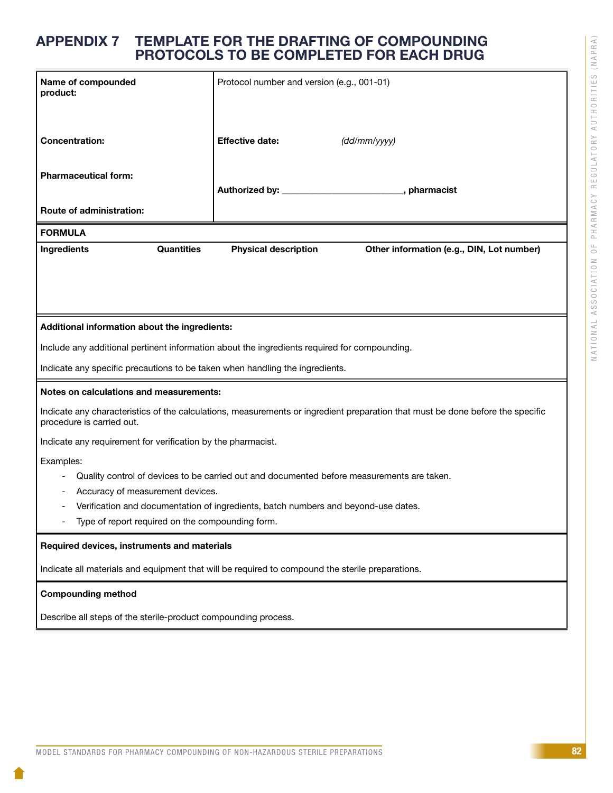# APPENDIX 7 TEMPLATE FOR THE DRAFTING OF COMPOUNDING PROTOCOLS TO BE COMPLETED FOR EACH DRUG

| Name of compounded<br>product:                                                                   |                             | Protocol number and version (e.g., 001-01)                                                                                     |  |  |
|--------------------------------------------------------------------------------------------------|-----------------------------|--------------------------------------------------------------------------------------------------------------------------------|--|--|
| <b>Concentration:</b>                                                                            | <b>Effective date:</b>      | (dd/mm/yyy)                                                                                                                    |  |  |
| <b>Pharmaceutical form:</b>                                                                      |                             | Authorized by: Authorized by:<br>, pharmacist                                                                                  |  |  |
| <b>Route of administration:</b>                                                                  |                             |                                                                                                                                |  |  |
| <b>FORMULA</b>                                                                                   |                             |                                                                                                                                |  |  |
| <b>Quantities</b><br>Ingredients                                                                 | <b>Physical description</b> | Other information (e.g., DIN, Lot number)                                                                                      |  |  |
|                                                                                                  |                             |                                                                                                                                |  |  |
| Additional information about the ingredients:                                                    |                             |                                                                                                                                |  |  |
| Include any additional pertinent information about the ingredients required for compounding.     |                             |                                                                                                                                |  |  |
| Indicate any specific precautions to be taken when handling the ingredients.                     |                             |                                                                                                                                |  |  |
| Notes on calculations and measurements:                                                          |                             |                                                                                                                                |  |  |
| procedure is carried out.                                                                        |                             | Indicate any characteristics of the calculations, measurements or ingredient preparation that must be done before the specific |  |  |
| Indicate any requirement for verification by the pharmacist.                                     |                             |                                                                                                                                |  |  |
| Examples:                                                                                        |                             |                                                                                                                                |  |  |
|                                                                                                  |                             | Quality control of devices to be carried out and documented before measurements are taken.                                     |  |  |
| Accuracy of measurement devices.                                                                 |                             | Verification and documentation of ingredients, batch numbers and beyond-use dates.                                             |  |  |
| Type of report required on the compounding form.                                                 |                             |                                                                                                                                |  |  |
| Required devices, instruments and materials                                                      |                             |                                                                                                                                |  |  |
| Indicate all materials and equipment that will be required to compound the sterile preparations. |                             |                                                                                                                                |  |  |
| <b>Compounding method</b>                                                                        |                             |                                                                                                                                |  |  |

Describe all steps of the sterile-product compounding process.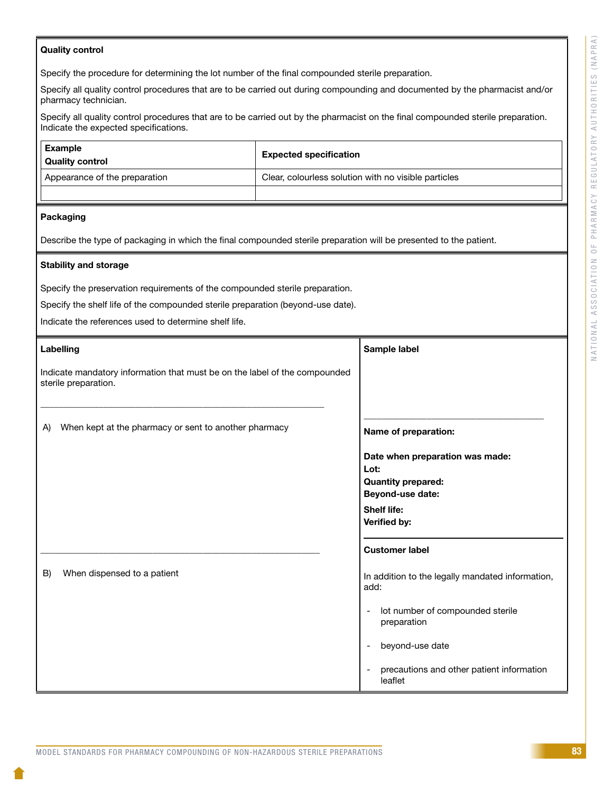### Quality control

Specify the procedure for determining the lot number of the final compounded sterile preparation.

Specify all quality control procedures that are to be carried out during compounding and documented by the pharmacist and/or pharmacy technician.

Specify all quality control procedures that are to be carried out by the pharmacist on the final compounded sterile preparation. Indicate the expected specifications.

| Example<br>Quality control    | <b>Expected specification</b>                        |
|-------------------------------|------------------------------------------------------|
| Appearance of the preparation | Clear, colourless solution with no visible particles |
|                               |                                                      |

### Packaging

Describe the type of packaging in which the final compounded sterile preparation will be presented to the patient.

### Stability and storage

Specify the preservation requirements of the compounded sterile preparation.

Specify the shelf life of the compounded sterile preparation (beyond-use date).

Indicate the references used to determine shelf life.

|                                                                                                    | Labelling                                             | Sample label                                             |
|----------------------------------------------------------------------------------------------------|-------------------------------------------------------|----------------------------------------------------------|
| Indicate mandatory information that must be on the label of the compounded<br>sterile preparation. |                                                       |                                                          |
| A)                                                                                                 | When kept at the pharmacy or sent to another pharmacy | Name of preparation:                                     |
|                                                                                                    |                                                       | Date when preparation was made:<br>Lot:                  |
|                                                                                                    |                                                       | <b>Quantity prepared:</b>                                |
|                                                                                                    |                                                       | Beyond-use date:                                         |
|                                                                                                    |                                                       | <b>Shelf life:</b><br>Verified by:                       |
|                                                                                                    |                                                       | <b>Customer label</b>                                    |
| B)                                                                                                 | When dispensed to a patient                           | In addition to the legally mandated information,<br>add: |
|                                                                                                    |                                                       | lot number of compounded sterile<br>preparation          |
|                                                                                                    |                                                       | beyond-use date                                          |
|                                                                                                    |                                                       | precautions and other patient information<br>leaflet     |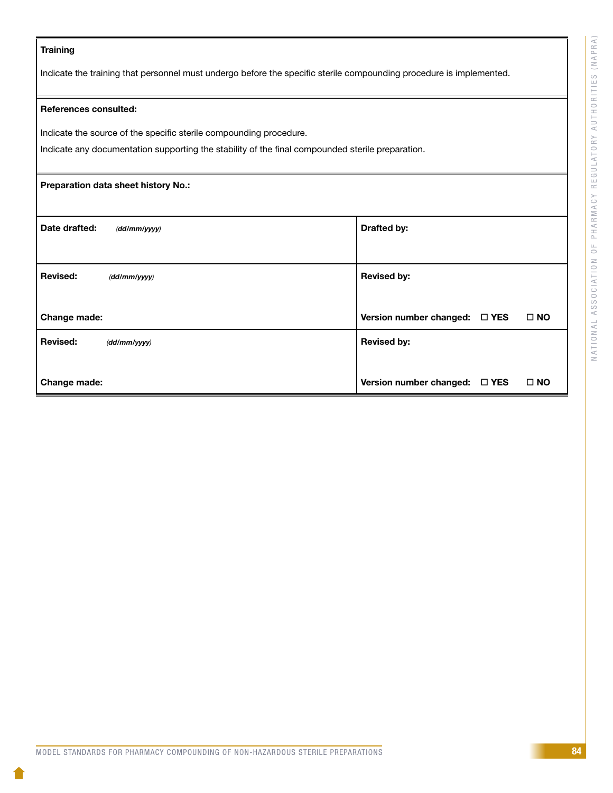### **Training**

Indicate the training that personnel must undergo before the specific sterile compounding procedure is implemented.

### References consulted:

Indicate the source of the specific sterile compounding procedure.

Indicate any documentation supporting the stability of the final compounded sterile preparation.

# Preparation data sheet history No.: Date drafted:  $(d d / mm / y y y)$  denotes the contract of the Drafted by: Revised: *(dd/mm/yyyy)* Change made: Revised by: Version number changed:  $\Box$  YES  $\Box$  NO Revised: *(dd/mm/yyyy)*  Change made: Revised by: Version number changed:  $\Box$  YES  $\Box$  NO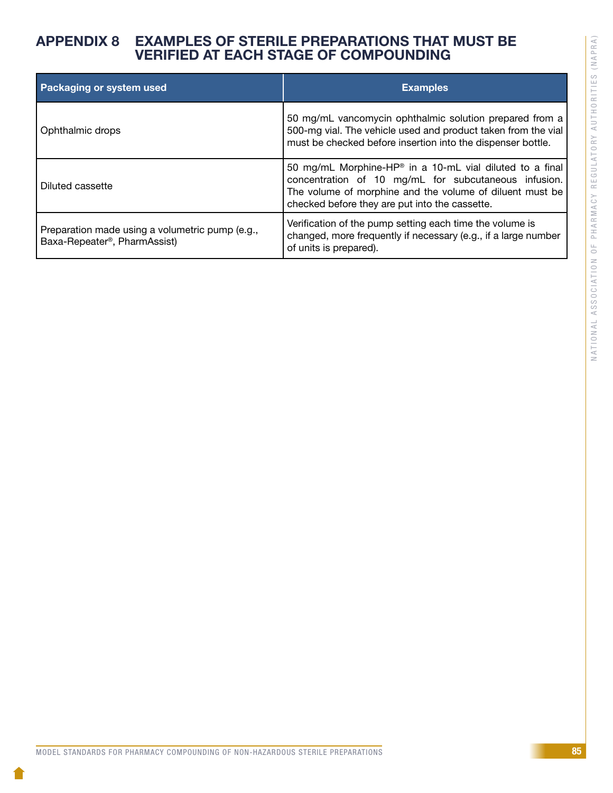# NATIONAL ASSOCIATION OF PHARMACY REGULATORY AUTHORITIES (NAPRA) NATIONAL ASSOCIATION OF PHARMACY REGULATORY AUTHORITIES (NAPRA)

# APPENDIX 8 EXAMPLES OF STERILE PREPARATIONS THAT MUST BE VERIFIED AT EACH STAGE OF COMPOUNDING

| Packaging or system used                                                        | <b>Examples</b>                                                                                                                                                                                                                            |
|---------------------------------------------------------------------------------|--------------------------------------------------------------------------------------------------------------------------------------------------------------------------------------------------------------------------------------------|
| Ophthalmic drops                                                                | 50 mg/mL vancomycin ophthalmic solution prepared from a<br>500-mg vial. The vehicle used and product taken from the vial<br>must be checked before insertion into the dispenser bottle.                                                    |
| Diluted cassette                                                                | 50 mg/mL Morphine-HP <sup>®</sup> in a 10-mL vial diluted to a final<br>concentration of 10 mg/mL for subcutaneous infusion.<br>The volume of morphine and the volume of diluent must be<br>checked before they are put into the cassette. |
| Preparation made using a volumetric pump (e.g.,<br>Baxa-Repeater®, PharmAssist) | Verification of the pump setting each time the volume is<br>changed, more frequently if necessary (e.g., if a large number<br>of units is prepared).                                                                                       |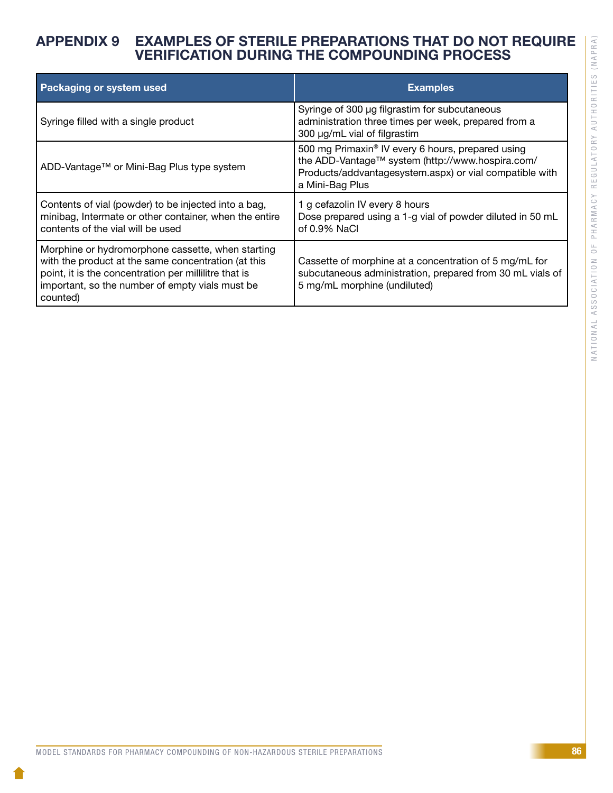# NATIONAL ASSOCIATION OF PHARMACY REGULATORY AUTHORITIES (NAPRA) NATIONAL ASSOCIATION OF PHARMACY REGULATORY AUTHORITIES (NAPRA)

# APPENDIX 9 EXAMPLES OF STERILE PREPARATIONS THAT DO NOT REQUIRE VERIFICATION DURING THE COMPOUNDING PROCESS

| Packaging or system used                                                                                                                                                                                                         | <b>Examples</b>                                                                                                                                                                     |
|----------------------------------------------------------------------------------------------------------------------------------------------------------------------------------------------------------------------------------|-------------------------------------------------------------------------------------------------------------------------------------------------------------------------------------|
| Syringe filled with a single product                                                                                                                                                                                             | Syringe of 300 µg filgrastim for subcutaneous<br>administration three times per week, prepared from a<br>300 µg/mL vial of filgrastim                                               |
| ADD-Vantage™ or Mini-Bag Plus type system                                                                                                                                                                                        | 500 mg Primaxin® IV every 6 hours, prepared using<br>the ADD-Vantage™ system (http://www.hospira.com/<br>Products/addvantagesystem.aspx) or vial compatible with<br>a Mini-Bag Plus |
| Contents of vial (powder) to be injected into a bag,<br>minibag, Intermate or other container, when the entire<br>contents of the vial will be used                                                                              | 1 g cefazolin IV every 8 hours<br>Dose prepared using a 1-g vial of powder diluted in 50 mL<br>of $0.9\%$ NaCl                                                                      |
| Morphine or hydromorphone cassette, when starting<br>with the product at the same concentration (at this<br>point, it is the concentration per millilitre that is<br>important, so the number of empty vials must be<br>counted) | Cassette of morphine at a concentration of 5 mg/mL for<br>subcutaneous administration, prepared from 30 mL vials of<br>5 mg/mL morphine (undiluted)                                 |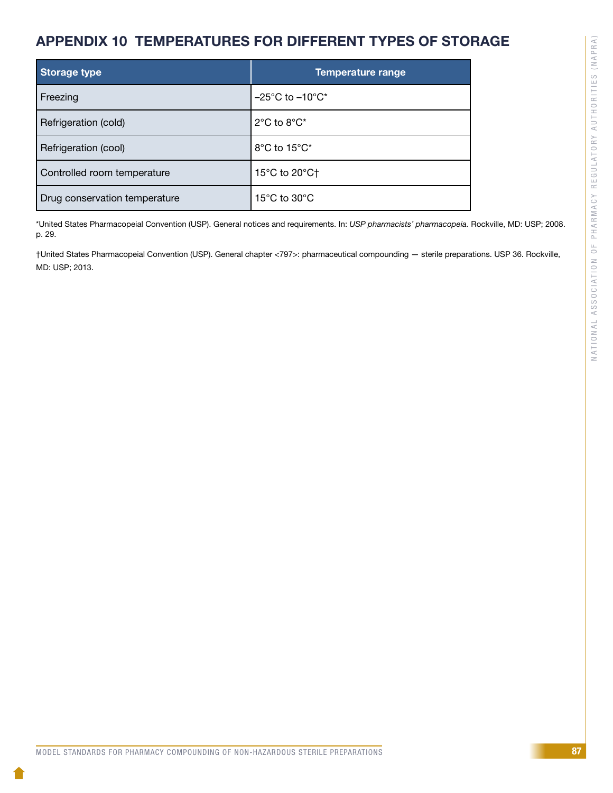# APPENDIX 10 TEMPERATURES FOR DIFFERENT TYPES OF STORAGE

| <b>Storage type</b>           | Temperature range                               |
|-------------------------------|-------------------------------------------------|
| Freezing                      | $-25^{\circ}$ C to $-10^{\circ}$ C <sup>*</sup> |
| Refrigeration (cold)          | $2^{\circ}$ C to $8^{\circ}$ C*                 |
| Refrigeration (cool)          | 8°C to 15°C*                                    |
| Controlled room temperature   | 15°C to 20°C†                                   |
| Drug conservation temperature | 15 $\degree$ C to 30 $\degree$ C                |

\*United States Pharmacopeial Convention (USP). General notices and requirements. In: *USP pharmacists' pharmacopeia.* Rockville, MD: USP; 2008. p. 29.

†United States Pharmacopeial Convention (USP). General chapter <797>: pharmaceutical compounding — sterile preparations. USP 36. Rockville, MD: USP; 2013.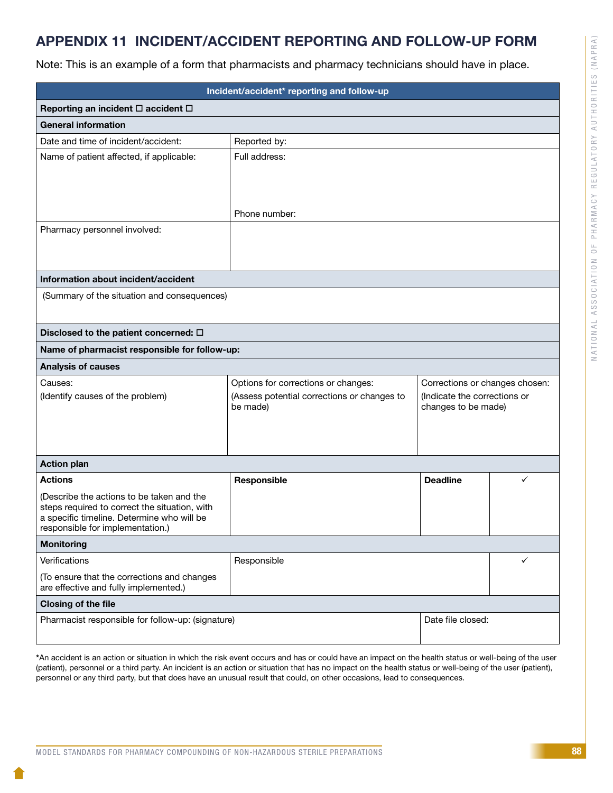# APPENDIX 11 INCIDENT/ACCIDENT REPORTING AND FOLLOW-UP FORM

Note: This is an example of a form that pharmacists and pharmacy technicians should have in place.

| Incident/accident* reporting and follow-up                                                  |                                                         |                                                     |   |
|---------------------------------------------------------------------------------------------|---------------------------------------------------------|-----------------------------------------------------|---|
| Reporting an incident □ accident □                                                          |                                                         |                                                     |   |
| <b>General information</b>                                                                  |                                                         |                                                     |   |
| Date and time of incident/accident:                                                         | Reported by:                                            |                                                     |   |
| Name of patient affected, if applicable:                                                    | Full address:                                           |                                                     |   |
|                                                                                             |                                                         |                                                     |   |
|                                                                                             |                                                         |                                                     |   |
|                                                                                             | Phone number:                                           |                                                     |   |
| Pharmacy personnel involved:                                                                |                                                         |                                                     |   |
|                                                                                             |                                                         |                                                     |   |
|                                                                                             |                                                         |                                                     |   |
| Information about incident/accident                                                         |                                                         |                                                     |   |
| (Summary of the situation and consequences)                                                 |                                                         |                                                     |   |
|                                                                                             |                                                         |                                                     |   |
| Disclosed to the patient concerned: $\Box$                                                  |                                                         |                                                     |   |
| Name of pharmacist responsible for follow-up:                                               |                                                         |                                                     |   |
| <b>Analysis of causes</b>                                                                   |                                                         |                                                     |   |
| Causes:                                                                                     | Options for corrections or changes:                     | Corrections or changes chosen:                      |   |
| (Identify causes of the problem)                                                            | (Assess potential corrections or changes to<br>be made) | (Indicate the corrections or<br>changes to be made) |   |
|                                                                                             |                                                         |                                                     |   |
|                                                                                             |                                                         |                                                     |   |
|                                                                                             |                                                         |                                                     |   |
| <b>Action plan</b>                                                                          |                                                         |                                                     |   |
| <b>Actions</b>                                                                              | Responsible                                             | <b>Deadline</b>                                     | ✓ |
| (Describe the actions to be taken and the                                                   |                                                         |                                                     |   |
| steps required to correct the situation, with<br>a specific timeline. Determine who will be |                                                         |                                                     |   |
| responsible for implementation.)                                                            |                                                         |                                                     |   |
| <b>Monitoring</b>                                                                           |                                                         |                                                     |   |
| Responsible<br>Verifications<br>✓                                                           |                                                         |                                                     |   |
| (To ensure that the corrections and changes<br>are effective and fully implemented.)        |                                                         |                                                     |   |
| <b>Closing of the file</b>                                                                  |                                                         |                                                     |   |
| Pharmacist responsible for follow-up: (signature)<br>Date file closed:                      |                                                         |                                                     |   |
|                                                                                             |                                                         |                                                     |   |

\*An accident is an action or situation in which the risk event occurs and has or could have an impact on the health status or well-being of the user (patient), personnel or a third party. An incident is an action or situation that has no impact on the health status or well-being of the user (patient), personnel or any third party, but that does have an unusual result that could, on other occasions, lead to consequences.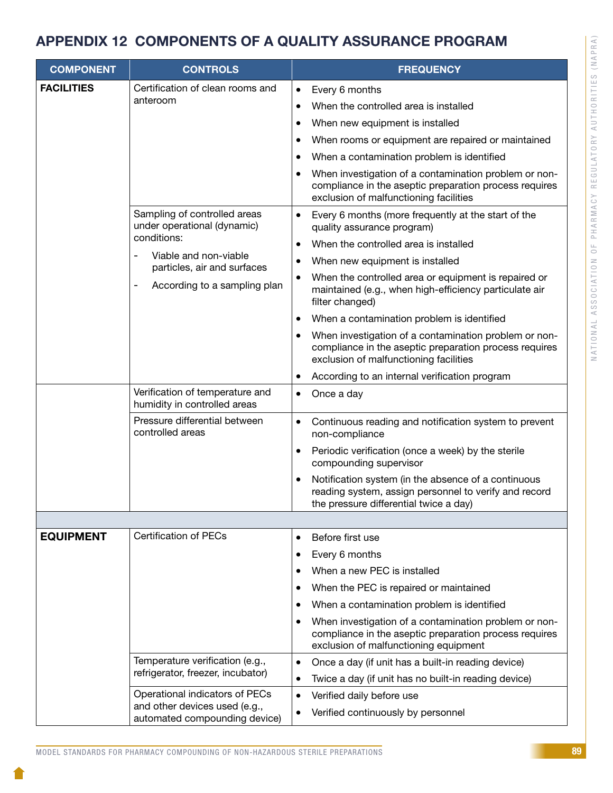# APPENDIX 12 COMPONENTS OF A QUALITY ASSURANCE PROGRAM

| <b>COMPONENT</b>                                                                                                       | <b>CONTROLS</b>                                                                                                      |                                                                                                                                                           | <b>FREQUENCY</b>                                                                                                                                          |
|------------------------------------------------------------------------------------------------------------------------|----------------------------------------------------------------------------------------------------------------------|-----------------------------------------------------------------------------------------------------------------------------------------------------------|-----------------------------------------------------------------------------------------------------------------------------------------------------------|
| <b>FACILITIES</b>                                                                                                      | Certification of clean rooms and                                                                                     | $\bullet$                                                                                                                                                 | Every 6 months                                                                                                                                            |
|                                                                                                                        | anteroom                                                                                                             | $\bullet$                                                                                                                                                 | When the controlled area is installed                                                                                                                     |
| Sampling of controlled areas<br>under operational (dynamic)<br>conditions:<br>Viable and non-viable<br>$\qquad \qquad$ |                                                                                                                      | When new equipment is installed                                                                                                                           |                                                                                                                                                           |
|                                                                                                                        |                                                                                                                      | When rooms or equipment are repaired or maintained                                                                                                        |                                                                                                                                                           |
|                                                                                                                        |                                                                                                                      | When a contamination problem is identified                                                                                                                |                                                                                                                                                           |
|                                                                                                                        |                                                                                                                      | When investigation of a contamination problem or non-<br>compliance in the aseptic preparation process requires<br>exclusion of malfunctioning facilities |                                                                                                                                                           |
|                                                                                                                        |                                                                                                                      | Every 6 months (more frequently at the start of the<br>quality assurance program)                                                                         |                                                                                                                                                           |
|                                                                                                                        |                                                                                                                      |                                                                                                                                                           | When the controlled area is installed                                                                                                                     |
|                                                                                                                        | particles, air and surfaces<br>According to a sampling plan<br>$\qquad \qquad \blacksquare$                          |                                                                                                                                                           | When new equipment is installed                                                                                                                           |
|                                                                                                                        |                                                                                                                      |                                                                                                                                                           | When the controlled area or equipment is repaired or<br>maintained (e.g., when high-efficiency particulate air<br>filter changed)                         |
|                                                                                                                        |                                                                                                                      |                                                                                                                                                           | When a contamination problem is identified                                                                                                                |
|                                                                                                                        |                                                                                                                      |                                                                                                                                                           | When investigation of a contamination problem or non-<br>compliance in the aseptic preparation process requires<br>exclusion of malfunctioning facilities |
|                                                                                                                        |                                                                                                                      |                                                                                                                                                           | According to an internal verification program                                                                                                             |
|                                                                                                                        | Verification of temperature and<br>humidity in controlled areas<br>Pressure differential between<br>controlled areas | $\bullet$                                                                                                                                                 | Once a day                                                                                                                                                |
|                                                                                                                        |                                                                                                                      | $\bullet$                                                                                                                                                 | Continuous reading and notification system to prevent<br>non-compliance                                                                                   |
|                                                                                                                        |                                                                                                                      |                                                                                                                                                           | Periodic verification (once a week) by the sterile<br>compounding supervisor                                                                              |
|                                                                                                                        |                                                                                                                      |                                                                                                                                                           | Notification system (in the absence of a continuous<br>reading system, assign personnel to verify and record<br>the pressure differential twice a day)    |
|                                                                                                                        |                                                                                                                      |                                                                                                                                                           |                                                                                                                                                           |
| <b>EQUIPMENT</b>                                                                                                       | <b>Certification of PECs</b>                                                                                         | $\bullet$                                                                                                                                                 | Before first use                                                                                                                                          |
|                                                                                                                        |                                                                                                                      | $\bullet$                                                                                                                                                 | Every 6 months                                                                                                                                            |
|                                                                                                                        |                                                                                                                      |                                                                                                                                                           | When a new PEC is installed                                                                                                                               |
|                                                                                                                        |                                                                                                                      |                                                                                                                                                           | When the PEC is repaired or maintained                                                                                                                    |
|                                                                                                                        |                                                                                                                      |                                                                                                                                                           | When a contamination problem is identified                                                                                                                |
|                                                                                                                        |                                                                                                                      |                                                                                                                                                           | When investigation of a contamination problem or non-<br>compliance in the aseptic preparation process requires<br>exclusion of malfunctioning equipment  |
|                                                                                                                        | Temperature verification (e.g.,<br>refrigerator, freezer, incubator)                                                 | $\bullet$                                                                                                                                                 | Once a day (if unit has a built-in reading device)                                                                                                        |
|                                                                                                                        |                                                                                                                      | $\bullet$                                                                                                                                                 | Twice a day (if unit has no built-in reading device)                                                                                                      |
|                                                                                                                        | Operational indicators of PECs<br>and other devices used (e.g.,                                                      | $\bullet$                                                                                                                                                 | Verified daily before use                                                                                                                                 |
| automated compounding device)                                                                                          | ٠                                                                                                                    | Verified continuously by personnel                                                                                                                        |                                                                                                                                                           |

NATIONAL ASSOCIATION OF PHARMACY REGULATORY AUTHORITIES (NAPRA)

NATIONAL ASSOCIATION OF PHARMACY REGULATORY AUTHORITIES (NAPRA)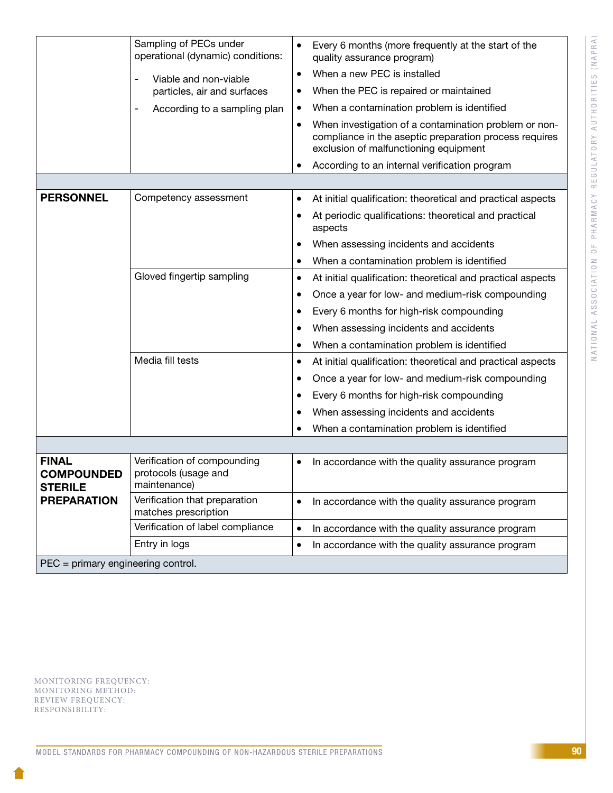|                                                     | Sampling of PECs under                                              |                                                                                                                                                                       |
|-----------------------------------------------------|---------------------------------------------------------------------|-----------------------------------------------------------------------------------------------------------------------------------------------------------------------|
|                                                     | operational (dynamic) conditions:                                   | Every 6 months (more frequently at the start of the<br>$\bullet$<br>quality assurance program)                                                                        |
|                                                     | Viable and non-viable                                               | When a new PEC is installed<br>$\bullet$                                                                                                                              |
|                                                     | particles, air and surfaces                                         | When the PEC is repaired or maintained<br>$\bullet$                                                                                                                   |
|                                                     | According to a sampling plan<br>$\qquad \qquad \blacksquare$        | When a contamination problem is identified<br>٠                                                                                                                       |
|                                                     |                                                                     | When investigation of a contamination problem or non-<br>$\bullet$<br>compliance in the aseptic preparation process requires<br>exclusion of malfunctioning equipment |
|                                                     |                                                                     | According to an internal verification program<br>٠                                                                                                                    |
|                                                     |                                                                     |                                                                                                                                                                       |
| <b>PERSONNEL</b>                                    | Competency assessment                                               | At initial qualification: theoretical and practical aspects<br>$\bullet$                                                                                              |
|                                                     |                                                                     | At periodic qualifications: theoretical and practical<br>$\bullet$<br>aspects                                                                                         |
|                                                     |                                                                     | When assessing incidents and accidents                                                                                                                                |
|                                                     |                                                                     | When a contamination problem is identified<br>٠                                                                                                                       |
|                                                     | Gloved fingertip sampling                                           | At initial qualification: theoretical and practical aspects<br>$\bullet$                                                                                              |
|                                                     |                                                                     | Once a year for low- and medium-risk compounding<br>$\bullet$                                                                                                         |
|                                                     |                                                                     | Every 6 months for high-risk compounding<br>٠                                                                                                                         |
|                                                     |                                                                     | When assessing incidents and accidents                                                                                                                                |
|                                                     |                                                                     | When a contamination problem is identified<br>٠                                                                                                                       |
|                                                     | Media fill tests                                                    | At initial qualification: theoretical and practical aspects<br>$\bullet$                                                                                              |
|                                                     |                                                                     | Once a year for low- and medium-risk compounding<br>٠                                                                                                                 |
|                                                     |                                                                     | Every 6 months for high-risk compounding<br>٠                                                                                                                         |
|                                                     |                                                                     | When assessing incidents and accidents                                                                                                                                |
|                                                     |                                                                     | When a contamination problem is identified<br>٠                                                                                                                       |
|                                                     |                                                                     |                                                                                                                                                                       |
| <b>FINAL</b><br><b>COMPOUNDED</b><br><b>STERILE</b> | Verification of compounding<br>protocols (usage and<br>maintenance) | In accordance with the quality assurance program<br>$\bullet$                                                                                                         |
| <b>PREPARATION</b>                                  | Verification that preparation<br>matches prescription               | In accordance with the quality assurance program<br>$\bullet$                                                                                                         |
|                                                     | Verification of label compliance                                    | In accordance with the quality assurance program<br>$\bullet$                                                                                                         |
|                                                     | Entry in logs                                                       | In accordance with the quality assurance program<br>$\bullet$                                                                                                         |
| PEC = primary engineering control.                  |                                                                     |                                                                                                                                                                       |
|                                                     |                                                                     |                                                                                                                                                                       |

MONITORING FREQUENCY: MONITORING METHOD: REVIEW FREQUENCY: RESPONSIBILITY:

Ī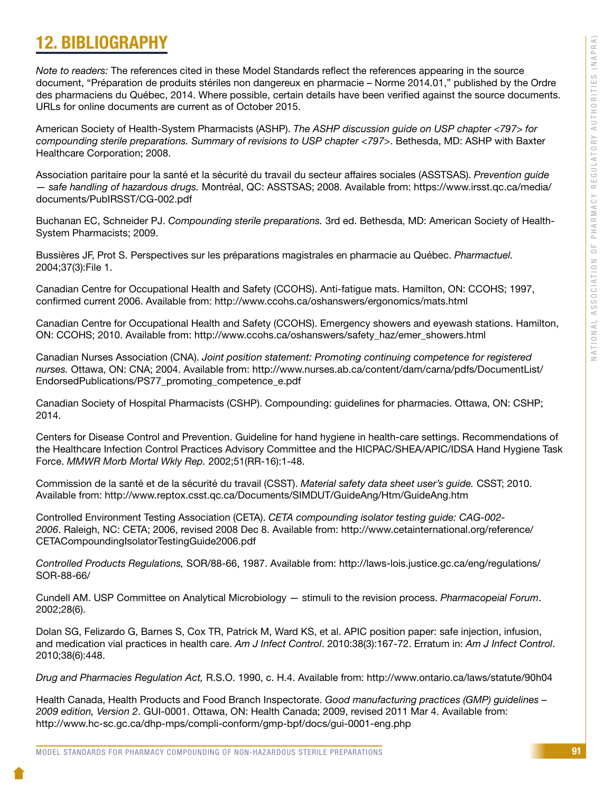# 12. BIBLIOGRAPHY

*Note to readers:* The references cited in these Model Standards reflect the references appearing in the source document, "Préparation de produits stériles non dangereux en pharmacie – Norme 2014.01," published by the Ordre des pharmaciens du Québec, 2014. Where possible, certain details have been verified against the source documents. URLs for online documents are current as of October 2015.

American Society of Health-System Pharmacists (ASHP). *The ASHP discussion guide on USP chapter <797> for compounding sterile preparations. Summary of revisions to USP chapter <797>*. Bethesda, MD: ASHP with Baxter Healthcare Corporation; 2008.

Association paritaire pour la santé et la sécurité du travail du secteur affaires sociales (ASSTSAS). *Prevention guide — safe handling of hazardous drugs.* Montréal, QC: ASSTSAS; 2008. Available from: https://www.irsst.qc.ca/media/ documents/PubIRSST/CG-002.pdf

Buchanan EC, Schneider PJ. *Compounding sterile preparations.* 3rd ed. Bethesda, MD: American Society of Health-System Pharmacists; 2009.

Bussières JF, Prot S. Perspectives sur les préparations magistrales en pharmacie au Québec. *Pharmactuel.* 2004;37(3):File 1.

Canadian Centre for Occupational Health and Safety (CCOHS). Anti-fatigue mats. Hamilton, ON: CCOHS; 1997, confirmed current 2006. Available from: http://www.ccohs.ca/oshanswers/ergonomics/mats.html

Canadian Centre for Occupational Health and Safety (CCOHS). Emergency showers and eyewash stations. Hamilton, ON: CCOHS; 2010. Available from: http://www.ccohs.ca/oshanswers/safety\_haz/emer\_showers.html

Canadian Nurses Association (CNA). *Joint position statement: Promoting continuing competence for registered nurses.* Ottawa, ON: CNA; 2004. Available from: http://www.nurses.ab.ca/content/dam/carna/pdfs/DocumentList/ EndorsedPublications/PS77\_promoting\_competence\_e.pdf

Canadian Society of Hospital Pharmacists (CSHP). Compounding: guidelines for pharmacies. Ottawa, ON: CSHP; 2014.

Centers for Disease Control and Prevention. Guideline for hand hygiene in health-care settings. Recommendations of the Healthcare Infection Control Practices Advisory Committee and the HICPAC/SHEA/APIC/IDSA Hand Hygiene Task Force. *MMWR Morb Mortal Wkly Rep.* 2002;51(RR-16):1-48.

Commission de la santé et de la sécurité du travail (CSST). *Material safety data sheet user's guide.* CSST; 2010. Available from: http://www.reptox.csst.qc.ca/Documents/SIMDUT/GuideAng/Htm/GuideAng.htm

Controlled Environment Testing Association (CETA). *CETA compounding isolator testing guide: CAG-002- 2006*. Raleigh, NC: CETA; 2006, revised 2008 Dec 8. Available from: http://www.cetainternational.org/reference/ CETACompoundingIsolatorTestingGuide2006.pdf

*Controlled Products Regulations,* SOR/88-66, 1987. Available from: http://laws-lois.justice.gc.ca/eng/regulations/ SOR-88-66/

Cundell AM. USP Committee on Analytical Microbiology — stimuli to the revision process. *Pharmacopeial Forum*. 2002;28(6).

Dolan SG, Felizardo G, Barnes S, Cox TR, Patrick M, Ward KS, et al. APIC position paper: safe injection, infusion, and medication vial practices in health care. *Am J Infect Control*. 2010:38(3):167-72. Erratum in: *Am J Infect Control*. 2010;38(6):448.

*Drug and Pharmacies Regulation Act,* R.S.O. 1990, c. H.4. Available from: http://www.ontario.ca/laws/statute/90h04

Health Canada, Health Products and Food Branch Inspectorate. *Good manufacturing practices (GMP) guidelines – 2009 edition, Version 2*. GUI-0001. Ottawa, ON: Health Canada; 2009, revised 2011 Mar 4. Available from: http://www.hc-sc.gc.ca/dhp-mps/compli-conform/gmp-bpf/docs/gui-0001-eng.php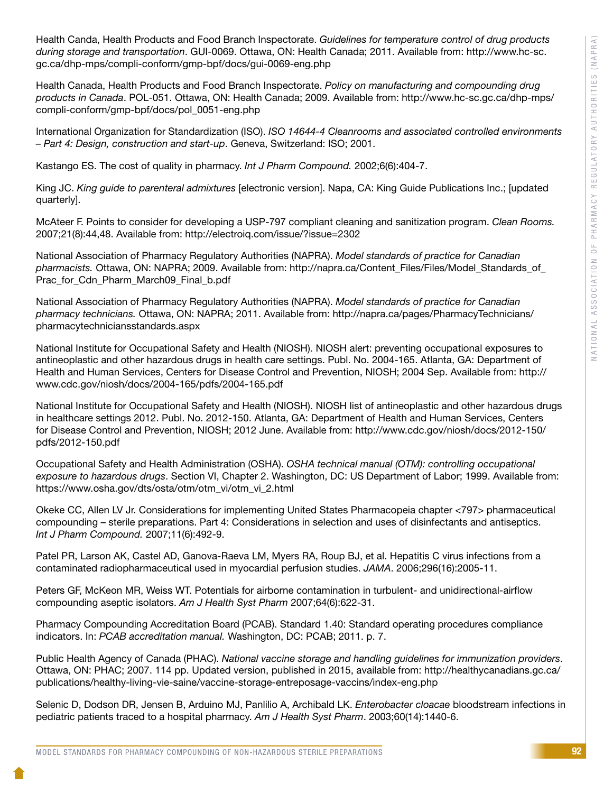Health Canda, Health Products and Food Branch Inspectorate. *Guidelines for temperature control of drug products during storage and transportation*. GUI-0069. Ottawa, ON: Health Canada; 2011. Available from: http://www.hc-sc. gc.ca/dhp-mps/compli-conform/gmp-bpf/docs/gui-0069-eng.php

Health Canada, Health Products and Food Branch Inspectorate. *Policy on manufacturing and compounding drug products in Canada*. POL-051. Ottawa, ON: Health Canada; 2009. Available from: http://www.hc-sc.gc.ca/dhp-mps/ compli-conform/gmp-bpf/docs/pol\_0051-eng.php

International Organization for Standardization (ISO). *ISO 14644-4 Cleanrooms and associated controlled environments – Part 4: Design, construction and start-up*. Geneva, Switzerland: ISO; 2001.

Kastango ES. The cost of quality in pharmacy. *Int J Pharm Compound.* 2002;6(6):404-7.

King JC. *King guide to parenteral admixtures* [electronic version]. Napa, CA: King Guide Publications Inc.; [updated quarterly].

McAteer F. Points to consider for developing a USP-797 compliant cleaning and sanitization program. *Clean Rooms.* 2007;21(8):44,48. Available from: http://electroiq.com/issue/?issue=2302

National Association of Pharmacy Regulatory Authorities (NAPRA). *Model standards of practice for Canadian pharmacists.* Ottawa, ON: NAPRA; 2009. Available from: http://napra.ca/Content\_Files/Files/Model\_Standards\_of\_ Prac\_for\_Cdn\_Pharm\_March09\_Final\_b.pdf

National Association of Pharmacy Regulatory Authorities (NAPRA). *Model standards of practice for Canadian pharmacy technicians.* Ottawa, ON: NAPRA; 2011. Available from: http://napra.ca/pages/PharmacyTechnicians/ pharmacytechniciansstandards.aspx

National Institute for Occupational Safety and Health (NIOSH). NIOSH alert: preventing occupational exposures to antineoplastic and other hazardous drugs in health care settings. Publ. No. 2004-165. Atlanta, GA: Department of Health and Human Services, Centers for Disease Control and Prevention, NIOSH; 2004 Sep. Available from: http:// www.cdc.gov/niosh/docs/2004-165/pdfs/2004-165.pdf

National Institute for Occupational Safety and Health (NIOSH). NIOSH list of antineoplastic and other hazardous drugs in healthcare settings 2012. Publ. No. 2012-150. Atlanta, GA: Department of Health and Human Services, Centers for Disease Control and Prevention, NIOSH; 2012 June. Available from: http://www.cdc.gov/niosh/docs/2012-150/ pdfs/2012-150.pdf

Occupational Safety and Health Administration (OSHA). *OSHA technical manual (OTM): controlling occupational exposure to hazardous drugs*. Section VI, Chapter 2. Washington, DC: US Department of Labor; 1999. Available from: https://www.osha.gov/dts/osta/otm/otm\_vi/otm\_vi\_2.html

Okeke CC, Allen LV Jr. Considerations for implementing United States Pharmacopeia chapter <797> pharmaceutical compounding – sterile preparations. Part 4: Considerations in selection and uses of disinfectants and antiseptics. *Int J Pharm Compound.* 2007;11(6):492-9.

Patel PR, Larson AK, Castel AD, Ganova-Raeva LM, Myers RA, Roup BJ, et al. Hepatitis C virus infections from a contaminated radiopharmaceutical used in myocardial perfusion studies. *JAMA*. 2006;296(16):2005-11.

Peters GF, McKeon MR, Weiss WT. Potentials for airborne contamination in turbulent- and unidirectional-airflow compounding aseptic isolators. *Am J Health Syst Pharm* 2007;64(6):622-31.

Pharmacy Compounding Accreditation Board (PCAB). Standard 1.40: Standard operating procedures compliance indicators. In: *PCAB accreditation manual.* Washington, DC: PCAB; 2011. p. 7.

Public Health Agency of Canada (PHAC). *National vaccine storage and handling guidelines for immunization providers*. Ottawa, ON: PHAC; 2007. 114 pp. Updated version, published in 2015, available from: http://healthycanadians.gc.ca/ publications/healthy-living-vie-saine/vaccine-storage-entreposage-vaccins/index-eng.php

Selenic D, Dodson DR, Jensen B, Arduino MJ, Panlilio A, Archibald LK. *Enterobacter cloacae* bloodstream infections in pediatric patients traced to a hospital pharmacy. *Am J Health Syst Pharm*. 2003;60(14):1440-6.